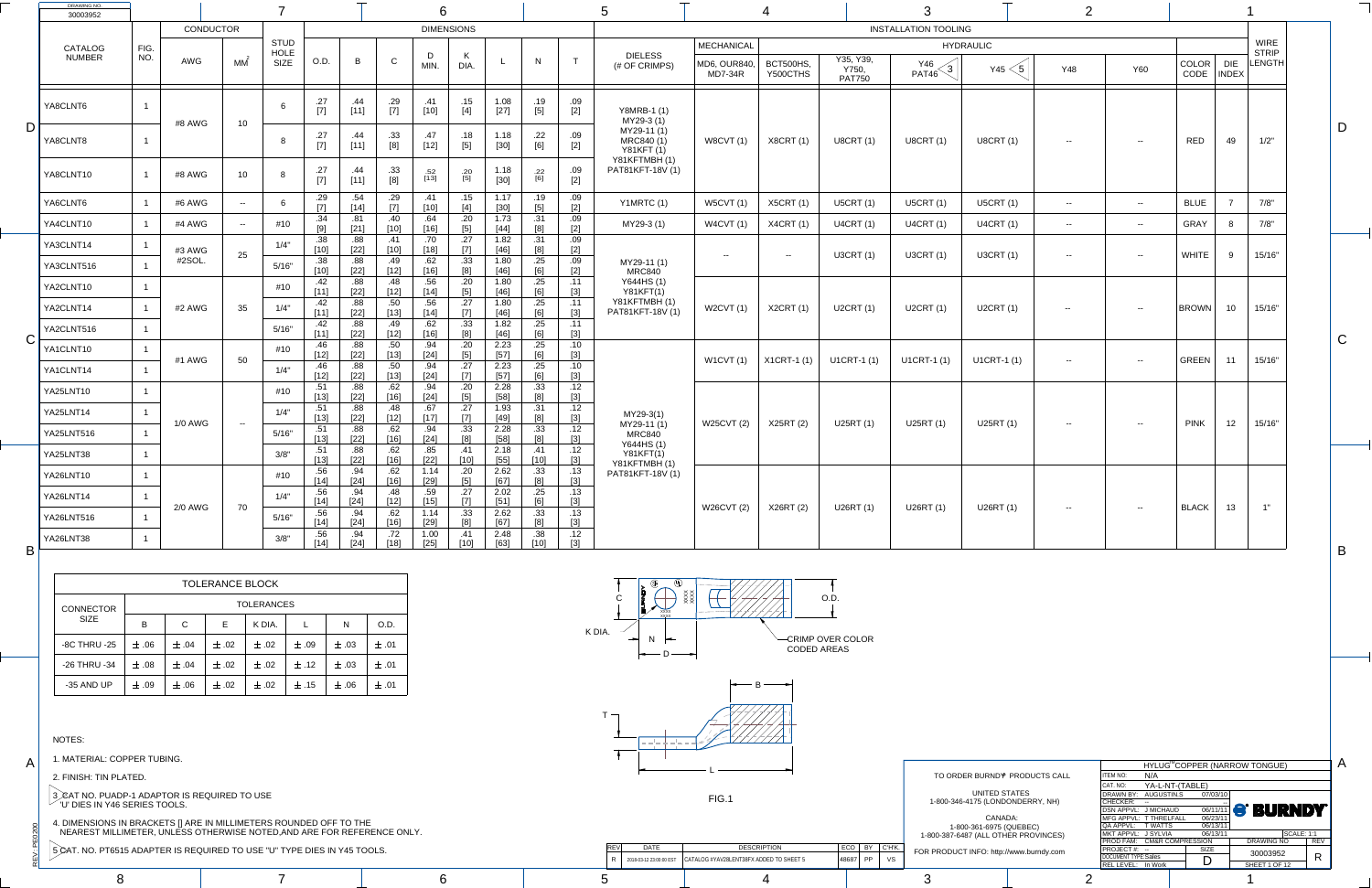$\ddot{ }$ 

 $\mathbf{Q}$ 

A

C

B

A

| FOR PRODUCT INFO: http://www.burndy.com |
|-----------------------------------------|
|                                         |

8 7 6 5 4 3 1

|                      |                            |                            |             | HYLUG <sup>™</sup> COPPER (NARROW TONGUE) |            |
|----------------------|----------------------------|----------------------------|-------------|-------------------------------------------|------------|
| <b>PRODUCTS CALL</b> | <b>ITEM NO:</b>            | N/A                        |             |                                           |            |
|                      | CAT. NO:                   | YA-L-NT-(TABLE)            |             |                                           |            |
| <b>TATES</b>         | DRAWN BY:                  | AUGUSTIN.S                 | 07/03/10    |                                           |            |
| ONDERRY, NH)         | <b>CHECKER:</b>            |                            |             |                                           |            |
|                      | DSN APPVL: J MICHAUD       |                            | 06/11/11    | <b>S BURNDY</b>                           |            |
| CA:                  |                            | MFG APPVL: T THRELFALL     | 06/23/11    |                                           |            |
| <b>QUEBEC)</b>       | QA APPVL: TWATTS           |                            | 06/13/11    |                                           |            |
| ER PROVINCES)        | MKT APPVL: J SYLVIA        |                            | 06/13/11    | <b>SCALE: 1:1</b>                         |            |
|                      |                            | PROD FAM: CM&R COMPRESSION |             | <b>DRAWING NO</b>                         | <b>REV</b> |
| www.burndy.com       | PROJECT#: --               |                            | <b>SIZE</b> | 30003952                                  |            |
|                      | <b>DOCUMENT TYPE:Sales</b> |                            | D           |                                           | R          |
|                      | REL LEVEL: In Work         |                            |             | SHEET 1 OF 12                             |            |
|                      |                            |                            |             |                                           |            |

|   | DRAWING NO.<br>30003952         |             |                  |                 |                     |               |                              |                     | 6                    |                                |                        |                                                                                        |                                   |                                                                |                                              |                       |                                     |                             |                         |            |                |                      |                            |                        |  |
|---|---------------------------------|-------------|------------------|-----------------|---------------------|---------------|------------------------------|---------------------|----------------------|--------------------------------|------------------------|----------------------------------------------------------------------------------------|-----------------------------------|----------------------------------------------------------------|----------------------------------------------|-----------------------|-------------------------------------|-----------------------------|-------------------------|------------|----------------|----------------------|----------------------------|------------------------|--|
|   |                                 |             | <b>CONDUCTOR</b> |                 | <b>STUD</b>         |               |                              |                     |                      | <b>DIMENSIONS</b>              |                        |                                                                                        |                                   |                                                                |                                              |                       |                                     | <b>INSTALLATION TOOLING</b> |                         |            |                |                      |                            | <b>WIRE</b>            |  |
|   | <b>CATALOG</b><br><b>NUMBER</b> | FIG.<br>NO. | AWG              | MM              | HOLE<br><b>SIZE</b> | O.D.          | B                            | $\mathsf{C}$        | MIN.                 | $\mathbf{r}$<br>DIA.           |                        | N                                                                                      | $\mathbf{T}$                      | <b>DIELESS</b><br>(# OF CRIMPS)                                | MECHANICAL<br>MD6, OUR840,<br><b>MD7-34R</b> | BCT500HS,<br>Y500CTHS | Y35, Y39,<br>Y750,<br><b>PAT750</b> | Y46<br>ົດ<br>PAT46          | <b>HYDRAULIC</b><br>Y45 | <b>Y48</b> | <b>Y60</b>     | <b>COLOR</b><br>CODE | <b>DIE</b><br><b>INDEX</b> | <b>STRIP</b><br>LENGTH |  |
|   | YA8CLNT6                        |             | #8 AWG           | 10 <sup>1</sup> | 6                   | .27<br>$[7]$  | .44<br>$TA$ $A$ <sup>1</sup> | .29<br>$[7]$        | .41<br>[10]          | .15<br>$[4]$                   | 1.08<br>$[27]$         | .19<br>$[5]$                                                                           | .09<br>$[2]$                      | <b>Y8MRB-1 (1)</b><br>MY29-3 (1)                               |                                              |                       |                                     |                             |                         |            |                |                      |                            |                        |  |
|   | YA8CLNT8                        |             |                  |                 |                     | .27<br>$[7]$  | .44                          | .33                 | .47<br>$[12]$        | .18<br>$[5]$                   | 1.18<br>$[30]$         | .22<br>[6]                                                                             | .09<br>$[2]$                      | MY29-11 (1)<br>MRC840 (1)<br><b>Y81KFT (1)</b><br>Y81KFTMBH(1) | W8CVT(1)                                     | <b>X8CRT (1)</b>      | <b>U8CRT (1)</b>                    | <b>U8CRT (1)</b>            | <b>U8CRT (1)</b>        | $- -$      | $ -$           | RED                  | 49                         | 1/2"                   |  |
|   | YA8CLNT10                       |             | #8 AWG           | 10              | - 8                 | .27<br>$[7]$  | .44<br>$[11]$                | .33<br>[8]          | .52<br>$[13]$        | .20<br>[5]                     | 1.18<br>$[30]$         | .22<br>[6]                                                                             | .09<br>$[2]$                      | PAT81KFT-18V (1)                                               |                                              |                       |                                     |                             |                         |            |                |                      |                            |                        |  |
|   | YA6CLNT6                        |             | #6 AWG           | $\sim$ $\sim$   |                     | .29<br>$[7]$  | .54<br>$[14]$                | .29<br>$[7]$        | .41<br>$[10]$        | .15<br>$[4]$                   | 1.17<br>$[30]$         | .19<br>$[5]$                                                                           | .09<br>$[2]$                      | Y1MRTC (1)                                                     | <b>W5CVT (1)</b>                             | <b>X5CRT (1)</b>      | <b>U5CRT (1)</b>                    | <b>U5CRT (1)</b>            | <b>U5CRT (1)</b>        | $- -$      | $- -$          | <b>BLUE</b>          |                            | 7/8"                   |  |
|   | YA4CLNT10                       |             | #4 AWG           | $\sim$ $\sim$   | #10                 | .34<br>[9]    | .81<br>$[21]$                | .40<br>$[10]$       | .64<br>$[16]$        | .20<br>[5]                     | 1.73                   | [8]                                                                                    | .09<br>$[2]$                      | MY29-3 (1)                                                     | W4CVT(1)                                     | X4CRT (1)             | <b>U4CRT (1)</b>                    | U4CRT (1)                   | <b>U4CRT (1)</b>        | $- -$      | $- -$          | <b>GRAY</b>          |                            | 7/8"                   |  |
|   | YA3CLNT14                       |             | #3 AWG           |                 | 1/4"                | $[10]$        | .88<br>$[22]$                | .41<br>$\boxed{10}$ | .70<br>$[18]$        | .27<br>$\lceil 7 \rceil$       | 1.82<br>[46]           | [8]                                                                                    | .09<br>[2]                        |                                                                |                                              |                       |                                     |                             |                         |            |                |                      |                            |                        |  |
|   | YA3CLNT516                      |             | #2SOL.           | 25              | 5/16"               | .38<br>$[10]$ | $[22]$                       | [12]                | .62<br>$[16]$        | .33<br>[8]                     | 1.80<br>[46]           | .25<br>[6]                                                                             | .09<br>$[2]$                      | MY29-11 (1)<br><b>MRC840</b>                                   | $\sim$ $-$                                   | $\sim$ $\sim$         | U3CRT $(1)$                         | <b>U3CRT (1)</b>            | <b>U3CRT (1)</b>        | $- -$      | $\sim$ $-$     | WHITE                | 9                          | $15/16"$               |  |
|   | YA2CLNT10                       |             |                  |                 | #10                 | $[11]$        | .88<br>$[22]$                | [12]                | .56<br>$[14]$        | .20<br>$[5]$                   | 1.80<br>$[46]$         | .25<br>[6]                                                                             | .11<br>$[3]$                      | Y644HS (1)<br>Y81KFT(1)                                        |                                              |                       |                                     |                             |                         |            |                |                      |                            |                        |  |
|   | YA2CLNT14                       |             | #2 AWG           | 35              | 1/4"                | $[11]$        | .88<br>$[22]$                | .50<br>[13]         | .56<br>$[14]$        | .27<br>[7]                     | 1.80<br>$[46]$         | .25<br>[6]                                                                             | .11<br>$[3]$                      | Y81KFTMBH(1)<br>PAT81KFT-18V (1)                               | W2CVT(1)                                     | X2CRT (1)             | U2CRT (1)                           | <b>U2CRT (1)</b>            | U2CRT (1)               | $- -$      | $- -$          | $ $ BROWN $ $        | 10 <sup>1</sup>            | 15/16"                 |  |
|   | YA2CLNT516                      |             |                  |                 | 5/16"               | [11]          | .88<br>$[22]$                | $[12]$              | .62<br>$[16]$        | .33<br>[8]                     | 1.82<br>[46]           | .25<br>[6]                                                                             | .11<br>$[3]$                      |                                                                |                                              |                       |                                     |                             |                         |            |                |                      |                            |                        |  |
|   | YA1CLNT10                       |             | #1 AWG           | 50              | #10                 | $[12]$        | $[22]$<br>.88                | .50<br>[13]         | .94<br>$[24]$<br>.94 | .20<br>$[5]$                   | 2.23<br>$[57]$<br>2.23 | .25<br>[6]<br>.25                                                                      | .10<br>$[3]$<br>.10               |                                                                | W1CVT(1)                                     | $ $ X1CRT-1 (1) $ $   | U1CRT-1 (1)                         | U1CRT-1 (1)                 | U1CRT-1 (1)             | $- -$      | $\sim$ $ \sim$ | <b>GREEN</b>         | 11                         | 15/16"                 |  |
|   | YA1CLNT14                       |             |                  |                 | 1/4"                | $[12]$<br>.51 | $[22]$<br>.88                | $[13]$              | $[24]$<br>.94        | .20                            | $[57]$<br>2.28         | [6]<br>.33                                                                             | $[3]$<br>.12                      |                                                                |                                              |                       |                                     |                             |                         |            |                |                      |                            |                        |  |
|   | YA25LNT10                       |             |                  |                 | #10                 | $[13]$        | $[22]$<br>.88                | [16]                | $[24]$<br>.67        | [5]<br>.27                     | $[58]$<br>1.93         | [8]                                                                                    | $[3]$<br>.12                      |                                                                |                                              |                       |                                     |                             |                         |            |                |                      |                            |                        |  |
|   | YA25LNT14                       |             | <b>1/0 AWG</b>   | $\sim$ $-$      | 1/4"                | $[13]$        | $[22]$<br>.88                | $[12]$              | $[17]$<br>.94        | .33                            | [49]<br>2.28           | [8]<br>.33                                                                             | $[3]$<br>.12                      | MY29-3(1)<br>MY29-11 (1)                                       | W25CVT (2)                                   | X25RT (2)             | U25RT (1)                           | U25RT (1)                   | U25RT (1)               | $- -$      | $- -$          | <b>PINK</b>          | 12                         | 15/16"                 |  |
|   | <b>YA25LNT516</b>               |             |                  |                 | 5/16"               | [13]          | [22]                         | $[16]$              | $[24]$               | [8]                            | [58]                   | [8]                                                                                    |                                   | <b>MRC840</b><br>Y644HS (1)                                    |                                              |                       |                                     |                             |                         |            |                |                      |                            |                        |  |
|   | YA25LNT38                       |             |                  |                 | 3/8"                | $[13]$        | .88<br>$[22]$                | .62<br>$[16]$       | .85<br>$[22]$        | .41<br>[10]                    | 2.18<br>$[55]$         | 10]                                                                                    | .12                               | Y81KFT(1)<br>Y81KFTMBH(1)                                      |                                              |                       |                                     |                             |                         |            |                |                      |                            |                        |  |
|   | <b>YA26LNT10</b>                |             |                  |                 | #10                 | .56<br>$[14]$ | .94<br>$[24]$                | .62<br>$[16]$       | 1.14<br>[29]         | .20<br>[5]                     | 2.62<br>[67]           | .33<br>[8]                                                                             | .13<br>$[3]$                      | PAT81KFT-18V (1)                                               |                                              |                       |                                     |                             |                         |            |                |                      |                            |                        |  |
|   | YA26LNT14                       |             | <b>2/0 AWG</b>   | 70              | 1/4"                | $[14]$        | .94<br>[24]                  | [12]                | .59<br>[15]          | [7]                            | 2.02<br>[51]           | .25<br>$\begin{array}{ c c } \hline \quad \quad \quad \text{[6]} \\\hline \end{array}$ | .13<br>$\overline{3}$<br><u>.</u> |                                                                | W26CVT (2)  X26RT (2)                        |                       | U26RT (1)                           | U26RT (1)                   | U26RT (1)               |            | $\sim$ $-$     | BLACK 13             |                            |                        |  |
|   | <b>YA26LNT516</b>               |             |                  |                 | 5/16"               | .56<br>$[14]$ | .94<br>$[24]$                | [16]                | 1.14<br>[29]         | .33 <sub>1</sub><br><u>[8]</u> | 2.62<br>[67]           | .33<br>[8]                                                                             | .13<br>[3]                        |                                                                |                                              |                       |                                     |                             |                         |            |                |                      |                            |                        |  |
| R | <b>YA26LNT38</b>                |             |                  |                 | 3/8"                | .56           | .94<br>$[24]$                | .72<br>[18]         | 1.00<br>[25]         | .41<br><u>[10]</u>             | 2.48<br>$[63]$         | [10]                                                                                   | .12<br>$[3]$                      |                                                                |                                              |                       |                                     |                             |                         |            |                |                      |                            |                        |  |

 $\mathbf{v}$ 



TO ORDER BURND<sup>®</sup> PRODUCTS CALL UNITED ST 1-800-346-4175 (LONDO CANAD

1-800-361-6975 (Q 1-800-387-6487 (ALL OTHE

| <b>TOLERANCE BLOCK</b> |           |             |           |                   |           |           |           |  |  |  |  |  |  |
|------------------------|-----------|-------------|-----------|-------------------|-----------|-----------|-----------|--|--|--|--|--|--|
| <b>CONNECTOR</b>       |           |             |           | <b>TOLERANCES</b> |           |           |           |  |  |  |  |  |  |
| <b>SIZE</b>            | B         | $\mathsf C$ | Е         | K DIA.            |           | N         | O.D.      |  |  |  |  |  |  |
| <b>-8C THRU -25</b>    | $\pm .06$ | $\pm .04$   | $\pm$ .02 | $\pm .02$         | $\pm$ .09 | $\pm .03$ | $\pm$ .01 |  |  |  |  |  |  |
| -26 THRU -34           | $\pm$ .08 | $\pm .04$   | $\pm .02$ | $\pm .02$         | $\pm$ .12 | $\pm .03$ | $\pm$ .01 |  |  |  |  |  |  |
| -35 AND UP             | $\pm$ .09 | $\pm .06$   | $\pm .02$ | $\pm .02$         | $\pm$ .15 | $\pm .06$ | $\pm$ .01 |  |  |  |  |  |  |

NOTES:

1. MATERIAL: COPPER TUBING.

2. FINISH: TIN PLATED.

3 *)*CAT NO. PUADP-1 ADAPTOR IS REQUIRED TO USE  $\degree$  'U' DIES IN Y46 SERIES TOOLS.

4. DIMENSIONS IN BRACKETS [] ARE IN MILLIMETERS ROUNDED OFF TO THE NEAREST MILLIMETER, UNLESS OTHERWISE NOTED,AND ARE FOR REFERENCE ONLY.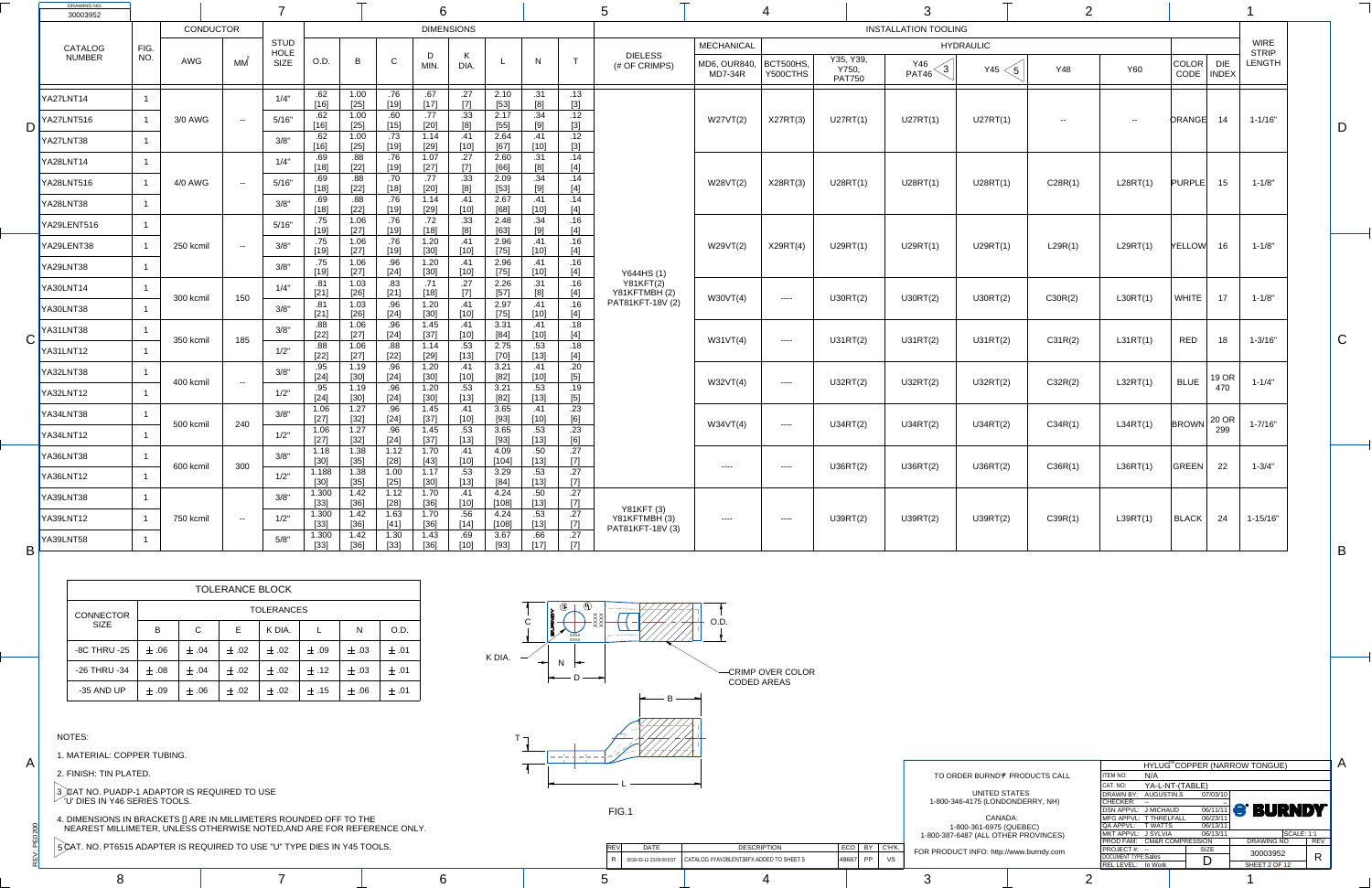$\ddot{ }$ 

PE<sub>O</sub>

A

C

 $\Box$ 

B

A

K DIA.

| 5515 ADAPTER IS REQUIRED TO USE "U" TYPE DIES IN Y45 TOOLS. |  | <b>DATE</b>            | <b>DESCRIPTION</b><br>ECO                        |  | T INFO: http://www.burndy.com | <b>PROJECT#:</b>                                          |  |
|-------------------------------------------------------------|--|------------------------|--------------------------------------------------|--|-------------------------------|-----------------------------------------------------------|--|
|                                                             |  | 018-03-12 23:00:00 EST | CATALOG #YAV28LENT38FX ADDED TO SHEET 5<br>48687 |  |                               | <b>DOCUMENT TYPE:Sales</b><br><b>EL LEVEL:</b><br>In Work |  |
|                                                             |  |                        |                                                  |  |                               |                                                           |  |

|                      |                            |                 |             | HYLUG <sup>™</sup> COPPER (NARROW TONGUE) |            |
|----------------------|----------------------------|-----------------|-------------|-------------------------------------------|------------|
| <b>PRODUCTS CALL</b> | <b>ITEM NO:</b>            | N/A             |             |                                           |            |
|                      | CAT. NO:                   | YA-L-NT-(TABLE) |             |                                           |            |
| <b>ATES</b>          | <b>DRAWN BY:</b>           | AUGUSTIN.S      | 07/03/10    |                                           |            |
| (NDERRY, NH          | <b>CHECKER:</b>            |                 |             |                                           |            |
|                      | DSN APPVL: J MICHAUD       |                 | 06/11/11    | <b>S. BURNDA</b>                          |            |
| )A:                  | MFG APPVL: T THRELFALL     |                 | 06/23/11    |                                           |            |
| <b>QUEBEC)</b>       | QA APPVL: TWATTS           |                 | 06/13/11    |                                           |            |
| ER PROVINCES)        | MKT APPVL: J SYLVIA        |                 | 06/13/11    | <b>SCALE: 1:1</b>                         |            |
|                      | PROD FAM: CM&R COMPRESSION |                 |             | <b>DRAWING NO</b>                         | <b>REV</b> |
| www.burndy.com       | PROJECT#: --               |                 | <b>SIZE</b> | 30003952                                  |            |
|                      | <b>DOCUMENT TYPE:Sales</b> |                 | D           |                                           | R          |
|                      | REL LEVEL: In Work         |                 |             | SHEET 2 OF 12                             |            |
|                      |                            |                 |             |                                           |            |

| <b>DRAWING NO.</b><br>30003952 |             |           |                  |                                    |                       |                          |                         | O                        |                       |                            |                                                                       |                                     |                                   |                                              |                              |                                     |                                          |                                   |            |            |                                     |                             |                                              |  |
|--------------------------------|-------------|-----------|------------------|------------------------------------|-----------------------|--------------------------|-------------------------|--------------------------|-----------------------|----------------------------|-----------------------------------------------------------------------|-------------------------------------|-----------------------------------|----------------------------------------------|------------------------------|-------------------------------------|------------------------------------------|-----------------------------------|------------|------------|-------------------------------------|-----------------------------|----------------------------------------------|--|
|                                |             |           | <b>CONDUCTOR</b> |                                    |                       |                          |                         |                          | <b>DIMENSIONS</b>     |                            |                                                                       |                                     |                                   |                                              |                              |                                     | <b>INSTALLATION TOOLING</b>              |                                   |            |            |                                     |                             |                                              |  |
| CATALOG<br>NUMBER              | FIG.<br>NO. | AWG       | МM               | <b>STUD</b><br>HOLE<br><b>SIZE</b> | O.D.                  | $\overline{B}$           | $\sim$                  | D<br>MIN.                | $\mathsf{R}$<br>DIA.  |                            | N                                                                     |                                     | <b>DIELESS</b><br>(# OF CRIMPS)   | <b>MECHANICAL</b><br>MD6, OUR840,<br>MD7-34R | <b>BCT500HS,</b><br>Y500CTHS | Y35, Y39,<br>Y750,<br><b>PAT750</b> | Y46<br>$\overline{\mathcal{S}}$<br>PAT46 | <b>HYDRAULIC</b><br>Y45 $<$ 5 $ $ | <b>Y48</b> | <b>Y60</b> | $ $ COLOR $ $<br>CODE               | <b>DIE</b><br>$\vert$ INDEX | <b>WIRE</b><br><b>STRIP</b><br><b>LENGTH</b> |  |
| YA27LNT14                      |             |           |                  | 1/4"                               | .62<br>$[16]$         | 1.00<br>$[25]$           | .76<br>[19]             | .67<br>$[17]$            | .27                   | 2.10<br>$[53]$             | .31<br>R1                                                             | .13<br>$[3]$                        |                                   |                                              |                              |                                     |                                          |                                   |            |            |                                     |                             |                                              |  |
| <b>YA27LNT516</b>              |             | 3/0 AWG   | $\sim$ $\sim$    | 5/16"                              | .62<br>$[16]$         | 1.00<br>$[25]$           | .60<br>$[15]$           | .77<br>[20]              | .33<br>[8]            | 2.17<br>$[55]$             | .34                                                                   | .12<br>$[3]$                        |                                   | W27VT(2)                                     | X27RT(3)                     | U27RT(1)                            | U27RT(1)                                 | U27RT(1)                          | $  \,$     | $- -$      | ORANGE                              | 14                          | $1 - 1/16"$                                  |  |
| YA27LNT38                      |             |           |                  | 3/8"                               | .62<br>$[16]$         | 1.00<br>$[25]$           | .73<br>[19]             | 1.14<br>$[29]$           | .41<br>[10]           | 2.64<br>[67]               | .41<br>[10]                                                           | .12<br>$[3]$                        |                                   |                                              |                              |                                     |                                          |                                   |            |            |                                     |                             |                                              |  |
| YA28LNT14                      |             |           |                  | 1/4"                               | .69<br>$[18]$         | .88<br>$[22]$            | .76<br>[19]             | 1.07<br>[27]             | .27                   | 2.60<br>[66]               | .31<br>[8]                                                            | .14<br>$[4]$                        |                                   |                                              |                              |                                     |                                          |                                   |            |            |                                     |                             |                                              |  |
| <b>YA28LNT516</b>              |             | 4/0 AWG   | $\sim$ $ \sim$   | 5/16"                              | .69<br>[18]           | .88<br>$[22]$            | .70<br>[18]             | .77<br>$[20]$            | .33                   | 2.09<br>$[53]$             | .34                                                                   | .14<br>$[4]$                        |                                   | W28VT(2)                                     | X28RT(3)                     | U28RT(1)                            | U28RT(1)                                 | U28RT(1)                          | C28R(1)    | L28RT(1)   | <b>PURPLE</b>                       | 15                          | $1 - 1/8"$                                   |  |
| YA28LNT38                      |             |           |                  | 3/8"                               | .69<br>[18]           | .88<br>$[22]$            | .76<br>[19]             | 1.14<br>$[29]$           | .41<br>[10]           | 2.67<br>[68]               | .41<br>$^{\sf f}$ 10]                                                 | .14<br>$[4]$                        |                                   |                                              |                              |                                     |                                          |                                   |            |            |                                     |                             |                                              |  |
| YA29LENT516                    |             |           |                  | 5/16"                              | .75<br>$[19]$         | 1.06<br>$[27]$           | .76<br>[19]             | .72<br>$[18]$            | .33                   | 2.48<br>[63]<br>2.96       | .34<br>$\sim$                                                         | .16<br>$[4]$<br>.16                 |                                   |                                              |                              |                                     |                                          |                                   |            |            |                                     |                             |                                              |  |
| YA29LENT38                     |             | 250 kcmil | $- -$            | 3/8"                               | [19]<br>.75           | 1.06<br>$[27]$<br>1.06   | .76<br>[19]<br>.96      | 1.20<br>[30]<br>1.20     | .41<br>[10]<br>.41    | $[75]$<br>2.96             | .41<br>[10]<br>.41                                                    | [4]<br>.16                          |                                   | W29VT(2)                                     | X29RT(4)                     | U29RT(1)                            | U29RT(1)                                 | U29RT(1)                          | L29R(1)    | L29RT(1)   | YELLOW                              | 16                          | $1 - 1/8"$                                   |  |
| YA29LNT38                      |             |           |                  | 3/8"                               | [19]<br>.81           | $[27]$<br>1.03           | [24]<br>.83             | $[30]$<br>.11            | [10]<br>.27           | $[75]$<br>2.26             | 10]<br>.31                                                            | $[4]$<br>.16                        | Y644HS (1)<br><b>Y81KFT(2)</b>    |                                              |                              |                                     |                                          |                                   |            |            |                                     |                             |                                              |  |
| YA30LNT14                      |             | 300 kcmil | 150              | 1/4"                               | [21]<br>.81           | $[26]$<br>1.03           | [21]<br>.96             | $[18]$<br>1.20           | .41                   | $[57]$<br>2.97             | .41                                                                   | $[4]$                               | Y81KFTMBH(2)<br>PAT81KFT-18V (2)  | W30VT(4)                                     | $\qquad \qquad - - - -$      | U30RT(2)                            | U30RT(2)                                 | U30RT(2)                          | C30R(2)    | L30RT(1)   | WHITE                               | 17                          | $1 - 1/8"$                                   |  |
| YA30LNT38<br>YA31LNT38         |             |           |                  | 3/8"<br>3/8"                       | [21]<br>.88           | $[26]$<br>1.06           | [24]<br>.96             | $[30]$<br>1.45           | $[10]$<br>.41         | $[75]$<br>3.31             | [10]<br>.41                                                           | $[4]$<br>.18                        |                                   |                                              |                              |                                     |                                          |                                   |            |            |                                     |                             |                                              |  |
| YA31LNT12                      |             | 350 kcmil | 185              | 1/2"                               | $[22]$<br>.88         | $[27]$<br>1.06           | $[24]$<br>.88           | $[37]$<br>1.14           | [10]<br>.53           | [84]<br>2.75               | [10]<br>.53                                                           | $[4]$<br>.18                        |                                   | W31VT(4)                                     | $\qquad \qquad - - - -$      | U31RT(2)                            | U31RT(2)                                 | U31RT(2)                          | C31R(2)    | L31RT(1)   | <b>RED</b>                          | 18                          | $1 - 3/16"$                                  |  |
| YA32LNT38                      |             |           |                  | 3/8"                               | $[22]$<br>.95         | $[27]$<br>1.19           | $[22]$<br>.96           | $[29]$<br>1.20           | $[13]$<br>.41         | $[70]$<br>3.21             | $^{\text{a}}$ 13]<br>.41                                              | $[4]$<br>.20                        |                                   |                                              |                              |                                     |                                          |                                   |            |            |                                     |                             |                                              |  |
| <b>YA32LNT12</b>               |             | 400 kcmil | $- -$            | 1/2"                               | $[24]$<br>.95<br>[24] | $[30]$<br>1.19<br>$[30]$ | $[24]$<br>.96<br>$[24]$ | $[30]$<br>1.20<br>$[30]$ | [10]<br>.53<br>$[13]$ | [82]<br>3.21<br>[82]       | $[10]$<br>.53<br>$[13]$                                               | $[5]$<br>.19<br>[5]                 |                                   | W32VT(4)                                     | $\qquad \qquad - - - -$      | U32RT(2)                            | U32RT(2)                                 | U32RT(2)                          | C32R(2)    | L32RT(1)   | <b>BLUE</b>                         | $\vert$ 19 OR<br>470        | $1 - 1/4"$                                   |  |
| YA34LNT38                      |             |           |                  | 3/8"                               | 1.06<br>[27]          | 1.27<br>$[32]$           | .96<br>$[24]$           | 1.45<br>$[37]$           | .41<br>[10]           | 3.65<br>[93]               | .41<br>101                                                            | .23<br>[6]                          |                                   |                                              |                              |                                     |                                          |                                   |            |            |                                     |                             |                                              |  |
| YA34LNT12                      |             | 500 kcmil | 240              | 1/2"                               | 1.06<br>$[27]$        | 1.27<br>$[32]$           | .96<br>$[24]$           | 1.45<br>$[37]$           | .53<br>[13]           | 3.65<br>[93]               | .53<br>13                                                             | .23<br>[6]                          |                                   | W34VT(4)                                     | $---$                        | U34RT(2)                            | U34RT(2)                                 | U34RT(2)                          | C34R(1)    | L34RT(1)   | $\vert$ BROWN $\vert$ 20 OR $\vert$ | 299                         | $1 - 7/16"$                                  |  |
| YA36LNT38                      |             |           |                  | 3/8"                               | 1.18<br>[30]          | 1.38<br>$[35]$           | 1.12<br>$[28]$          | 1.70<br>$[43]$           | .41<br>[10]           | 4.09<br>$\left[104\right]$ | .50<br>$^{\sf T}$ 13]                                                 | .27<br>$[7]$                        |                                   |                                              |                              |                                     |                                          |                                   |            |            |                                     |                             |                                              |  |
| <b>YA36LNT12</b>               |             | 600 kcmil | 300              | 1/2"                               | 1.188<br>[30]         | 1.38<br>$[35]$           | 1.00<br>$[25]$          | 1.17<br>$[30]$           | .53<br>$[13]$         | 3.29<br>[84]               | .53<br>$[13]$                                                         | .27<br>$[7]$                        |                                   | ----                                         | $---$                        | U36RT(2)                            | U36RT(2)                                 | U36RT(2)                          | C36R(1)    | LS6RT(1)   | GREEN                               | 22                          | $1 - 3/4"$                                   |  |
| YA39LNT38                      |             |           |                  | 3/8"                               | 1.300<br>$[33]$       | 1.42<br>$[36]$           | 1.12<br>[28]            | 1.70<br>$[36]$           | .41<br>$[10]$         | 4.24<br>[108]              | .50<br>$\begin{array}{ c c } \hline \text{[13]} \\\hline \end{array}$ | .27<br>[7]<br>— <del>————————</del> | Y81KFT (3)                        |                                              |                              |                                     |                                          |                                   |            |            |                                     |                             |                                              |  |
| <b>YA39LNT12</b>               |             | 750 kcmil | $\sim$ $ \sim$   | 1/2"                               | 1.300<br>$[33]$       | 1.42<br>[36]             | 1.63<br>[41]            | 1.70<br>[36]             | .56<br>$[14]$         | 4.24<br>[108]              | .53<br>$[13]$                                                         | .27                                 | Y81KFTMBH (3)<br>PAT81KFT-18V (3) | $---$                                        | $---$                        | U39RT(2)                            | U39RT(2)                                 | U39RT(2)                          | C39R(1)    | L39RT(1)   | $ $ BLACK $ $                       | 24                          | $1 - 15/16"$                                 |  |
| <b>YA39LNT58</b>               |             |           |                  | 5/8"                               | 1.300<br>[33]         | 1.42<br>$[36]$           | 1.30<br>$[33]$          | 1.43<br>[36]             | .69<br>$[10]$         | 3.67<br>$[93]$             | .66<br>[17]                                                           | .27<br>$[7]$                        |                                   |                                              |                              |                                     |                                          |                                   |            |            |                                     |                             |                                              |  |

 $\mathbf D$ 



TO ORDER BURND<sup>®</sup> PRODUCTS CALL UNITED  $STA$ 1-800-346-4175 (LONDO

CANAD 1-800-361-6975 (Q 1-800-387-6487 (ALL OTHE

| <b>TOLERANCE BLOCK</b> |           |              |           |                   |           |           |           |  |  |  |  |  |  |  |
|------------------------|-----------|--------------|-----------|-------------------|-----------|-----------|-----------|--|--|--|--|--|--|--|
| <b>CONNECTOR</b>       |           |              |           | <b>TOLERANCES</b> |           |           |           |  |  |  |  |  |  |  |
| <b>SIZE</b>            | B         | $\mathsf{C}$ | E.        | K DIA.            |           | N         | O.D.      |  |  |  |  |  |  |  |
| <b>-8C THRU -25</b>    | $\pm$ .06 | $\pm .04$    | $\pm .02$ | $\pm$ .02         | $\pm .09$ | $\pm .03$ | $\pm .01$ |  |  |  |  |  |  |  |
| -26 THRU -34           | $\pm$ .08 | $\pm$ .04    | $\pm .02$ | $\pm$ .02         | $\pm$ .12 | $\pm .03$ | $\pm .01$ |  |  |  |  |  |  |  |
| -35 AND UP             | $\pm$ .09 | $\pm .06$    | $\pm .02$ | $\pm$ .02         | $\pm$ .15 | $\pm .06$ | $\pm$ .01 |  |  |  |  |  |  |  |

NOTES:

1. MATERIAL: COPPER TUBING.

2. FINISH: TIN PLATED.

3 *,* CAT NO. PUADP-1 ADAPTOR IS REQUIRED TO USE  $\degree$  'U' DIES IN Y46 SERIES TOOLS.

4. DIMENSIONS IN BRACKETS [] ARE IN MILLIMETERS ROUNDED OFF TO THE NEAREST MILLIMETER, UNLESS OTHERWISE NOTED,AND ARE FOR REFERENCE ONLY.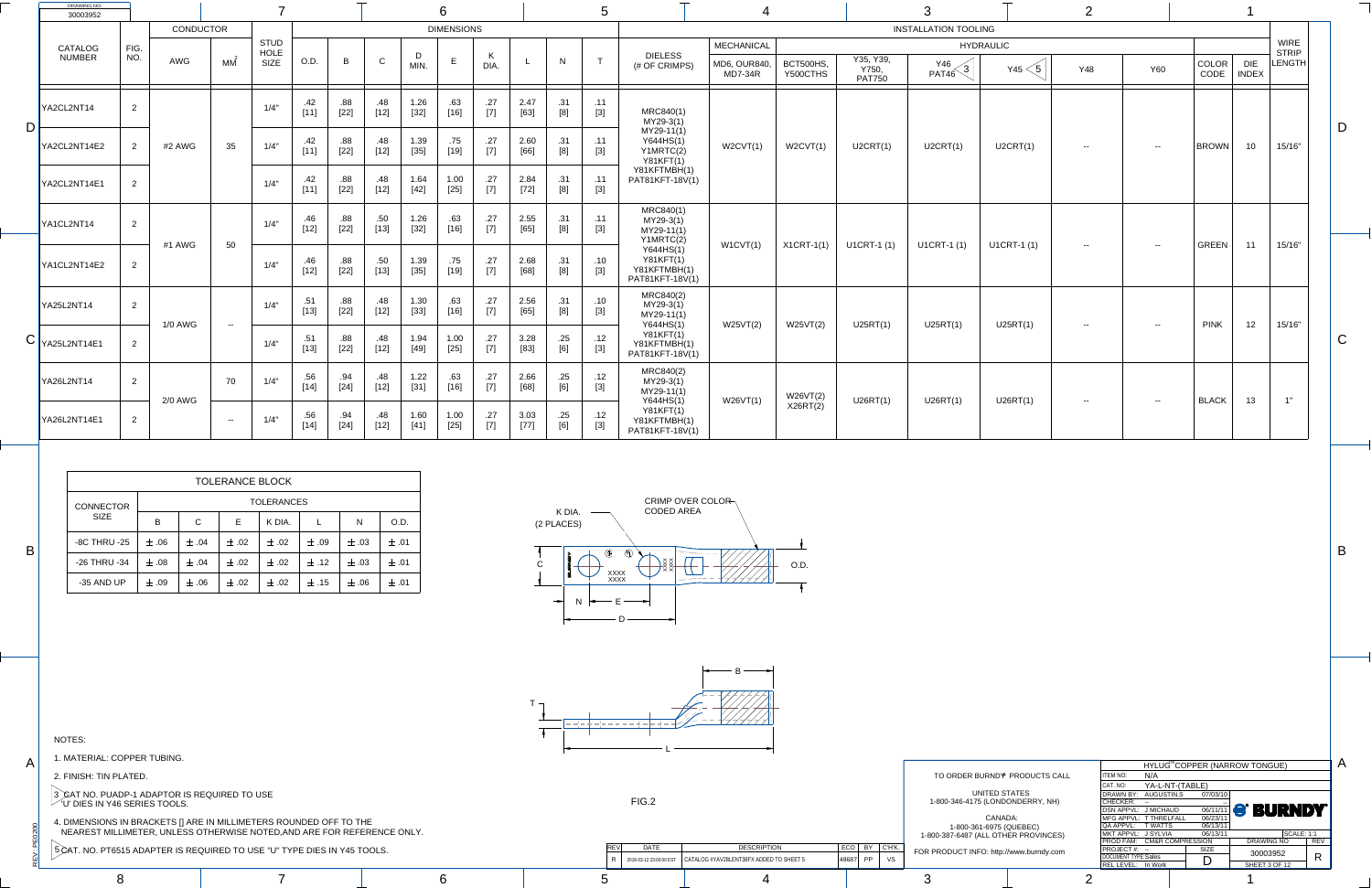$\dot{>}$ 

PEO

200

A

B

B

A



|                                                            |  |             |                              |       |                  | ≺OD FAM:                    | <b>CM&amp;R COMPRESSION</b> |  |
|------------------------------------------------------------|--|-------------|------------------------------|-------|------------------|-----------------------------|-----------------------------|--|
| 515 ADAPTER IS REQUIRED TO USE "U" TYPE DIES IN Y45 TOOLS. |  | <b>DATE</b> | <b>DESCRIPTION</b>           | ECO   |                  | <b>PROJECT#:</b>            |                             |  |
|                                                            |  |             | <b>NT38FX ADDED TO SHEET</b> | 48687 | //www.burndy.com | <b>DOCUMENT TYPE:Sales</b>  |                             |  |
|                                                            |  |             |                              |       |                  | In Work<br><b>EL LEVEL:</b> |                             |  |
|                                                            |  |             |                              |       |                  |                             |                             |  |

|                      |                                |                             | HYLUG <sup>M</sup> COPPER (NARROW TONGUE) |            |
|----------------------|--------------------------------|-----------------------------|-------------------------------------------|------------|
| <b>PRODUCTS CALL</b> | N/A<br><b>ITEM NO:</b>         |                             |                                           |            |
|                      | CAT. NO:                       | YA-L-NT-(TABLE)             |                                           |            |
| <b>TATES</b>         | AUGUSTIN.S<br><b>DRAWN BY:</b> | 07/03/10                    |                                           |            |
| (NDERRY, NH          | <b>CHECKER:</b>                |                             |                                           |            |
|                      | DSN APPVL: J MICHAUD           |                             | <b>OG/11/11 S' BURNDY</b>                 |            |
| CA:                  | MFG APPVL: T THRELFALL         | 06/23/11                    |                                           |            |
| <b>QUEBEC)</b>       | QA APPVL:<br><b>T WATTS</b>    | 06/13/11                    |                                           |            |
| ER PROVINCES)        | MKT APPVL: J SYLVIA            | 06/13/11                    | <b>SCALE: 1:1</b>                         |            |
|                      | <b>PROD FAM:</b>               | <b>CM&amp;R COMPRESSION</b> | <b>DRAWING NO</b>                         | <b>REV</b> |
| www.burndy.com       | <b>PROJECT#:</b>               | <b>SIZE</b>                 | 30003952                                  |            |
|                      | <b>DOCUMENT TYPE:Sales</b>     |                             |                                           | R          |
|                      | REL LEVEL: In Work             |                             | SHEET 3 OF 12                             |            |
|                      |                                |                             |                                           |            |

|                           | <b>DRAWING NO.</b><br>30003952      |                |                |                |                            |               |               |               |                | 6                                                                                                                                                                                           |                                                                                                                                                                                                                                                                                                              |                            |            |                                                                                                                                                                                                                                                                                                                                                                       |                                                                  |                         |                       |                                     |                                  |                  |            |            |               |                            |                             |                |
|---------------------------|-------------------------------------|----------------|----------------|----------------|----------------------------|---------------|---------------|---------------|----------------|---------------------------------------------------------------------------------------------------------------------------------------------------------------------------------------------|--------------------------------------------------------------------------------------------------------------------------------------------------------------------------------------------------------------------------------------------------------------------------------------------------------------|----------------------------|------------|-----------------------------------------------------------------------------------------------------------------------------------------------------------------------------------------------------------------------------------------------------------------------------------------------------------------------------------------------------------------------|------------------------------------------------------------------|-------------------------|-----------------------|-------------------------------------|----------------------------------|------------------|------------|------------|---------------|----------------------------|-----------------------------|----------------|
|                           |                                     |                | CONDUCTOR      |                |                            |               |               |               |                | <b>DIMENSIONS</b>                                                                                                                                                                           |                                                                                                                                                                                                                                                                                                              |                            |            |                                                                                                                                                                                                                                                                                                                                                                       |                                                                  |                         |                       |                                     | <b>INSTALLATION TOOLING</b>      |                  |            |            |               |                            |                             |                |
|                           | <b>CATALOG</b>                      | FIG.           |                |                | <b>STUD</b><br><b>HOLE</b> |               |               |               |                |                                                                                                                                                                                             |                                                                                                                                                                                                                                                                                                              |                            |            |                                                                                                                                                                                                                                                                                                                                                                       |                                                                  | <b>MECHANICAL</b>       |                       |                                     |                                  | <b>HYDRAULIC</b> |            |            |               |                            | <b>WIRE</b><br><b>STRIP</b> |                |
|                           | <b>NUMBER</b>                       | NO.            | AWG            | MM             | SIZE                       | O.D.          | $\mathsf B$   | $\sim$<br>U - | D<br>MIN.      | $E_{\perp}$                                                                                                                                                                                 | $\mathsf{r}$<br>DIA.                                                                                                                                                                                                                                                                                         |                            | N          | $\top$                                                                                                                                                                                                                                                                                                                                                                | <b>DIELESS</b><br>(# OF CRIMPS)                                  | MD6, OUR840,<br>MD7-34R | BCT500HS,<br>Y500CTHS | Y35, Y39,<br>Y750,<br><b>PAT750</b> | Y46<br>$\left(3\right)$<br>PAT46 | Y45              | <b>Y48</b> | <b>Y60</b> | COLOR<br>CODE | <b>DIE</b><br><b>INDEX</b> | LENGTH                      |                |
|                           | YA2CL2NT14                          | $\overline{2}$ |                |                | 1/4"                       | .42           | .88<br>$[22]$ | .48<br>[12]   | 1.26<br>$[32]$ | .63<br>[16]                                                                                                                                                                                 | .27<br>$[7]$                                                                                                                                                                                                                                                                                                 | 2.47<br>$[63]$             | .31<br>[8] | .11<br>$[3]$                                                                                                                                                                                                                                                                                                                                                          | MRC840(1)<br>MY29-3(1)                                           |                         |                       |                                     |                                  |                  |            |            |               |                            |                             |                |
| $\mathsf{D}$ $\mathsf{I}$ | YA2CL2NT14E2                        | $\overline{2}$ | #2 AWG         | 35             | 1/4"                       | .42           | .88<br>$[22]$ | .48<br>[12]   | 1.39<br>$[35]$ | .75<br>[19]                                                                                                                                                                                 | .27<br>$[7]$                                                                                                                                                                                                                                                                                                 | 2.60<br>[66]               | .31<br>[8] | .11<br>$[3]$                                                                                                                                                                                                                                                                                                                                                          | MY29-11(1)<br>Y644HS(1)<br>Y1MRTC(2)<br>Y81KFT(1)                | W2CVT(1)                | W2CVT(1)              | U2CRT(1)                            | U2CRT(1)                         | U2CRT(1)         | $- -$      | $- -$      | <b>BROWN</b>  | 10 <sup>1</sup>            | 15/16"                      | D              |
|                           | YA2CL2NT14E1                        | $\overline{2}$ |                |                | 1/4"                       | .42           | .88<br>$[22]$ | .48<br>$[12]$ | 1.64<br>$[42]$ | 1.00<br>$[25]$                                                                                                                                                                              | .27<br>$[7]$                                                                                                                                                                                                                                                                                                 | 2.84<br>$[72]$             | .31        | .11<br>$[3]$                                                                                                                                                                                                                                                                                                                                                          | Y81KFTMBH(1)<br>PAT81KFT-18V(1)                                  |                         |                       |                                     |                                  |                  |            |            |               |                            |                             |                |
|                           | YA1CL2NT14                          | 2              |                |                | 1/4"                       | .46<br>$[12]$ | .88<br>$[22]$ | .50<br>$[13]$ | 1.26<br>$[32]$ | .63<br>[16]                                                                                                                                                                                 | .27<br>$[7]$                                                                                                                                                                                                                                                                                                 | 2.55<br>$[65]$             | .31        | .11<br>$[3]$                                                                                                                                                                                                                                                                                                                                                          | MRC840(1)<br>$MY29-3(1)$<br>MY29-11(1)<br>Y1MRTC(2)              |                         |                       |                                     |                                  |                  |            |            |               |                            |                             |                |
|                           | YA1CL2NT14E2                        | $\overline{2}$ | #1 AWG         | 50             | 1/4"                       | .46<br>$[12]$ | .88<br>$[22]$ | .50<br>$[13]$ | 1.39<br>$[35]$ | .75<br>[19]                                                                                                                                                                                 | .27<br>$[7] \centering% \includegraphics[width=1.0\textwidth]{images/TrDiC-Architecture.png} \caption{The 3D (top) and the 4D (bottom) of the 3D (bottom) and the 4D (bottom) of the 3D (bottom) and the 4D (bottom) of the 3D (bottom) and the 4D (bottom) of the 3D (bottom).} \label{TrDiC-Architecture}$ | 2.68<br>$[68]$             | .31<br>[8] | .10<br>$[3]$                                                                                                                                                                                                                                                                                                                                                          | Y644HS(1)<br><b>Y81KFT(1)</b><br>Y81KFTMBH(1)<br>PAT81KFT-18V(1) | W1CVT(1)                | $X1CRT-1(1)$          | U1CRT-1 (1)                         | U1CRT-1 (1)                      | U1CRT-1 (1)      | $- -$      | $- -$      | GREEN         | 11                         | 15/16"                      |                |
|                           | YA25L2NT14                          | $\overline{2}$ | <b>1/0 AWG</b> | $- -$          | 1/4"                       | .51<br>$[13]$ | .88<br>$[22]$ | .48<br>[12]   | 1.30<br>$[33]$ | .63<br>$[16] % \includegraphics[width=0.9\columnwidth]{figures/fig_1a} \caption{The 1D (top) of the estimators in the left and right. The left is the same as in the right.} \label{fig:1}$ | .27<br>$[7] \centering% \includegraphics[width=1.0\textwidth]{images/TrDiC-Architecture.png} \caption{The 3D (top) and the 4D (bottom) of the 3D (bottom) and the 4D (bottom) of the 3D (bottom) and the 4D (bottom) of the 3D (bottom) and the 4D (bottom) of the 3D (bottom).} \label{TrDiC-Architecture}$ | 2.56<br>[65]               | .31        | .10<br>[3]                                                                                                                                                                                                                                                                                                                                                            | MRC840(2)<br>MY29-3(1)<br>MY29-11(1)<br>Y644HS(1)                | W25VT(2)                | W25VT(2)              | U25RT(1)                            | U25RT(1)                         | U25RT(1)         |            | $- -$      | <b>PINK</b>   | 12                         | 15/16"                      |                |
| $\overline{\phantom{1}}$  | $\blacktriangleright$  YA25L2NT14E1 | $\overline{2}$ |                |                | 1/4"                       | .51<br>$[13]$ | .88<br>$[22]$ | .48<br>$[12]$ | 1.94<br>$[49]$ | 1.00<br>$[25]$                                                                                                                                                                              | .27<br>$[7]$                                                                                                                                                                                                                                                                                                 | 3.28<br>$[83]$             | .25<br>[6] | .12<br>[3]                                                                                                                                                                                                                                                                                                                                                            | <b>Y81KFT(1)</b><br>Y81KFTMBH(1)<br>PAT81KFT-18V(1)              |                         |                       |                                     |                                  |                  | $- -$      |            |               |                            |                             | $\bigcap$<br>U |
|                           | YA26L2NT14                          | $\overline{2}$ | <b>2/0 AWG</b> | 70             | 1/4"                       | .56<br>$[14]$ | .94<br>$[24]$ | .48<br>$[12]$ | 1.22<br>$[31]$ | .63<br>[16]                                                                                                                                                                                 | .27<br>$[7]$                                                                                                                                                                                                                                                                                                 | 2.66<br>$[68]$             | .25<br>[6] | .12<br>$[3] % \begin{center} \includegraphics[width=\linewidth]{imagesSupplemental/Imetad-Architecture.png} \end{center} % \vspace*{-1em} \caption{The image shows the number of parameters of the estimators in the image. The image shows the number of parameters of the data. The number of data represents the number of parameters of the data.} \label{fig:2}$ | MRC840(2)<br>MY29-3(1)<br>MY29-11(1)                             | W26VT(1)                | W26VT(2)              | U26RT(1)                            | U26RT(1)                         |                  |            |            |               | 13                         | 1"                          |                |
|                           | YA26L2NT14E1                        | 2              |                | $\sim$ $ \sim$ | 1/4"                       | .56           | .94<br>$[24]$ | .48<br>$[12]$ | 1.60<br>$[41]$ | 1.00<br>$[25]$                                                                                                                                                                              | .27<br>$[7]$                                                                                                                                                                                                                                                                                                 | 3.03<br>$\left[ 77\right]$ | .25<br>[6] | .12<br>[3]                                                                                                                                                                                                                                                                                                                                                            | Y644HS(1)<br>Y81KFT(1)<br>Y81KFTMBH(1)<br>PAT81KFT-18V(1)        |                         | X26RT(2)              |                                     |                                  | U26RT(1)         | $- -$      | $- -$      | <b>BLACK</b>  |                            |                             |                |



|                  |           | <b>TOLERANCE BLOCK</b> |           |                   |           |           |           |
|------------------|-----------|------------------------|-----------|-------------------|-----------|-----------|-----------|
| <b>CONNECTOR</b> |           |                        |           | <b>TOLERANCES</b> |           |           |           |
| <b>SIZE</b>      | B         | $\mathsf C$            | E.        | K DIA.            |           | N         | O.D.      |
| -8C THRU -25     | $\pm .06$ | $\pm .04$              | $\pm .02$ | $\pm$ .02         | $\pm$ .09 | $\pm .03$ | $\pm$ .01 |
| -26 THRU -34     | $\pm$ .08 | $\pm .04$              | $+ .02$   | $\pm$ .02         | $\pm .12$ | $\pm .03$ | $\pm$ .01 |
| -35 AND UP       | $\pm .09$ | $\pm .06$              | $\pm .02$ | $\pm .02$         | $\pm .15$ | $\pm .06$ | $+ .01$   |

NOTES:

1. MATERIAL: COPPER TUBING.

2. FINISH: TIN PLATED.

3 *)*CAT NO. PUADP-1 ADAPTOR IS REQUIRED TO USE  $\degree$  'U' DIES IN Y46 SERIES TOOLS.

4. DIMENSIONS IN BRACKETS [] ARE IN MILLIMETERS ROUNDED OFF TO THE NEAREST MILLIMETER, UNLESS OTHERWISE NOTED,AND ARE FOR REFERENCE ONLY.

5 CAT. NO. PT6515 ADAPTER IS REQUIRED TO USE "U" TYPE DIES IN Y45 TOOLS.

FIG.2

TO ORDER BURND<sup>®</sup> PRODUCTS CALL UNITED  $STA$ 1-800-346-4175 (LONDO CANAD 1-800-361-6975 (QUEBEC) 1-800-387-6487 (ALL OTHER PROVINCES) RODUCT INFO: http://<mark>w</mark>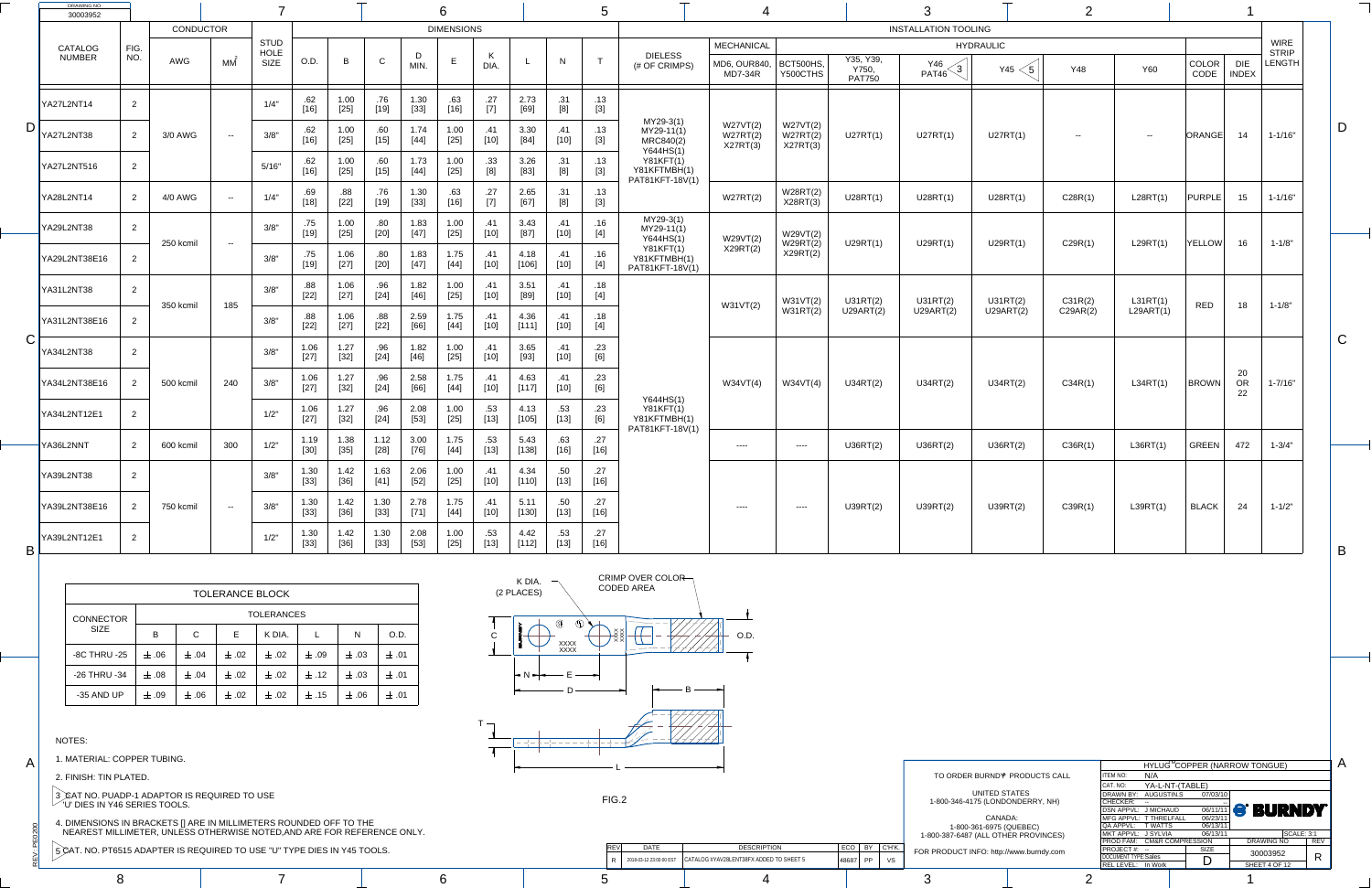$\ddot{\ge}$ 

: PE0200

A

C

B

A

1-800-361-6975 (QUEBEC) 1-800-387-6487 (ALL OTHER PROVINCES)

|                                                            |  |                         |                                         |                    |                                         | <b>PROD FAM: CM&amp;R COMPRESSION</b> |             |  |
|------------------------------------------------------------|--|-------------------------|-----------------------------------------|--------------------|-----------------------------------------|---------------------------------------|-------------|--|
| 515 ADAPTER IS REQUIRED TO USE "U" TYPE DIES IN Y45 TOOLS. |  | <b>DATE</b>             | <b>DESCRIPTION</b>                      | ECO                | FOR PRODUCT INFO: http://www.burndy.com | $ $ PROJECT #:                        | <b>SIZE</b> |  |
|                                                            |  | 2018-03-12 23:00:00 EST | CATALOG #YAV28LENT38FX ADDED TO SHEET 5 | <b>PP</b><br>48687 |                                         | <b>DOCUMENT TYPE:Sales</b>            |             |  |
|                                                            |  |                         |                                         |                    |                                         | REL LEVEL: In Work                    |             |  |
|                                                            |  |                         |                                         |                    |                                         |                                       |             |  |

| <b>DRAWING NO.</b><br>30003952           |             |           |                |                                           |                        |                |                                                                                                                                                                                                                                                           |                | 6                 |                                                                                                                                                                                                                                                                                                              |                 |                                   |               |                                                                  |                                                     |                                  |                                     |                             |                                         |            |            |                       |                       |                                       |  |
|------------------------------------------|-------------|-----------|----------------|-------------------------------------------|------------------------|----------------|-----------------------------------------------------------------------------------------------------------------------------------------------------------------------------------------------------------------------------------------------------------|----------------|-------------------|--------------------------------------------------------------------------------------------------------------------------------------------------------------------------------------------------------------------------------------------------------------------------------------------------------------|-----------------|-----------------------------------|---------------|------------------------------------------------------------------|-----------------------------------------------------|----------------------------------|-------------------------------------|-----------------------------|-----------------------------------------|------------|------------|-----------------------|-----------------------|---------------------------------------|--|
|                                          |             | CONDUCTOR |                |                                           |                        |                |                                                                                                                                                                                                                                                           |                | <b>DIMENSIONS</b> |                                                                                                                                                                                                                                                                                                              |                 |                                   |               |                                                                  |                                                     |                                  |                                     | <b>INSTALLATION TOOLING</b> |                                         |            |            |                       |                       |                                       |  |
| CATALOG<br><b>NUMBER</b>                 | FIG.<br>NO. | AWG       | MM             | <b>STUD</b><br><b>HOLE</b><br><b>SIZE</b> | O.D.                   | B              | $\sim$                                                                                                                                                                                                                                                    | D<br>MIN.      | E                 | K<br><b>DIA</b>                                                                                                                                                                                                                                                                                              |                 | N                                 | $\mathbf{r}$  | <b>DIELESS</b><br>(# OF CRIMPS)                                  | <b>MECHANICAL</b><br>MD6, OUR840,<br><b>MD7-34R</b> | BCT500HS,<br>Y500CTHS            | Y35, Y39,<br>Y750,<br><b>PAT750</b> | Y46<br>PAT46                | <b>HYDRAULIC</b><br>Y45<br>$\,{5}$ $\,$ | <b>Y48</b> | <b>Y60</b> | COLOR<br>CODE         | DIE<br><b>INDEX</b>   | <b>WIRE</b><br><b>STRIP</b><br>LENGTH |  |
| YA27L2NT14                               |             |           |                | 1/4"                                      | .62<br>[16]            | 1.00<br>$[25]$ | .76<br>$[19] % \includegraphics[width=1\textwidth]{images/Traj_2.pdf} \caption{The figure shows the number of parameters of the estimators in the right panel. The left panel shows the number of parameters in the right panel.} \label{fig:Traj_2.pdf}$ | 1.30<br>$[33]$ | .63<br>$[16]$     | .27<br>$[7]$                                                                                                                                                                                                                                                                                                 | 2.73<br>$[69]$  | .31<br>[8]                        | .13<br>$[3]$  |                                                                  |                                                     |                                  |                                     |                             |                                         |            |            |                       |                       |                                       |  |
| <b>YA27L2NT38</b>                        |             | 3/0 AWG   | $- -$          | 3/8"                                      | .62<br>16]             | 1.00<br>$[25]$ | .60<br>$[15]$                                                                                                                                                                                                                                             | 1.74<br>$[44]$ | 1.00<br>$[25]$    | .41<br>$[10]$                                                                                                                                                                                                                                                                                                | 3.30<br>$[84]$  | $[10]$                            | .13<br>$[3]$  | MY29-3(1)<br>$MY29-11(1)$<br>MRC840(2)                           | W27VT(2)<br>W27RT(2)<br>X27RT(3)                    | W27VT(2)<br>W27RT(2)<br>X27RT(3) | U27RT(1)                            | U27RT(1)                    | U27RT(1)                                | $- -$      | $- -$      | <b>ORANGE</b>         | 14                    | $1 - 1/16"$                           |  |
| <b>YA27L2NT516</b>                       | 2           |           |                | 5/16"                                     | .62<br>$[16]$          | 1.00<br>$[25]$ | .60<br>$[15]$                                                                                                                                                                                                                                             | 1.73<br>$[44]$ | 1.00<br>$[25]$    | .33<br>[8]                                                                                                                                                                                                                                                                                                   | 3.26<br>$[83]$  | .31<br>[8]                        | .13<br>$[3]$  | Y644HS(1)<br><b>Y81KFT(1)</b><br>Y81KFTMBH(1)<br>PAT81KFT-18V(1) |                                                     |                                  |                                     |                             |                                         |            |            |                       |                       |                                       |  |
| <b>YA28L2NT14</b>                        |             | 4/0 AWG   | $\sim$ $ \sim$ | 1/4"                                      | .69<br>$[18]$          | .88<br>$[22]$  | .76<br>$[19]$                                                                                                                                                                                                                                             | 1.30<br>$[33]$ | .63<br>$[16]$     | .27<br>$[7] \centering% \includegraphics[width=1.0\textwidth]{images/TrDiC-Architecture.png} \caption{The 3D (top) and the 4D (bottom) of the 3D (bottom) and the 4D (bottom) of the 3D (bottom) and the 4D (bottom) of the 3D (bottom) and the 4D (bottom) of the 3D (bottom).} \label{TrDiC-Architecture}$ | 2.65<br>$[67]$  | .31                               | .13<br>$[3]$  |                                                                  | W27RT(2)                                            | W28RT(2)<br>X28RT(3)             | U28RT(1)                            | U28RT(1)                    | U28RT(1)                                | C28R(1)    | L28RT(1)   | PURPLE                | 15 <sup>1</sup>       | $1 - 1/16"$                           |  |
| <b>YA29L2NT38</b>                        |             | 250 kcmil | $\sim$ $-$     | 3/8"                                      | .75<br>[19]            | 1.00<br>$[25]$ | .80<br>$[20]$                                                                                                                                                                                                                                             | 1.83<br>$[47]$ | 1.00<br>$[25]$    | .41<br>$[10]$                                                                                                                                                                                                                                                                                                | 3.43<br>$[87]$  | .41<br>$[10]$                     | .16<br>$[4]$  | MY29-3(1)<br>MY29-11(1)<br>Y644HS(1)                             | W29VT(2)                                            | W29VT(2)<br>W29RT(2)             | U29RT(1)                            | U29RT(1)                    | U29RT(1)                                | C29R(1)    | L29RT(1)   | <b>YELLOW</b>         | 16                    | $1 - 1/8"$                            |  |
| <b>YA29L2NT38E16</b>                     |             |           |                | 3/8"                                      | 7 <sup>2</sup><br>[19] | 1.06<br>$[27]$ | .80<br>$[20]$                                                                                                                                                                                                                                             | 1.83<br>$[47]$ | 1.75<br>$[44]$    | $[10]$                                                                                                                                                                                                                                                                                                       | 4.18<br>[106]   | $\boldsymbol{A}$<br>.41<br>$[10]$ | .16<br>$[4]$  | Y81KFT(1)<br>Y81KFTMBH(1)<br>PAT81KFT-18V(1)                     | X29RT(2)                                            | X29RT(2)                         |                                     |                             |                                         |            |            |                       |                       |                                       |  |
| YA31L2NT38                               |             | 350 kcmil | 185            | 3/8"                                      | .88<br>$[22]$          | 1.06<br>$[27]$ | .96<br>$[24]$                                                                                                                                                                                                                                             | 1.82<br>$[46]$ | 1.00<br>$[25]$    | $[10]$                                                                                                                                                                                                                                                                                                       | 3.51<br>$[89]$  | $[10]$                            | .18<br>$[4]$  |                                                                  | W31VT(2)                                            | W31VT(2)                         | U31RT(2)                            | U31RT(2)                    | U31RT(2)                                | C31R(2)    | L31RT(1)   | <b>RED</b>            | 18                    | $1 - 1/8"$                            |  |
| YA31L2NT38E16<br>⌒                       |             |           |                | 3/8"                                      | .88<br>$[22]$          | 1.06<br>$[27]$ | .88.<br>$[22]$                                                                                                                                                                                                                                            | 2.59<br>[66]   | 1.75<br>$[44]$    | $[10]$                                                                                                                                                                                                                                                                                                       | 4.36<br>[111]   | $[10]$                            | .18<br>$[4]$  |                                                                  |                                                     | W31RT(2)                         | <b>U29ART(2)</b>                    | U29ART (2)                  | U29ART (2)                              | C29AR(2)   | L29ART(1)  |                       |                       |                                       |  |
| $\overline{\mathbf{v}}$<br>YA34L2NT38    |             |           |                | 3/8"                                      | 1.06<br>$[27]$         | 1.27<br>$[32]$ | .96<br>$[24]$                                                                                                                                                                                                                                             | 1.82<br>[46]   | 1.00<br>$[25]$    | $[10]$                                                                                                                                                                                                                                                                                                       | 3.65<br>$[93]$  | $[10]$                            | .23<br>[6]    |                                                                  |                                                     |                                  |                                     |                             |                                         |            |            |                       |                       |                                       |  |
| YA34L2NT38E16                            |             | 500 kcmil | 240            | 3/8"                                      | 1.06<br>$[27]$         | 1.27<br>$[32]$ | .96<br>$[24]$                                                                                                                                                                                                                                             | 2.58<br>[66]   | 1.75<br>$[44]$    | $[10]$                                                                                                                                                                                                                                                                                                       | 4.63<br>[117]   | $[10]$                            | .23<br>[6]    | Y644HS(1)                                                        | W34VT(4)                                            | W34VT(4)                         | U34RT(2)                            | U34RT(2)                    | U34RT(2)                                | C34R(1)    | L34RT(1)   | <b>BROWN</b>          | 20<br><b>OR</b><br>22 | $1 - 7/16"$                           |  |
| YA34L2NT12E1                             |             |           |                | 1/2"                                      | 1.06<br>$[27]$         | 1.27<br>$[32]$ | .96<br>$[24]$                                                                                                                                                                                                                                             | 2.08<br>$[53]$ | 1.00<br>$[25]$    | .53<br>$[13]$                                                                                                                                                                                                                                                                                                | 4.13<br>$[105]$ | .53<br>$[13]$                     | .23<br>[6]    | Y81KFT(1)<br>Y81KFTMBH(1)<br>PAT81KFT-18V(1)                     |                                                     |                                  |                                     |                             |                                         |            |            |                       |                       |                                       |  |
| YA36L2NNT                                |             | 600 kcmil | 300            | 1/2"                                      | 1.19<br>$[30]$         | 1.38<br>$[35]$ | 1.12<br>[28]                                                                                                                                                                                                                                              | 3.00<br>$[76]$ | 1.75<br>$[44]$    | .53<br>$[13]$                                                                                                                                                                                                                                                                                                | 5.43<br>[138]   | .63<br>$[16]$                     | .27<br>$[16]$ |                                                                  | $---$                                               | $--- -$                          | U36RT(2)                            | U36RT(2)                    | U36RT(2)                                | C36R(1)    | LS6RT(1)   | <b>GREEN</b>          | 472                   | $1 - 3/4"$                            |  |
| YA39L2NT38                               | 2           |           |                | 3/8"                                      | 1.30<br>$[33]$         | 1.42<br>$[36]$ | 1.63<br>[41]                                                                                                                                                                                                                                              | 2.06<br>$[52]$ | 1.00<br>$[25]$    | .41<br>$[10]$                                                                                                                                                                                                                                                                                                | 4.34<br>[110]   | .50<br>$[13]$                     | .27<br>$[16]$ |                                                                  |                                                     |                                  |                                     |                             |                                         |            |            |                       |                       |                                       |  |
| YA39L2NT38E16                            |             | 750 kcmil | $- -$          | $\bigcap$ $\bigcap$<br>3/8                | 1.30<br>[33]           | 1.42<br>$[36]$ | 1.30<br>[33]                                                                                                                                                                                                                                              | 2.78<br>[71]   | 1.75<br>[44]      | .41<br>[10]                                                                                                                                                                                                                                                                                                  | 5.11<br>[130]   | .50 <sub>1</sub><br>[13]          | .27<br>[16]   |                                                                  | $---$                                               | $--- -$                          | U39RT(2)                            | U39RT(2)                    | U39RT(2)                                | C39R(1)    | L39RT(1)   | $\vert$ BLACK $\vert$ | 24                    | $1 - 1/2"$                            |  |
| <b>YA39L2NT12E1</b><br>$\mathsf{B} \mid$ |             |           |                | 1/2"                                      | 1.30<br>$[33]$         | 1.42<br>$[36]$ | 1.30<br>[33]                                                                                                                                                                                                                                              | 2.08<br>$[53]$ | 1.00<br>$[25]$    | .53<br>$[13]$                                                                                                                                                                                                                                                                                                | 4.42<br>$[112]$ | .53<br>[13]                       | .27<br>$[16]$ |                                                                  |                                                     |                                  |                                     |                             |                                         |            |            |                       |                       |                                       |  |



|                      |                            |                            |             | HYLUG <sup>™</sup> COPPER (NARROW TONGUE) |            |
|----------------------|----------------------------|----------------------------|-------------|-------------------------------------------|------------|
| <b>PRODUCTS CALL</b> | <b>ITEM NO:</b>            | N/A                        |             |                                           |            |
|                      | CAT. NO:                   | YA-L-NT-(TABLE)            |             |                                           |            |
| <b>TATES</b>         | DRAWN BY:                  | AUGUSTIN.S                 | 07/03/10    |                                           |            |
| ONDERRY, NH)         | <b>CHECKER:</b>            |                            |             |                                           |            |
|                      | <b>DSN APPVL:</b>          | J MICHAUD                  |             | <b>OG/11/11 S' BURNDY</b>                 |            |
| CA:                  |                            | MFG APPVL: T THRELFALL     | 06/23/11    |                                           |            |
| <b>QUEBEC)</b>       | QA APPVL:                  | <b>T WATTS</b>             | 06/13/11    |                                           |            |
| ER PROVINCES)        | MKT APPVL: J SYLVIA        |                            | 06/13/11    | <b>SCALE: 3:1</b>                         |            |
|                      |                            | PROD FAM: CM&R COMPRESSION |             | <b>DRAWING NO</b>                         | <b>REV</b> |
| www.burndy.com       | PROJECT#: --               |                            | <b>SIZE</b> | 30003952                                  |            |
|                      | <b>DOCUMENT TYPE:Sales</b> |                            | D           |                                           | R          |
|                      | <b>REL LEVEL:</b>          | In Work                    |             | SHEET 4 OF 12                             |            |
|                      |                            |                            |             |                                           |            |

|                  |           |             | <b>TOLERANCE BLOCK</b> |                   |           |           |           |
|------------------|-----------|-------------|------------------------|-------------------|-----------|-----------|-----------|
| <b>CONNECTOR</b> |           |             |                        | <b>TOLERANCES</b> |           |           |           |
| <b>SIZE</b>      | B         | $\mathsf C$ | E                      | K DIA.            |           | N         | O.D.      |
| -8C THRU -25     | $\pm .06$ | $\pm .04$   | $\pm .02$              | $\pm .02$         | $\pm .09$ | $\pm .03$ | $\pm$ .01 |
| -26 THRU -34     | $\pm$ .08 | $\pm$ .04   | $\pm .02$              | $\pm$ .02         | $\pm$ .12 | $\pm .03$ | $\pm$ .01 |
| -35 AND UP       | $\pm$ .09 | $\pm .06$   | $\pm .02$              | $\pm .02$         | $\pm .15$ | $\pm .06$ | $\pm$ .01 |

## NOTES:

1. MATERIAL: COPPER TUBING.

2. FINISH: TIN PLATED.

 $3$   $\!\times$ AT NO. PUADP-1 ADAPTOR IS REQUIRED TO USE  $\degree$  'U' DIES IN Y46 SERIES TOOLS.

4. DIMENSIONS IN BRACKETS [] ARE IN MILLIMETERS ROUNDED OFF TO THE NEAREST MILLIMETER, UNLESS OTHERWISE NOTED,AND ARE FOR REFERENCE ONLY.

5 CAT. NO. PT6515 ADAPTER IS REQUIRED TO USE "U" TYPE DIES IN Y45 TOOLS.

FIG.2

TO ORDER BURND<sup>®</sup> PRODUCTS CALL UNITED STA 1-800-346-4175 (LONDO CANAD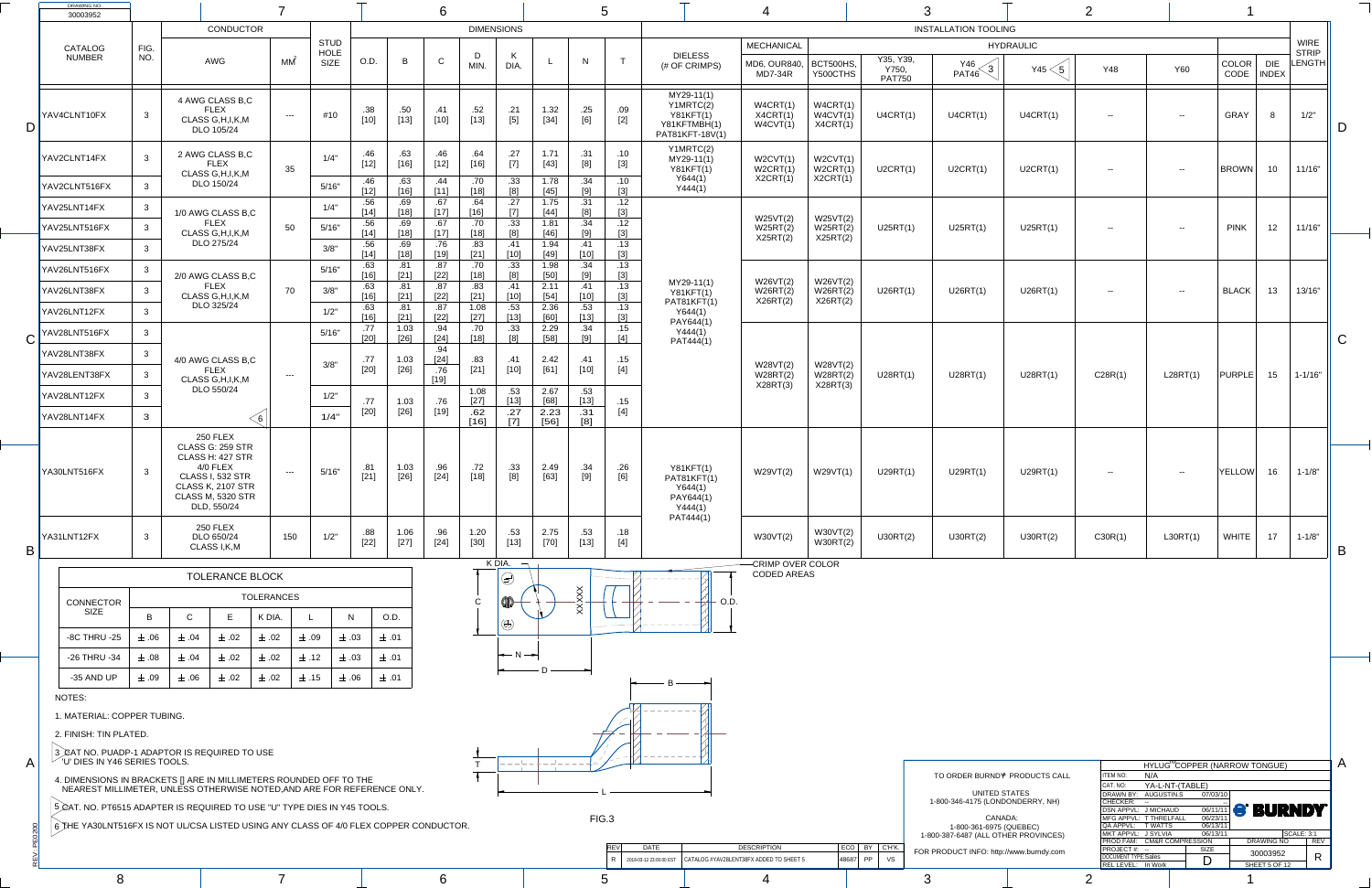|              | <b>DRAWING NO.</b><br>30003952                                                                                                               |              |             |                                                                                                                                                                         |                   |                                           |                   |                |               |                   |                                    |                          |                          |                               |                                                                                 |                                              |                                  |                                          | ⌒                                                               |                                   | $\bigcap$                                                      |                                                  |                                      |                           |                                                                                      |                |
|--------------|----------------------------------------------------------------------------------------------------------------------------------------------|--------------|-------------|-------------------------------------------------------------------------------------------------------------------------------------------------------------------------|-------------------|-------------------------------------------|-------------------|----------------|---------------|-------------------|------------------------------------|--------------------------|--------------------------|-------------------------------|---------------------------------------------------------------------------------|----------------------------------------------|----------------------------------|------------------------------------------|-----------------------------------------------------------------|-----------------------------------|----------------------------------------------------------------|--------------------------------------------------|--------------------------------------|---------------------------|--------------------------------------------------------------------------------------|----------------|
|              |                                                                                                                                              |              |             | <b>CONDUCTOR</b>                                                                                                                                                        |                   |                                           |                   |                |               | <b>DIMENSIONS</b> |                                    |                          |                          |                               |                                                                                 |                                              |                                  |                                          | <b>INSTALLATION TOOLING</b>                                     |                                   |                                                                |                                                  |                                      |                           |                                                                                      |                |
|              | CATALOG<br><b>NUMBER</b>                                                                                                                     | FIG.<br>NO.  |             | <b>AWG</b>                                                                                                                                                              | МM                | <b>STUD</b><br><b>HOLE</b><br><b>SIZE</b> | O.D.              | B              | $\sim$        | MIN.              | $\mathbf{r}$<br>DIA.               |                          |                          |                               | <b>DIELESS</b><br>(# OF CRIMPS)                                                 | <b>MECHANICAL</b><br>MD6, OUR840,<br>MD7-34R | BCT500HS,<br>Y500CTHS            | Y35, Y39,<br>Y750,<br><b>PAT750</b>      | Y46<br>$\left(3\right)$<br>PAT46                                | <b>HYDRAULIC</b><br>Y45 $<$ 5 $ $ | <b>Y48</b>                                                     | <b>Y60</b>                                       | COLOR<br>CODE                        | <b>DIE</b><br>  INDEX     | <b>WIRE</b><br><b>STRIP</b><br>$\mathsf{\mathsf{\mathsf{\mathsf{L}}}}$ ENGTH $\vert$ |                |
|              | YAV4CLNT10FX                                                                                                                                 |              |             | 4 AWG CLASS B,C<br><b>FLEX</b><br>CLASS G, H, I, K, M<br>DLO 105/24                                                                                                     | $- - -$           | #10                                       | .38<br>$[10]$     | .50<br>$[13]$  | .41<br>[10]   | .52<br>$[13]$     | .21<br>$[5]$                       | 1.32<br>$[34]$           | .25<br>[6]               | .09<br>$[2]$                  | MY29-11(1)<br>Y1MRTC(2)<br><b>Y81KFT(1)</b><br>Y81KFTMBH(1)<br>PAT81KFT-18V(1)  | W4CRT(1)<br>X4CRT(1)<br>W4CVT(1)             | W4CRT(1)<br>W4CVT(1)<br>X4CRT(1) | U4CRT(1)                                 | U4CRT(1)                                                        | U4CRT(1)                          | $- -$                                                          | $\sim$ $ \sim$                                   | <b>GRAY</b>                          |                           | 1/2"                                                                                 |                |
|              | YAV2CLNT14FX                                                                                                                                 |              |             | 2 AWG CLASS B,C<br><b>FLEX</b><br>CLASS G, H, I, K, M                                                                                                                   | 35                | 1/4"                                      | 46<br>$[12]$      | .63<br>16]     | .46<br>[12]   | .64<br>16]        | .27                                | 1.71<br>$[43]$           | .31<br>[8]               | .10<br>$[3]$                  | Y1MRTC(2)<br>MY29-11(1)<br><b>Y81KFT(1)</b>                                     | W2CVT(1)<br>W2CRT(1)                         | W2CVT(1)<br>W2CRT(1)             | U2CRT(1)                                 | U2CRT(1)                                                        | U2CRT(1)                          | $- -$                                                          | $- -$                                            | <b>BROWN</b>                         | 10                        | 11/16"                                                                               |                |
|              | YAV2CLNT516FX                                                                                                                                |              |             | DLO 150/24                                                                                                                                                              |                   | 5/16"                                     | 12]               | .63<br>16]     | .44           | .70<br>$18$ ]     | .33<br>[8]                         | 1.78<br>$[45]$           | .34                      | .10<br>$[3]$                  | Y644(1)<br>Y444(1)                                                              | X2CRT(1)                                     | X2CRT(1)                         |                                          |                                                                 |                                   |                                                                |                                                  |                                      |                           |                                                                                      |                |
|              | YAV25LNT14FX                                                                                                                                 |              |             | 1/0 AWG CLASS B,C                                                                                                                                                       |                   | 1/4"                                      | .56<br>[14]       | .69<br>[18]    | .67           | .64<br>[16]       | .27                                | .75<br>$[44]$            | [8]                      | $[3]$                         |                                                                                 | W25VT(2)                                     | W25VT(2)                         |                                          |                                                                 |                                   |                                                                |                                                  |                                      |                           |                                                                                      |                |
|              | YAV25LNT516FX                                                                                                                                |              |             | <b>FLEX</b><br>CLASS G, H, I, K, M                                                                                                                                      | 50                | 5/16"                                     | .56<br>[14]       | .69<br>18]     | .67           | 18                | .33<br>R1                          | $1.8^{\prime}$<br>$[46]$ | .34                      | 12<br>$\blacksquare$<br>$[3]$ |                                                                                 | W25RT(2)<br>X25RT(2)                         | W25RT(2)<br>X25RT(2)             | U25RT(1)                                 | U25RT(1)                                                        | U25RT(1)                          | $- -$                                                          | $- -$                                            | <b>PINK</b>                          | 12                        | 11/16"                                                                               |                |
|              | YAV25LNT38FX                                                                                                                                 |              |             | DLO 275/24                                                                                                                                                              |                   | 3/8"                                      | .56<br><u>14]</u> | .69<br>[18]    | .76<br>19]    | .83               | .41<br>[10]                        | 1.94<br>$[49]$           | .41<br>$[10]$            | .13<br>$[3]$                  |                                                                                 |                                              |                                  |                                          |                                                                 |                                   |                                                                |                                                  |                                      |                           |                                                                                      |                |
|              | YAV26LNT516FX                                                                                                                                |              |             | 2/0 AWG CLASS B,C                                                                                                                                                       |                   | 5/16"                                     | .63<br>[16]       | .81<br>[21]    | .87<br>$[22]$ | .70<br>[18]       | .33<br>[8]                         | 1.98<br>[50]             | .34                      | .13<br>$[3]$                  |                                                                                 | W26VT(2)                                     | W26VT(2)                         |                                          |                                                                 |                                   |                                                                |                                                  |                                      |                           |                                                                                      |                |
|              | YAV26LNT38FX                                                                                                                                 |              |             | FLEX<br>CLASS G, H, I, K, M                                                                                                                                             | 70                | 3/8"                                      | 63<br>[16]        | [21]           | .87<br>$[22]$ | .83               | .41<br>$[10]$                      | 2.11<br>$[54]$           | $[10]$                   | $[3]$                         | $MY29-11(1)$<br><b>Y81KFT(1)</b><br>PAT81KFT(1)                                 | W26RT(2)<br>X26RT(2)                         | W26RT(2)<br>X26RT(2)             | U26RT(1)                                 | U26RT(1)                                                        | U26RT(1)                          | $- -$                                                          | $- -$                                            | <b>BLACK</b>                         | 13                        | 13/16"                                                                               |                |
|              | YAV26LNT12FX                                                                                                                                 |              |             | DLO 325/24                                                                                                                                                              |                   | 1/2"                                      | .63<br>[16]       | .O I<br>[21]   | .87<br>$[22]$ | 1.08<br>$[27]$    | .53<br>$[13]$                      | 2.36<br>[60]             | .53<br>$[13]$            | .13<br>$[3]$                  | Y644(1)<br>PAY644(1)                                                            |                                              |                                  |                                          |                                                                 |                                   |                                                                |                                                  |                                      |                           |                                                                                      |                |
|              | $\bigcap$ YAV28LNT516FX                                                                                                                      |              |             |                                                                                                                                                                         |                   | 5/16"                                     | .77<br>$[20]$     | 1.03<br>$[26]$ | .94<br>[24]   | .70<br>[18]       | .33<br>[8]                         | 2.29<br>[58]             | .34<br>[9]               | .15<br>$[4]$                  | Y444(1)<br>PAT444(1)                                                            |                                              |                                  |                                          |                                                                 |                                   |                                                                |                                                  |                                      |                           |                                                                                      | $\bigcap$<br>U |
|              | YAV28LNT38FX                                                                                                                                 |              |             | 4/0 AWG CLASS B,C                                                                                                                                                       |                   | 3/8"                                      | .77               | 1.03           | .94<br>[24]   | .83               | .41                                | 2.42                     | .41                      | .15                           |                                                                                 | W28VT(2)                                     | W28VT(2)                         |                                          |                                                                 |                                   |                                                                |                                                  |                                      |                           |                                                                                      |                |
|              | YAV28LENT38FX                                                                                                                                |              |             | <b>FLEX</b><br>CLASS G, H, I, K, M                                                                                                                                      | $-$ – $-$ – $\,$  |                                           | $[20]$            | $[26]$         | .76<br>[19]   | $[21]$            | $[10]$                             | $[61]$                   | [10]                     | $[4]$                         |                                                                                 | W28RT(2)<br>X28RT(3)                         | W28RT(2)<br>X28RT(3)             | U28RT(1)                                 | U28RT(1)                                                        | U28RT(1)                          | C28R(1)                                                        | L28RT(1)                                         | PURPLE                               | 15                        | $1 - 1/16"$                                                                          |                |
|              | YAV28LNT12FX                                                                                                                                 |              |             | DLO 550/24                                                                                                                                                              |                   | 1/2"                                      | .77               | 1.03           | .76           | 1.08<br>$[27]$    | .53<br>[13]                        | 2.67<br>[68]             | .53<br>[13]              | 15                            |                                                                                 |                                              |                                  |                                          |                                                                 |                                   |                                                                |                                                  |                                      |                           |                                                                                      |                |
|              | YAV28LNT14FX                                                                                                                                 | $\mathbf{3}$ |             | . O                                                                                                                                                                     |                   | 1/4"                                      | [20]              | $[26]$         | [19]          | .62<br>$[16]$     | .27<br>$[7]$                       | 2.23<br>$[56]$           | 31<br>[8]                | $[4]$                         |                                                                                 |                                              |                                  |                                          |                                                                 |                                   |                                                                |                                                  |                                      |                           |                                                                                      |                |
|              | YA30LNT516FX                                                                                                                                 |              |             | <b>250 FLEX</b><br>CLASS G: 259 STR<br>CLASS H: 427 STR<br>$4/0$ FLEX<br><b>CLASS I, 532 STR</b><br><b>CLASS K, 2107 STR</b><br><b>CLASS M, 5320 STR</b><br>DLD, 550/24 | $- - -$           | 5/16"                                     | .81<br>$[21]$     | 1.03<br>$[26]$ | .96<br>$[24]$ | .72<br>$[18]$     | .33<br>[8]                         | 2.49<br>$[63]$           | .34<br>[9]               | .26<br>[6]                    | <b>Y81KFT(1)</b><br>PAT81KFT(1)<br>Y644(1)<br>PAY644(1)<br>Y444(1)<br>PAT444(1) | W29VT(2)                                     | W29VT(1)                         | U29RT(1)                                 | U29RT(1)                                                        | U29RT(1)                          | $- -$                                                          | $\sim$ $ \sim$                                   | <b>YELLOW</b>                        | 16                        | $1 - 1/8"$                                                                           |                |
| B            | YA31LNT12FX                                                                                                                                  |              |             | <b>250 FLEX</b><br>DLO 650/24<br>CLASS I, K, M                                                                                                                          | 150               | 1/2"                                      | .88<br>$[22]$     | 1.06<br>$[27]$ | .96<br>$[24]$ | 1.20<br>$[30]$    | .53<br>$[13]$                      | 2.75<br>$[70]$           | .53<br>$[13]$            | .18<br>$[4]$                  |                                                                                 | W30VT(2)                                     | W30VT(2)<br>W30RT(2)             | U30RT(2)                                 | U30RT(2)                                                        | U30RT(2)                          | C30R(1)                                                        | LSORT(1)                                         | <b>WHITE</b>                         | 17                        | $1 - 1/8"$                                                                           | B              |
|              |                                                                                                                                              |              |             | <b>TOLERANCE BLOCK</b>                                                                                                                                                  |                   |                                           |                   |                |               |                   | K DIA.<br>$\overline{\phantom{a}}$ |                          |                          | - - - - - - - - - - -         | $--------$                                                                      | -CRIMP OVER COLOR<br><b>CODED AREAS</b>      |                                  |                                          |                                                                 |                                   |                                                                |                                                  |                                      |                           |                                                                                      |                |
|              |                                                                                                                                              |              |             |                                                                                                                                                                         | <b>TOLERANCES</b> |                                           |                   |                |               |                   |                                    |                          | $\overline{\phantom{a}}$ |                               | O.D.                                                                            |                                              |                                  |                                          |                                                                 |                                   |                                                                |                                                  |                                      |                           |                                                                                      |                |
|              | CONNECTOR<br><b>SIZE</b>                                                                                                                     | B            | $\mathsf C$ | E                                                                                                                                                                       | K DIA.            |                                           | N                 | O.D.           |               |                   |                                    |                          |                          |                               |                                                                                 |                                              |                                  |                                          |                                                                 |                                   |                                                                |                                                  |                                      |                           |                                                                                      |                |
|              | <b>-8C THRU -25</b>                                                                                                                          | $-06$        | $\pm .04$   | $\pm$ .02                                                                                                                                                               | $\pm .02$         | $= .09$                                   | $\pm$ .03         | $\pm$ .01      |               |                   |                                    |                          |                          |                               | .                                                                               |                                              |                                  |                                          |                                                                 |                                   |                                                                |                                                  |                                      |                           |                                                                                      |                |
|              | -26 THRU -34                                                                                                                                 | .08          | $\pm$ .04   | $\pm$ .02                                                                                                                                                               | $\pm$ .02         | $\pm$ .12                                 | $\pm$ .03         | $\pm$ .01      |               |                   | $\leftarrow N \rightarrow$         |                          |                          |                               |                                                                                 |                                              |                                  |                                          |                                                                 |                                   |                                                                |                                                  |                                      |                           |                                                                                      |                |
|              | -35 AND UP                                                                                                                                   | $= .09$      | $\pm$ .06   | $\pm$ .02                                                                                                                                                               | $\pm$ .02         | $\pm$ .15                                 | $\pm$ .06         | $\pm$ .01      |               |                   | ╺                                  |                          |                          | $\overline{\phantom{a}}$      | $\cdot$ B                                                                       |                                              |                                  |                                          |                                                                 |                                   |                                                                |                                                  |                                      |                           |                                                                                      |                |
|              | NOTES:<br>1. MATERIAL: COPPER TUBING.<br>2. FINISH: TIN PLATED.                                                                              |              |             |                                                                                                                                                                         |                   |                                           |                   |                |               |                   |                                    |                          |                          |                               |                                                                                 |                                              |                                  |                                          |                                                                 |                                   |                                                                |                                                  |                                      |                           |                                                                                      |                |
|              | 3 CAT NO. PUADP-1 ADAPTOR IS REQUIRED TO USE                                                                                                 |              |             |                                                                                                                                                                         |                   |                                           |                   |                |               |                   |                                    |                          |                          |                               | $     -$                                                                        |                                              |                                  |                                          |                                                                 |                                   |                                                                |                                                  |                                      |                           |                                                                                      |                |
| $\mathsf{A}$ | $\check{ }$ 'U' DIES IN Y46 SERIES TOOLS.                                                                                                    |              |             |                                                                                                                                                                         |                   |                                           |                   |                |               |                   |                                    |                          |                          |                               |                                                                                 |                                              |                                  |                                          | TO ORDER BURND <sup>®</sup> PRODUCTS CALL                       |                                   | <b>ITEM NO:</b>                                                | HYLUG <sup>M</sup> COPPER (NARROW TONGUE)<br>N/A |                                      |                           |                                                                                      | $\Gamma$       |
|              | 4. DIMENSIONS IN BRACKETS [] ARE IN MILLIMETERS ROUNDED OFF TO THE<br>NEAREST MILLIMETER, UNLESS OTHERWISE NOTED,AND ARE FOR REFERENCE ONLY. |              |             |                                                                                                                                                                         |                   |                                           |                   |                |               |                   |                                    |                          |                          |                               |                                                                                 |                                              |                                  |                                          | UNITED STATES<br>1-800-346-4175 (LONDONDERRY, NH)               |                                   | $ $ CAT. NO:<br>DRAWN BY: AUGUSTIN.S<br>$ $ CHECKER:           | YA-L-NT-(TABLE)                                  | 07/03/10                             |                           |                                                                                      |                |
|              | 5 CAT. NO. PT6515 ADAPTER IS REQUIRED TO USE "U" TYPE DIES IN Y45 TOOLS.                                                                     |              |             |                                                                                                                                                                         |                   |                                           |                   |                |               |                   |                                    |                          | FIG.3                    |                               |                                                                                 |                                              |                                  |                                          | CANADA:                                                         |                                   | DSN APPVL: J MICHAUD<br>MFG APPVL: T THRELFALL                 |                                                  | <b>06/11/11 C BURNDY</b><br>06/23/11 |                           |                                                                                      |                |
|              | 6 THE YA30LNT516FX IS NOT UL/CSA LISTED USING ANY CLASS OF 4/0 FLEX COPPER CONDUCTOR.                                                        |              |             |                                                                                                                                                                         |                   |                                           |                   |                |               |                   |                                    |                          |                          |                               |                                                                                 |                                              |                                  |                                          | 1-800-361-6975 (QUEBEC)<br>1-800-387-6487 (ALL OTHER PROVINCES) |                                   | QA APPVL: T WATTS<br>MKT APPVL: J SYLVIA                       | <b>PROD FAM: CM&amp;R COMPRESSION</b>            | 06/13/11<br>06/13/11                 | <b>DRAWING NO</b>         | $\vert$ SCALE: 3:1<br><b>REV</b>                                                     |                |
|              |                                                                                                                                              |              |             |                                                                                                                                                                         |                   |                                           |                   |                |               |                   |                                    |                          |                          | REV<br><b>DATE</b>            | 2018-03-12 23:00:00 EST   CATALOG #YAV28LENT38FX ADDED TO SHEET 5               | <b>DESCRIPTION</b>                           |                                  | $ $ ECO $ $ BY $ $ C'H'K.<br>48687 PP VS | FOR PRODUCT INFO: http://www.burndy.com                         |                                   | $ $ PROJECT #: --<br>DOCUMENT TYPE:Sales<br>REL LEVEL: In Work | SIZE                                             | D                                    | 30003952<br>SHEET 5 OF 12 | R                                                                                    |                |
|              |                                                                                                                                              |              |             |                                                                                                                                                                         |                   |                                           |                   |                |               |                   |                                    |                          |                          |                               |                                                                                 |                                              |                                  |                                          |                                                                 |                                   |                                                                |                                                  |                                      |                           |                                                                                      |                |

|                     |           |             | <b>TOLERANCE BLOCK</b> |                   |           |           |           |
|---------------------|-----------|-------------|------------------------|-------------------|-----------|-----------|-----------|
| <b>CONNECTOR</b>    |           |             |                        | <b>TOLERANCES</b> |           |           |           |
| <b>SIZE</b>         | B         | $\mathsf C$ | Е                      | K DIA.            |           | N         | O.D.      |
| <b>-8C THRU -25</b> | $\pm .06$ | $\pm .04$   | $\pm$ .02              | $\pm .02$         | $\pm$ .09 | $\pm .03$ | $\pm .01$ |
| -26 THRU -34        | $\pm .08$ | $\pm .04$   | $\pm .02$              | $\pm .02$         | $\pm$ .12 | $\pm .03$ | $\pm .01$ |
| -35 AND UP          | $\pm$ .09 | $\pm .06$   | $\pm .02$              | $\pm .02$         | $\pm .15$ | $\pm .06$ | $\pm$ .01 |

|                |                            |                            |             | HYLUG <sup>™</sup> COPPER (NARROW TONGUE) |            |
|----------------|----------------------------|----------------------------|-------------|-------------------------------------------|------------|
| PRODUCTS CALL  | <b>ITEM NO:</b>            | N/A                        |             |                                           |            |
|                | CAT. NO:                   | YA-L-NT-(TABLE)            |             |                                           |            |
| <b>TATES</b>   |                            | DRAWN BY: AUGUSTIN.S       | 07/03/10    |                                           |            |
| (NDERRY, NH    | <b>CHECKER:</b>            |                            |             |                                           |            |
|                | DSN APPVL: J MICHAUD       |                            | 06/11/11    | <b>S. BURNDA.</b>                         |            |
| CA:            |                            | MFG APPVL: T THRELFALL     | 06/23/11    |                                           |            |
| <b>QUEBEC)</b> | QA APPVL: TWATTS           |                            | 06/13/11    |                                           |            |
| ER PROVINCES)  | MKT APPVL: J SYLVIA        |                            | 06/13/11    | <b>SCALE: 3:1</b>                         |            |
|                |                            | PROD FAM: CM&R COMPRESSION |             | <b>DRAWING NO</b>                         | <b>REV</b> |
| www.burndy.com | PROJECT#:                  |                            | <b>SIZE</b> | 30003952                                  |            |
|                | <b>DOCUMENT TYPE:Sales</b> |                            |             |                                           | R          |
|                | <b>REL LEVEL:</b>          | In Work                    |             | SHEET 5 OF 12                             |            |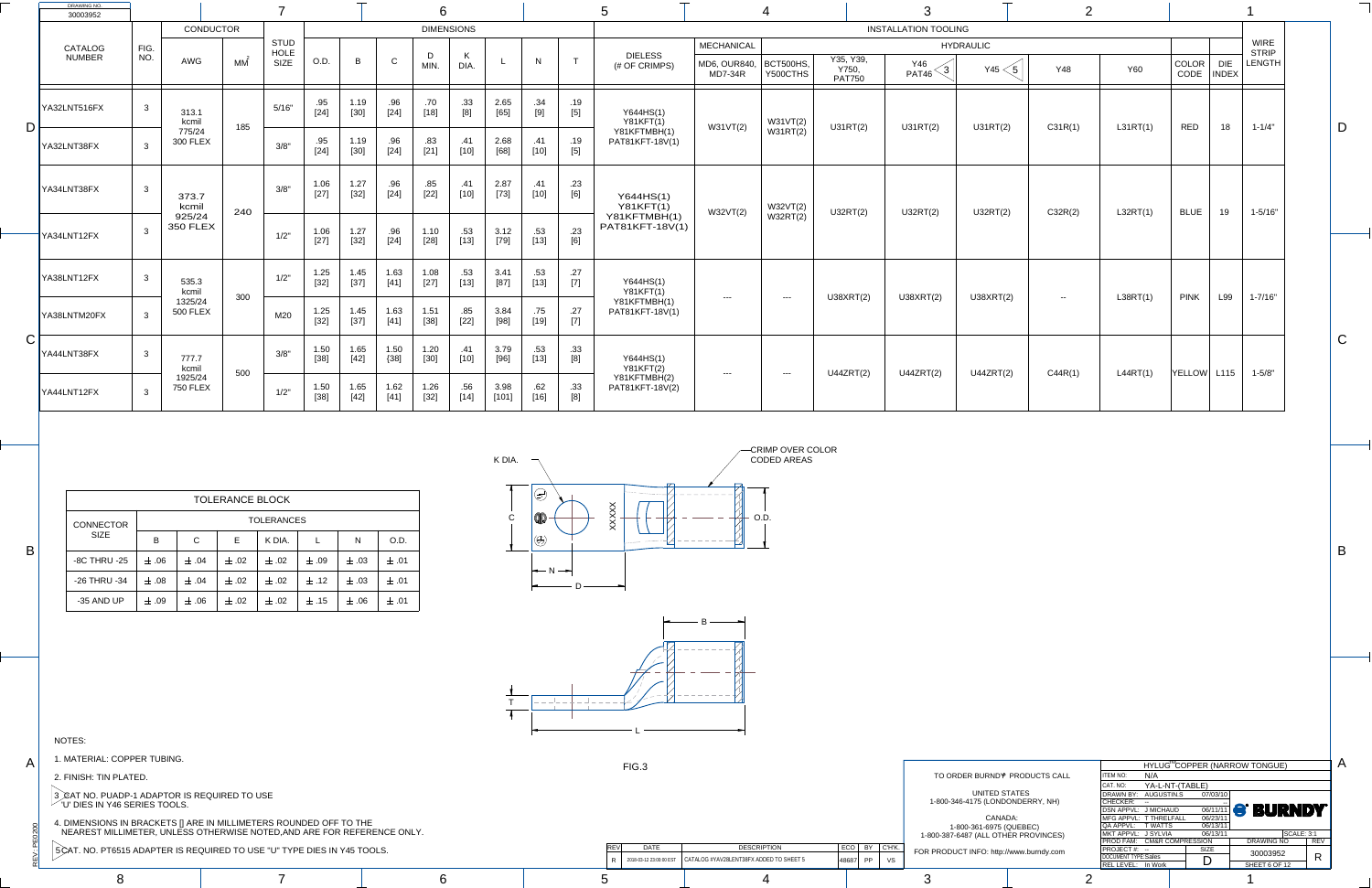PEO

 $\ddot{\ge}$ 

 $\infty$ 

A

B

C

B

A



TO ORDER BURND<sup>®</sup> PRODUCTS CALL UNITED  $STA$ 1-800-346-4175 (LONDO CANAD 1-800-361-6975 (Q 1-800-387-6487 (ALL OTHE FOR PRODUCT INFO: http://w REV DATE DESCRIPTION ECO BY C'H'K. R 2018-03-12 23:00:00 EST CATALOG #YAV28LENT38FX ADDED TO SHEET 5 48687 PP VS FIG.3

8 7 6 5 4 3 1

| <b>DRAWING NO.</b><br>30003952          |                |                            |     |                                           |                |                |                | 6                    |                      |                |               |              |                                 |                                              |                                                                                                                                                                                                                                                                                                                                                                                              |                                     |                               |                               |            |            |                        |                                                              |  |
|-----------------------------------------|----------------|----------------------------|-----|-------------------------------------------|----------------|----------------|----------------|----------------------|----------------------|----------------|---------------|--------------|---------------------------------|----------------------------------------------|----------------------------------------------------------------------------------------------------------------------------------------------------------------------------------------------------------------------------------------------------------------------------------------------------------------------------------------------------------------------------------------------|-------------------------------------|-------------------------------|-------------------------------|------------|------------|------------------------|--------------------------------------------------------------|--|
|                                         |                | CONDUCTOR                  |     |                                           |                |                |                |                      | <b>DIMENSIONS</b>    |                |               |              |                                 |                                              |                                                                                                                                                                                                                                                                                                                                                                                              |                                     | <b>INSTALLATION TOOLING</b>   |                               |            |            |                        |                                                              |  |
| CATALOG<br><b>NUMBER</b>                | FIG.<br>NO.    | <b>AWG</b>                 | МM  | <b>STUD</b><br><b>HOLE</b><br><b>SIZE</b> | O.D.           | $\overline{B}$ | $\cap$         | $\mathsf{D}$<br>MIN. | $\mathbf{r}$<br>DIA. |                | N             |              | <b>DIELESS</b><br>(# OF CRIMPS) | <b>MECHANICAL</b><br>MD6, OUR840,<br>MD7-34R | BCT500HS,<br>Y500CTHS                                                                                                                                                                                                                                                                                                                                                                        | Y35, Y39,<br>Y750,<br><b>PAT750</b> | <b>Y46</b><br>$\sim$<br>PAT46 | <b>HYDRAULIC</b><br>Y45 $<$ 5 | <b>Y48</b> | <b>Y60</b> | COLOR  <br>DIE<br>CODE | <b>WIRE</b><br><b>STRIP</b><br><b>LENGTH</b><br><b>INDEX</b> |  |
| YA32LNT516FX                            | $\mathbf{3}$   | 313.1<br>kcmil             |     | 5/16"                                     | .95<br>$[24]$  | 1.19<br>$[30]$ | .96<br>$[24]$  | .70<br>$[18]$        | .33<br>[8]           | 2.65<br>$[65]$ | .34<br>[9]    | .19<br>$[5]$ | Y644HS(1)<br><b>Y81KFT(1)</b>   |                                              | W31VT(2)                                                                                                                                                                                                                                                                                                                                                                                     |                                     |                               |                               |            |            |                        |                                                              |  |
| ) F<br>YA32LNT38FX                      |                | 775/24<br><b>300 FLEX</b>  | 185 | 3/8"                                      | .95<br>$[24]$  | 1.19<br>$[30]$ | .96<br>$[24]$  | .83<br>$[21]$        | .41<br>$[10]$        | 2.68<br>[68]   | .41<br>[10]   | .19<br>$[5]$ | Y81KFTMBH(1)<br>PAT81KFT-18V(1) | W31VT(2)                                     | W31RT(2)                                                                                                                                                                                                                                                                                                                                                                                     | U31RT(2)                            | U31RT(2)                      | U31RT(2)                      | C31R(1)    | L31RT(1)   | <b>RED</b>             | $1 - 1/4"$<br>18                                             |  |
| YA34LNT38FX                             | $\mathbf{3}$   | 373.7<br>kcmil             | 240 | 3/8"                                      | 1.06<br>$[27]$ | 1.27<br>$[32]$ | .96<br>$[24]$  | .85<br>$[22]$        | .41<br>$[10]$        | 2.87<br>$[73]$ | .41<br>[10]   | .23<br>[6]   | Y644HS(1)<br><b>Y81KFT(1)</b>   | W32VT(2)                                     | W32VT(2)                                                                                                                                                                                                                                                                                                                                                                                     | U32RT(2)                            | U32RT(2)                      | U32RT(2)                      | C32R(2)    | L32RT(1)   | <b>BLUE</b>            | $1 - 5/16"$<br>19                                            |  |
| YA34LNT12FX                             | $\overline{3}$ | 925/24<br><b>350 FLEX</b>  |     | 1/2"                                      | 1.06<br>$[27]$ | 1.27<br>$[32]$ | .96<br>$[24]$  | 1.10<br>$[28]$       | .53<br>$[13]$        | 3.12<br>$[79]$ | .53<br>$[13]$ | .23<br>[6]   | Y81KFTMBH(1)<br>PAT81KFT-18V(1) |                                              | W32RT(2)                                                                                                                                                                                                                                                                                                                                                                                     |                                     |                               |                               |            |            |                        |                                                              |  |
| YA38LNT12FX                             | $\mathbf{3}$   | 535.3<br>kcmil             | 300 | $1/2$ "                                   | 1.25<br>[32]   | 1.45<br>[37]   | 1.63<br>$[41]$ | 1.08<br>$[27]$       | .53<br>$[13]$        | 3.41<br>$[87]$ | .53<br>$[13]$ | .27<br>$[7]$ | Y644HS(1)<br><b>Y81KFT(1)</b>   | $-- -$                                       | $\frac{1}{2} \frac{1}{2} \frac{1}{2} \frac{1}{2} \frac{1}{2} \frac{1}{2} \frac{1}{2} \frac{1}{2} \frac{1}{2} \frac{1}{2} \frac{1}{2} \frac{1}{2} \frac{1}{2} \frac{1}{2} \frac{1}{2} \frac{1}{2} \frac{1}{2} \frac{1}{2} \frac{1}{2} \frac{1}{2} \frac{1}{2} \frac{1}{2} \frac{1}{2} \frac{1}{2} \frac{1}{2} \frac{1}{2} \frac{1}{2} \frac{1}{2} \frac{1}{2} \frac{1}{2} \frac{1}{2} \frac{$ | U38XRT(2)                           | U38XRT(2)                     | U38XRT(2)                     | $-$        | L38RT(1)   | <b>PINK</b><br>L99     | $1 - 7/16"$                                                  |  |
| YA38LNTM20FX                            |                | 1325/24<br><b>500 FLEX</b> |     | M20                                       | 1.25<br>$[32]$ | 1.45<br>$[37]$ | 1.63<br>[41]   | 1.51<br>$[38]$       | .85<br>$[22]$        | 3.84<br>$[98]$ | .75<br>$[19]$ | .27<br>$[7]$ | Y81KFTMBH(1)<br>PAT81KFT-18V(1) |                                              |                                                                                                                                                                                                                                                                                                                                                                                              |                                     |                               |                               |            |            |                        |                                                              |  |
| $\overline{\phantom{1}}$<br>YA44LNT38FX | $\mathbf{3}$   | 777.7<br>kcmil             | 500 | 3/8"                                      | 1.50<br>$[38]$ | 1.65<br>$[42]$ | 1.50<br>${38}$ | 1.20<br>$[30]$       | .41<br>$[10]$        | 3.79<br>$[96]$ | .53<br>$[13]$ | .33<br>[8]   | Y644HS(1)<br><b>Y81KFT(2)</b>   |                                              |                                                                                                                                                                                                                                                                                                                                                                                              | U44ZRT(2)                           | U44ZRT(2)                     | U44ZRT(2)                     | C44R(1)    | L44RT(1)   | $YELLOW$ L115          | $1 - 5/8"$                                                   |  |
| YA44LNT12FX                             | $\mathbf{3}$   | 1925/24<br><b>750 FLEX</b> |     | 1/2"                                      | 1.50<br>$[38]$ | 1.65<br>[42]   | 1.62<br>$[41]$ | 1.26<br>$[32]$       | .56<br>$[14]$        | 3.98<br>[101]  | .62<br>$[16]$ | .33<br>[8]   | Y81KFTMBH(2)<br>PAT81KFT-18V(2) | $\qquad \qquad - - -$                        | $\frac{1}{2} \frac{1}{2} \frac{1}{2} \frac{1}{2} \frac{1}{2} \frac{1}{2} \frac{1}{2} \frac{1}{2} \frac{1}{2} \frac{1}{2} \frac{1}{2} \frac{1}{2} \frac{1}{2} \frac{1}{2} \frac{1}{2} \frac{1}{2} \frac{1}{2} \frac{1}{2} \frac{1}{2} \frac{1}{2} \frac{1}{2} \frac{1}{2} \frac{1}{2} \frac{1}{2} \frac{1}{2} \frac{1}{2} \frac{1}{2} \frac{1}{2} \frac{1}{2} \frac{1}{2} \frac{1}{2} \frac{$ |                                     |                               |                               |            |            |                        |                                                              |  |



|                      |                            |                 |                             | HYLUG <sup>M</sup> COPPER (NARROW TONGUE) |                   |            |
|----------------------|----------------------------|-----------------|-----------------------------|-------------------------------------------|-------------------|------------|
| <b>PRODUCTS CALL</b> | <b>ITEM NO:</b>            | N/A             |                             |                                           |                   |            |
|                      | CAT. NO:                   | YA-L-NT-(TABLE) |                             |                                           |                   |            |
| <b>ATES</b>          | <b>DRAWN BY:</b>           | AUGUSTIN.S      | 07/03/10                    |                                           |                   |            |
| (NDERRY, NH          | <b>CHECKER:</b>            |                 |                             |                                           |                   |            |
|                      | DSN APPVL: J MICHAUD       |                 |                             | <b>OG/11/11 S' BURNDY</b>                 |                   |            |
| )A:                  | MFG APPVL: T THRELFALL     |                 | 06/23/11                    |                                           |                   |            |
| <b>QUEBEC)</b>       | QA APPVL:                  | <b>T WATTS</b>  | 06/13/11                    |                                           |                   |            |
| ER PROVINCES)        | MKT APPVL: J SYLVIA        |                 | 06/13/11                    |                                           | <b>SCALE: 3:1</b> |            |
|                      | <b>PROD FAM:</b>           |                 | <b>CM&amp;R COMPRESSION</b> | <b>DRAWING NO</b>                         |                   | <b>REV</b> |
| www.burndy.com       | PROJECT#: --               |                 | <b>SIZE</b>                 | 30003952                                  |                   |            |
|                      | <b>DOCUMENT TYPE:Sales</b> |                 |                             |                                           |                   | R          |
|                      | <b>REL LEVEL:</b>          | In Work         |                             | SHEET 6 OF 12                             |                   |            |
| $\sim$               |                            |                 |                             | $\overline{\phantom{a}}$                  |                   |            |

|                     |           |             | <b>TOLERANCE BLOCK</b> |                   |           |           |           |
|---------------------|-----------|-------------|------------------------|-------------------|-----------|-----------|-----------|
| <b>CONNECTOR</b>    |           |             |                        | <b>TOLERANCES</b> |           |           |           |
| <b>SIZE</b>         | B         | $\mathsf C$ | E                      | K DIA.            |           | N         | O.D.      |
| <b>-8C THRU -25</b> | $\pm .06$ | $\pm .04$   | $\pm .02$              | $\pm$ .02         | $\pm$ .09 | $\pm .03$ | $\pm$ .01 |
| -26 THRU -34        | $\pm .08$ | $\pm .04$   | $\pm .02$              | $\pm$ .02         | $\pm$ .12 | $\pm .03$ | $\pm$ .01 |
| -35 AND UP          | $\pm$ .09 | $\pm$ .06   | $\pm$ .02              | $\pm$ .02         | $\pm .15$ | $\pm$ .06 | $\pm$ .01 |

NOTES:

1. MATERIAL: COPPER TUBING.

2. FINISH: TIN PLATED.

3 *,* CAT NO. PUADP-1 ADAPTOR IS REQUIRED TO USE  $\degree$  'U' DIES IN Y46 SERIES TOOLS.

4. DIMENSIONS IN BRACKETS [] ARE IN MILLIMETERS ROUNDED OFF TO THE NEAREST MILLIMETER, UNLESS OTHERWISE NOTED,AND ARE FOR REFERENCE ONLY.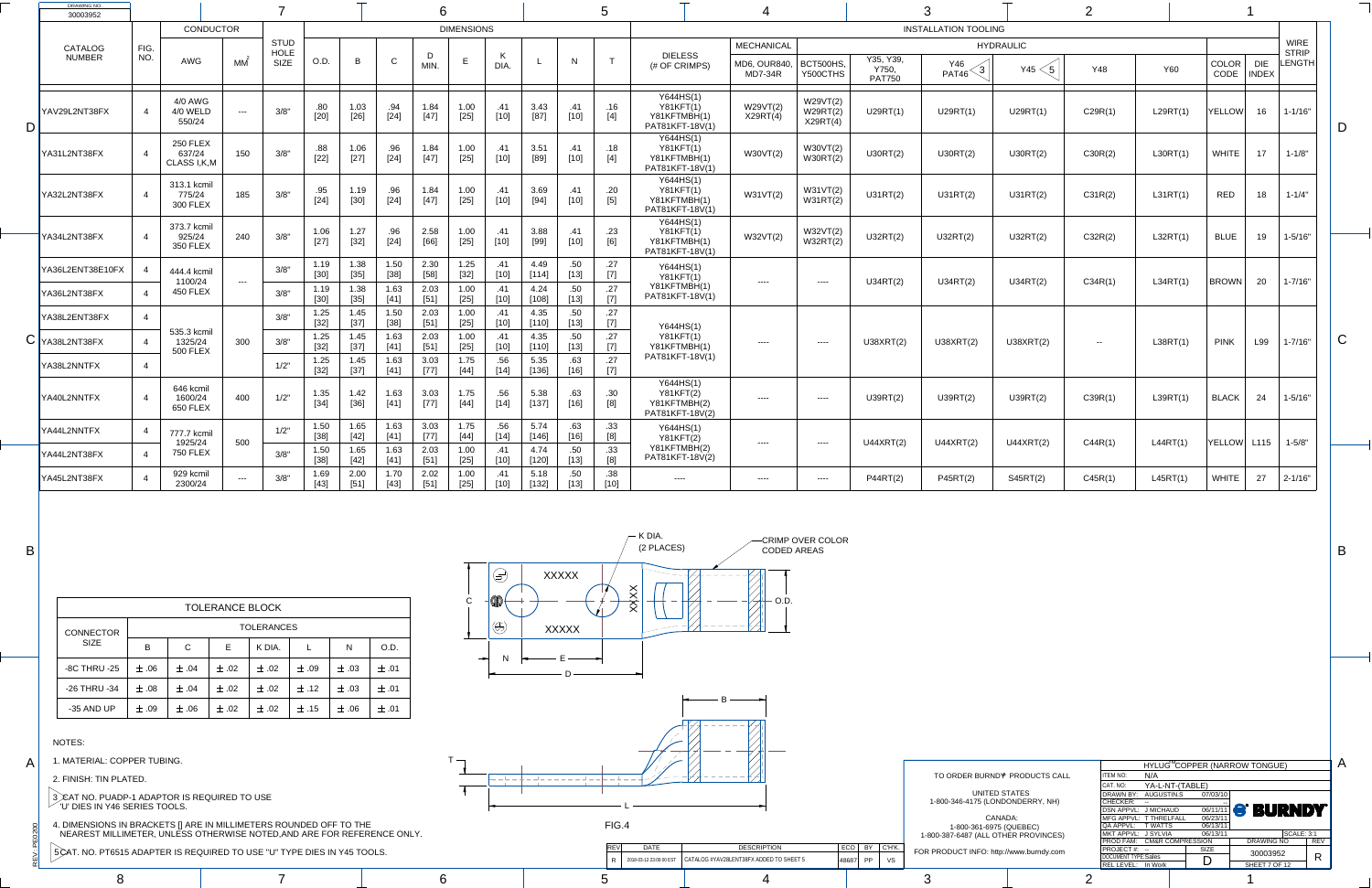꾠  $\dot{>}$ 

 $\infty$ 

A

B

C

B

A



| <b>DRAWING NO.</b><br>30003952 |             |                                            |                       |                                    |                |                |                | $\mathbf O$    |                   |               |                 |               |                                                                                                                                                                                                                                                                                                                                                                                                                                                                                                                          |                                                                  |                                                     |                                                                      |                                     |                             |                         |            |            |               |                            |                                       |   |
|--------------------------------|-------------|--------------------------------------------|-----------------------|------------------------------------|----------------|----------------|----------------|----------------|-------------------|---------------|-----------------|---------------|--------------------------------------------------------------------------------------------------------------------------------------------------------------------------------------------------------------------------------------------------------------------------------------------------------------------------------------------------------------------------------------------------------------------------------------------------------------------------------------------------------------------------|------------------------------------------------------------------|-----------------------------------------------------|----------------------------------------------------------------------|-------------------------------------|-----------------------------|-------------------------|------------|------------|---------------|----------------------------|---------------------------------------|---|
|                                |             | <b>CONDUCTOR</b>                           |                       |                                    |                |                |                |                | <b>DIMENSIONS</b> |               |                 |               |                                                                                                                                                                                                                                                                                                                                                                                                                                                                                                                          |                                                                  |                                                     |                                                                      |                                     | <b>INSTALLATION TOOLING</b> |                         |            |            |               |                            |                                       |   |
| CATALOG<br><b>NUMBER</b>       | FIG.<br>NO. | <b>AWG</b>                                 | MM                    | <b>STUD</b><br>HOLE<br><b>SIZE</b> | O.D.           | $\overline{B}$ | $\sim$         | <b>MIN</b>     | E                 | DIA.          |                 | N             | $\mathbf{r}$                                                                                                                                                                                                                                                                                                                                                                                                                                                                                                             | <b>DIELESS</b><br>(# OF CRIMPS)                                  | <b>MECHANICAL</b><br>MD6, OUR840,<br><b>MD7-34R</b> | BCT500HS,<br>Y500CTHS                                                | Y35, Y39,<br>Y750,<br><b>PAT750</b> | Y46<br><b>PAT46</b>         | <b>HYDRAULIC</b><br>Y45 | <b>Y48</b> | <b>Y60</b> | COLOR<br>CODE | <b>DIE</b><br><b>INDEX</b> | <b>WIRE</b><br><b>STRIP</b><br>LENGTH |   |
| YAV29L2NT38FX                  |             | 4/0 AWG<br>4/0 WELD<br>550/24              | $- - -$               | 3/8"                               | .80<br>[20]    | 1.03<br>$[26]$ | .94<br>$[24]$  | 1.84<br>$[47]$ | 1.00<br>$[25]$    | .41<br>$[10]$ | 3.43<br>$[87]$  | .41<br>$[10]$ | .16<br>$[4]$                                                                                                                                                                                                                                                                                                                                                                                                                                                                                                             | Y644HS(1)<br><b>Y81KFT(1)</b><br>Y81KFTMBH(1)<br>PAT81KFT-18V(1) | W29VT(2)<br>X29RT(4)                                | W29VT(2)<br>W29RT(2)<br>X29RT(4)                                     | U29RT(1)                            | U29RT(1)                    | U29RT(1)                | C29R(1)    | L29RT(1)   | <b>YELLOW</b> | 16 <sup>°</sup>            | $1 - 1/16"$                           |   |
| YA31L2NT38FX                   |             | <b>250 FLEX</b><br>637/24<br>CLASS I, K, M | 150                   | 3/8"                               | .88<br>$[22]$  | 1.06<br>$[27]$ | .96<br>$[24]$  | 1.84<br>$[47]$ | 1.00<br>$[25]$    | .41<br>$[10]$ | 3.51<br>[89]    | .41<br>[10]   | .18<br>$[4]$                                                                                                                                                                                                                                                                                                                                                                                                                                                                                                             | Y644HS(1)<br>Y81KFT(1)<br>Y81KFTMBH(1)<br>PAT81KFT-18V(1)        | W30VT(2)                                            | W30VT(2)<br>W30RT(2)                                                 | U30RT(2)                            | U30RT(2)                    | U30RT(2)                | C30R(2)    | L30RT(1)   | <b>WHITE</b>  | 17                         | $1 - 1/8"$                            |   |
| YA32L2NT38FX                   |             | 313.1 kcmil<br>775/24<br><b>300 FLEX</b>   | 185                   | 3/8"                               | .95<br>$[24]$  | 1.19<br>$[30]$ | .96<br>$[24]$  | 1.84<br>$[47]$ | 1.00<br>$[25]$    | .41<br>$[10]$ | 3.69<br>$[94]$  | .41<br>$[10]$ | .20<br>$[5]$                                                                                                                                                                                                                                                                                                                                                                                                                                                                                                             | Y644HS(1)<br><b>Y81KFT(1)</b><br>Y81KFTMBH(1)<br>PAT81KFT-18V(1) | W31VT(2)                                            | W31VT(2)<br>W31RT(2)                                                 | U31RT(2)                            | U31RT(2)                    | U31RT(2)                | C31R(2)    | L31RT(1)   | <b>RED</b>    | 18                         | $1 - 1/4"$                            |   |
| YA34L2NT38FX                   |             | 373.7 kcmil<br>925/24<br><b>350 FLEX</b>   | 240                   | 3/8"                               | 1.06<br>$[27]$ | 1.27<br>$[32]$ | .96<br>$[24]$  | 2.58<br>[66]   | 1.00<br>$[25]$    | .41<br>[10]   | 3.88<br>[99]    | .41<br>$[10]$ | .23<br>[6]                                                                                                                                                                                                                                                                                                                                                                                                                                                                                                               | Y644HS(1)<br><b>Y81KFT(1)</b><br>Y81KFTMBH(1)<br>PAT81KFT-18V(1) | W32VT(2)                                            | W32VT(2)<br>W32RT(2)                                                 | U32RT(2)                            | U32RT(2)                    | U32RT(2)                | C32R(2)    | L32RT(1)   | <b>BLUE</b>   | 19                         | $1 - 5/16"$                           |   |
| YA36L2ENT38E10FX               |             | 444.4 kcmil<br>1100/24                     | $\qquad \qquad - - -$ | 3/8"                               | 1.19<br>$[30]$ | 1.38<br>$[35]$ | 1.50<br>$[38]$ | 2.30<br>$[58]$ | 1.25<br>$[32]$    | .41<br>$[10]$ | 4.49<br>[114]   | .50<br>$[13]$ | .27<br>$[7] \centering% \includegraphics[width=1\textwidth]{images/TransY.pdf} \caption{The first two different values of $d=3$ and $d=4$ (left) and the second term (right) of $d=4$ (right) and $d=4$ (right) and $d=4$ (right) and $d=4$ (right) and $d=4$ (right) and $d=4$ (right) and $d=4$ (right) and $d=4$ (right) and $d=4$ (right) and $d=4$ (right) and $d=4$ (right) and $d=4$ (right) and $d=4$ (right) and $d=4$ (right) and $d=4$ (right) and $d=4$ (right) and $d=4$ (right) and $d=4$ (right) and $d=$ | Y644HS(1)<br><b>Y81KFT(1)</b>                                    |                                                     | $\qquad \qquad - - -$                                                | U34RT(2)                            | U34RT(2)                    | U34RT(2)                | C34R(1)    | L34RT(1)   | BROWN         | 20                         | $1 - 7/16"$                           |   |
| YA36L2NT38FX                   |             | <b>450 FLEX</b>                            |                       | 3/8"                               | 1.19<br>[30]   | 1.38<br>$[35]$ | 1.63<br>$[41]$ | 2.03<br>[51]   | 1.00<br>$[25]$    | $[10]$        | 4.24<br>[108]   | .50<br>$[13]$ | .27<br>$[7] \centering% \includegraphics[width=1\textwidth]{images/TransY.pdf} \caption{The first two different values of $d=3$ and $d=1$ (left) and $d=1$ (right) and $d=1$ (right) and $d=1$ (right) and $d=1$ (right) and $d=1$ (right) and $d=1$ (right) and $d=1$ (right) and $d=1$ (right) and $d=1$ (right) and $d=1$ (right) and $d=1$ (right) and $d=1$ (right) and $d=1$ (right) and $d=1$ (right) and $d=1$ (right) and $d=1$ (right) and $d=1$ (right) and $d=1$ (right) and $d=1$ (right) and $$            | Y81KFTMBH(1)<br>PAT81KFT-18V(1)                                  |                                                     |                                                                      |                                     |                             |                         |            |            |               |                            |                                       |   |
| YA38L2ENT38FX                  | -4          |                                            |                       | 3/8"                               | 1.25<br>$[32]$ | 1.45<br>$[37]$ | 1.50<br>$[38]$ | 2.03<br>$[51]$ | 1.00<br>$[25]$    | .41<br>$[10]$ | 4.35<br>[110]   | .50<br>$[13]$ | .27<br>$[7] \centering% \includegraphics[width=1\textwidth]{images/TransY.pdf} \caption{The first two different values of $d=3$ and $d=1$ (left) and $d=1$ (right) and $d=1$ (right) and $d=1$ (right) and $d=1$ (right) and $d=1$ (right) and $d=1$ (right) and $d=1$ (right) and $d=1$ (right) and $d=1$ (right) and $d=1$ (right) and $d=1$ (right) and $d=1$ (right) and $d=1$ (right) and $d=1$ (right) and $d=1$ (right) and $d=1$ (right) and $d=1$ (right) and $d=1$ (right) and $d=1$ (right) and $$            | Y644HS(1)                                                        |                                                     |                                                                      |                                     |                             |                         |            |            |               |                            |                                       |   |
| $\mathsf{C}\vert$ YA38L2NT38FX |             | 535.3 kcmil<br>1325/24<br><b>500 FLEX</b>  | 300                   | 3/8"                               | 1.25<br>$[32]$ | 1.45<br>$[37]$ | 1.63<br>$[41]$ | 2.03<br>$[51]$ | 1.00<br>$[25]$    | $[10]$        | 4.35<br>[110]   | 50<br>[13]    | .27<br>$[7] \centering% \includegraphics[width=1\textwidth]{images/TransY.pdf} \caption{The first two different values of $d=3$ and $d=1$ (left) and $d=1$ (right) and $d=1$ (right) and $d=1$ (right) and $d=1$ (right) and $d=1$ (right) and $d=1$ (right) and $d=1$ (right) and $d=1$ (right) and $d=1$ (right) and $d=1$ (right) and $d=1$ (right) and $d=1$ (right) and $d=1$ (right) and $d=1$ (right) and $d=1$ (right) and $d=1$ (right) and $d=1$ (right) and $d=1$ (right) and $d=1$ (right) and $$            | <b>Y81KFT(1)</b><br>Y81KFTMBH(1)                                 |                                                     | $\qquad \qquad - - -$                                                | U38XRT(2)                           | U38XRT(2)                   | U38XRT(2)               | $\sim$ $-$ | L38RT(1)   | <b>PINK</b>   | L99                        | $1 - 7/16"$                           | U |
| YA38L2NNTFX                    | -4          |                                            |                       | 1/2"                               | 1.25<br>[32]   | 1.45<br>$[37]$ | 1.63<br>$[41]$ | 3.03<br>$[77]$ | 1.75<br>$[44]$    | .56<br>$[14]$ | 5.35<br>[136]   | .63<br>[16]   | .27<br>$[7] \centering% \includegraphics[width=1\textwidth]{images/TransY.pdf} \caption{The first two different values of $d=3$ and $d=1$ (left) and $d=1$ (right) and $d=1$ (right) and $d=1$ (right) and $d=1$ (right) and $d=1$ (right) and $d=1$ (right) and $d=1$ (right) and $d=1$ (right) and $d=1$ (right) and $d=1$ (right) and $d=1$ (right) and $d=1$ (right) and $d=1$ (right) and $d=1$ (right) and $d=1$ (right) and $d=1$ (right) and $d=1$ (right) and $d=1$ (right) and $d=1$ (right) and $$            | PAT81KFT-18V(1)                                                  |                                                     |                                                                      |                                     |                             |                         |            |            |               |                            |                                       |   |
| YA40L2NNTFX                    |             | 646 kcmil<br>1600/24<br>650 FLEX           | 400                   | 1/2"                               | 1.35<br>$[34]$ | 1.42<br>$[36]$ | 1.63<br>$[41]$ | 3.03<br>$[77]$ | 1.75<br>$[44]$    | .56<br>$[14]$ | 5.38<br>$[137]$ | .63<br>$[16]$ | .30                                                                                                                                                                                                                                                                                                                                                                                                                                                                                                                      | Y644HS(1)<br><b>Y81KFT(2)</b><br>Y81KFTMBH(2)<br>PAT81KFT-18V(2) | ----                                                | $--- - -$                                                            | U39RT(2)                            | U39RT(2)                    | U39RT(2)                | C39R(1)    | L39RT(1)   | <b>BLACK</b>  | 24                         | $1 - 5/16"$                           |   |
| YA44L2NNTFX                    |             | 777.7 kcmil<br>1925/24                     | 500                   | 1/2"                               | 1.50<br>[38]   | 1.65<br>$[42]$ | 1.63<br>$[41]$ | 3.03<br>$[77]$ | 1.75<br>[44]      | .56<br>$[14]$ | 5.74<br>$[146]$ | .63<br>[16]   | .33                                                                                                                                                                                                                                                                                                                                                                                                                                                                                                                      | Y644HS(1)<br><b>Y81KFT(2)</b>                                    |                                                     | $\qquad \qquad - - -$                                                | U44XRT(2)                           | U44XRT(2)                   | U44XRT(2)               | C44R(1)    | L44RT(1)   | <b>YELLOW</b> | L115                       | $1 - 5/8"$                            |   |
| YA44L2NT38FX                   |             | <b>750 FLEX</b>                            |                       | 3/8"                               | 1.50<br>[38]   | 1.65<br>$[42]$ | 1.63<br>$[41]$ | 2.03<br>$[51]$ | 1.00<br>$[25]$    | $[10]$        | 4.74<br>[120]   | .50<br>$[13]$ | .33<br>$[8] % \includegraphics[width=0.9\columnwidth]{figures/fig_1a} \caption{Schematic diagram of the top of the top of the top of the right.} \label{fig:1} %$                                                                                                                                                                                                                                                                                                                                                        | Y81KFTMBH(2)<br>PAT81KFT-18V(2)                                  |                                                     |                                                                      |                                     |                             |                         |            |            |               |                            |                                       |   |
| YA45L2NT38FX                   |             | 929 kcmil<br>2300/24                       | $---$                 | 3/8"                               | 1.69<br>$[43]$ | 2.00<br>$[51]$ | 1.70<br>$[43]$ | 2.02<br>$[51]$ | 1.00<br>$[25]$    | .41<br>[10]   | 5.18<br>[132]   | .50<br>$[13]$ | .38<br>$[10]$                                                                                                                                                                                                                                                                                                                                                                                                                                                                                                            | $\qquad \qquad - - - -$                                          |                                                     | $\begin{tabular}{cc} - & - & - \\ - & - & - \\ \hline \end{tabular}$ | <b>P44RT(2)</b>                     | <b>P45RT(2)</b>             | S45RT(2)                | C45R(1)    | L45RT(1)   | <b>WHITE</b>  | 27                         | $ 2 - 1/16"$                          |   |

|                     |                            |                             |             | HYLUG <sup>™</sup> COPPER (NARROW TONGUE) |                   |            |
|---------------------|----------------------------|-----------------------------|-------------|-------------------------------------------|-------------------|------------|
| <b>RODUCTS CALL</b> | <b>ITEM NO:</b>            | N/A                         |             |                                           |                   |            |
|                     | CAT. NO:                   | YA-L-NT-(TABLE)             |             |                                           |                   |            |
| <b>\TES</b>         | <b>DRAWN BY:</b>           | AUGUSTIN.S                  | 07/03/10    |                                           |                   |            |
| <b>NDERRY, NH)</b>  | <b>CHECKER:</b>            |                             |             |                                           |                   |            |
|                     | <b>DSN APPVL:</b>          | J MICHAUD                   |             | <b>OG/11/11 S' BURNDY</b>                 |                   |            |
| : ١                 |                            | MFG APPVL: T THRELFALL      | 06/23/11    |                                           |                   |            |
| JEBEC)              | QA APPVL:                  | <b>T WATTS</b>              | 06/13/11    |                                           |                   |            |
| R PROVINCES)        | MKT APPVL: J SYLVIA        |                             | 06/13/11    |                                           | <b>SCALE: 3:1</b> |            |
|                     | <b>PROD FAM:</b>           | <b>CM&amp;R COMPRESSION</b> |             | <b>DRAWING NO</b>                         |                   | <b>REV</b> |
| ww.burndy.com       | PROJECT#: --               |                             | <b>SIZE</b> | 30003952                                  |                   |            |
|                     | <b>DOCUMENT TYPE:Sales</b> |                             |             |                                           |                   | R          |
|                     | <b>REL LEVEL:</b>          | In Work                     |             | SHEET 7 OF 12                             |                   |            |

|                     | <b>TOLERANCE BLOCK</b> |              |           |                   |           |           |           |  |  |  |  |  |  |  |  |
|---------------------|------------------------|--------------|-----------|-------------------|-----------|-----------|-----------|--|--|--|--|--|--|--|--|
| <b>CONNECTOR</b>    |                        |              |           | <b>TOLERANCES</b> |           |           |           |  |  |  |  |  |  |  |  |
| <b>SIZE</b>         | B                      | $\mathsf{C}$ | E         | K DIA.            |           | N         | O.D.      |  |  |  |  |  |  |  |  |
| <b>-8C THRU -25</b> | $+ .06$                | $\pm .04$    | $+ .02$   | $\pm$ .02         | $+ .09$   | $\pm .03$ | $+ .01$   |  |  |  |  |  |  |  |  |
| -26 THRU -34        | $+ .08$                | $\pm .04$    | $\pm .02$ | $\pm .02$         | $\pm$ .12 | $\pm .03$ | $\pm .01$ |  |  |  |  |  |  |  |  |
| -35 AND UP          | $\pm .09$              | $\pm$ .06    | $\pm .02$ | $\pm$ .02         | $\pm .15$ | $+ .06$   | $\pm$ .01 |  |  |  |  |  |  |  |  |

## NOTES:

1. MATERIAL: COPPER TUBING.

2. FINISH: TIN PLATED.

3 CAT NO. PUADP-1 ADAPTOR IS REQUIRED TO USE  $\degree$  'U' DIES IN Y46 SERIES TOOLS.

4. DIMENSIONS IN BRACKETS [] ARE IN MILLIMETERS ROUNDED OFF TO THE NEAREST MILLIMETER, UNLESS OTHERWISE NOTED,AND ARE FOR REFERENCE ONLY.

5CAT. NO. PT6515 ADAPTER IS REQUIRED TO USE "U" TYPE DIES IN Y45 TOOLS.

8 7 6 5 4 3 1

TO ORDER BURND<sup>®</sup> PRODUCTS CALL UNITED STAT 1-800-346-4175 (LONDON CANADA: 1-800-361-6975 (QUEBEC) 1-800-387-6487 (ALL OTHER PROVINCES) FOR PRODUCT INFO: http://ww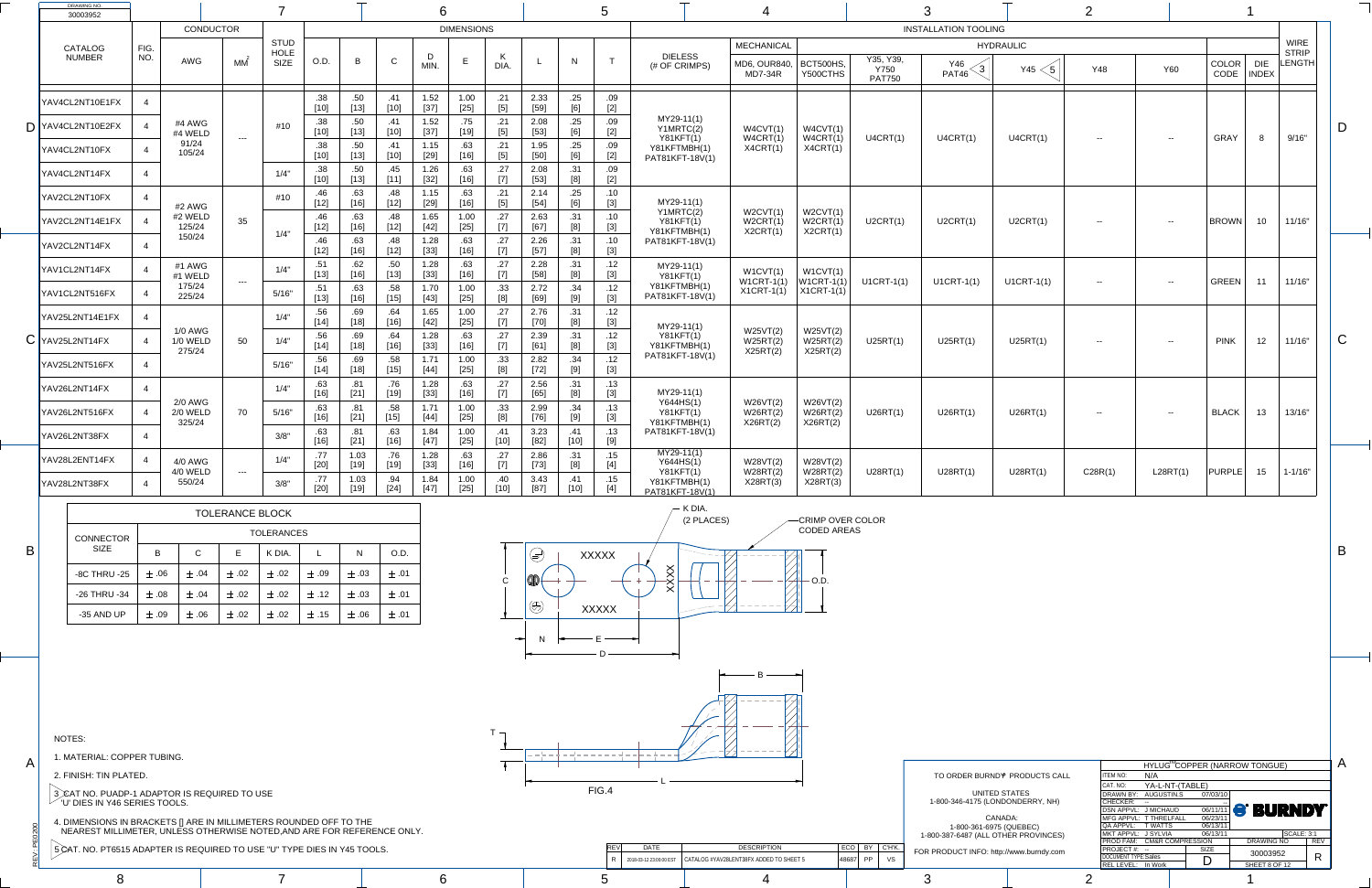PEO

 $\dot{>}$ 

A

B

C

B

A



 $\begin{array}{|c|c|c|c|c|}\hline \text{R} & \text{2018-03-12 23:00:00 EST} & \text{CATALOG #YAV28LENT38FX} & \text{ADDED TO SHEET 5} & & & \text{48687} & \text{PP} & \text{VS} \\\hline \end{array}$ 

TO ORDER BURND<sup>®</sup> PRODUCTS CALL UNITED  $STA$ 1-800-346-4175 (LONDO CANAD 1-800-361-6975 (QUEBEC) 1-800-387-6487 (ALL OTHER PROVINCES) FOR PRODUCT INFO: http://v

| DRAWING NO.<br>30003952      |      |                                      |         |                     |               |                |               | 6              |                   |                          |                |             |              |                                                     |                                  |                                  |                                           |                                               |                  |            |            |               |                            |                        |   |
|------------------------------|------|--------------------------------------|---------|---------------------|---------------|----------------|---------------|----------------|-------------------|--------------------------|----------------|-------------|--------------|-----------------------------------------------------|----------------------------------|----------------------------------|-------------------------------------------|-----------------------------------------------|------------------|------------|------------|---------------|----------------------------|------------------------|---|
|                              |      | <b>CONDUCTOR</b>                     |         |                     |               |                |               |                | <b>DIMENSIONS</b> |                          |                |             |              |                                                     |                                  |                                  |                                           | <b>INSTALLATION TOOLING</b>                   |                  |            |            |               |                            |                        |   |
| <b>CATALOG</b>               | FIG. |                                      |         | <b>STUD</b>         |               |                |               |                |                   |                          |                |             |              |                                                     | <b>MECHANICAL</b>                |                                  |                                           |                                               | <b>HYDRAULIC</b> |            |            |               |                            | <b>WIRE</b>            |   |
| <b>NUMBER</b>                | NO.  | <b>AWG</b>                           | MM      | HOLE<br><b>SIZE</b> | O.D.          | B              | $\mathsf{C}$  | MIN.           |                   | DIA.                     |                | N           | $\mathbf{T}$ | <b>DIELESS</b><br>(# OF CRIMPS)                     | MD6, OUR840,<br>MD7-34R          | <b>BCT500HS,</b><br>Y500CTHS     | Y35, Y39,<br><b>Y750</b><br><b>PAT750</b> | <b>Y46</b><br>$\mathcal{L}$ 3<br><b>PAT46</b> | Y45              | <b>Y48</b> | <b>Y60</b> | COLOR<br>CODE | <b>DIE</b><br><b>INDEX</b> | <b>STRIP</b><br>LENGTH |   |
| YAV4CL2NT10E1FX              |      |                                      |         |                     | $[10]$        | .50<br>$[13]$  | $[10]$        | 1.52<br>$[37]$ | 1.00<br>$[25]$    | .21                      | 2.33<br>$[59]$ | .25<br>[6]  | .09<br>$[2]$ |                                                     |                                  |                                  |                                           |                                               |                  |            |            |               |                            |                        |   |
| $\mathbf{D}$ YAV4CL2NT10E2FX |      | #4 AWG<br>#4 WELD                    |         | #10                 | .38<br>$[10]$ | .50<br>$[13]$  | $[10]$        | 1.52<br>$[37]$ | .75<br>[19]       | .21<br>[5]               | 2.08<br>$[53]$ | .25<br>[6]  | .09<br>$[2]$ | $MY29-11(1)$<br>Y1MRTC(2)                           | W4CVT(1)<br>W4CRT(1)             | W4CVT(1)<br>W4CRT(1)             | U4CRT(1)                                  | U4CRT(1)                                      | U4CRT(1)         |            |            | <b>GRAY</b>   | 8                          | 9/16"                  |   |
| YAV4CL2NT10FX                |      | 91/24<br>105/24                      | $- - -$ |                     | .38<br>$[10]$ | .50<br>$[13]$  | $[10]$        | 1.15<br>$[29]$ | .63<br>[16]       | .21<br>$[5]$             | 1.95<br>$[50]$ | .25<br>[6]  | .09<br>$[2]$ | <b>Y81KFT(1)</b><br>Y81KFTMBH(1)<br>PAT81KFT-18V(1) | X4CRT(1)                         | X4CRT(1)                         |                                           |                                               |                  | $- -$      | $- -$      |               |                            |                        |   |
| YAV4CL2NT14FX                |      |                                      |         | 1/4"                | .38<br>$[10]$ | .50<br>$[13]$  | .45<br>$[11]$ | 1.26<br>$[32]$ | .63<br>[16]       | .27                      | 2.08<br>$[53]$ | .31<br>[8]  | .09<br>$[2]$ |                                                     |                                  |                                  |                                           |                                               |                  |            |            |               |                            |                        |   |
| YAV2CL2NT10FX                |      | #2 AWG                               |         | #10                 | .46<br>$[12]$ | .63<br>$[16]$  | .48<br>$[12]$ | 1.15<br>$[29]$ | .63<br>[16]       | .21                      | 2.14<br>$[54]$ | .25<br>[6]  | .10<br>$[3]$ | MY29-11(1)                                          |                                  |                                  |                                           |                                               |                  |            |            |               |                            |                        |   |
| YAV2CL2NT14E1FX              |      | #2 WELD<br>125/24                    | 35      | 1/4"                | $[12]$        | .63<br>$[16]$  | .48<br>$[12]$ | 1.65<br>$[42]$ | 1.00<br>$[25]$    | .27                      | 2.63           | .31<br>[8]  | .10<br>$[3]$ | Y1MRTC(2)<br>Y81KFT(1)<br>Y81KFTMBH(1)              | W2CVT(1)<br>W2CRT(1)<br>X2CRT(1) | W2CVT(1)<br>W2CRT(1)<br>X2CRT(1) | U2CRT(1)                                  | U2CRT(1)                                      | U2CRT(1)         | $- -$      | $- -$      | <b>BROWN</b>  | 10 <sup>°</sup>            | 11/16"                 |   |
| YAV2CL2NT14FX                |      | 150/24                               |         |                     | $[12]$        | .63<br>$[16]$  | $[12]$        | 1.28<br>$[33]$ | .63<br>$[16]$     | .27<br>$[7]$             | 2.26<br>$[57]$ | .31         | .10<br>[3]   | PAT81KFT-18V(1)                                     |                                  |                                  |                                           |                                               |                  |            |            |               |                            |                        |   |
| YAV1CL2NT14FX                |      | #1 AWG<br>#1 WELD                    | $- - -$ | 1/4"                | .51<br>$[13]$ | .62<br>$[16]$  | .50<br>$[13]$ | 1.28<br>$[33]$ | .63<br>[16]       | .27<br>[7]               | 2.28<br>$[58]$ | .31<br>[8]  | .12<br>$[3]$ | MY29-11(1)<br>Y81KFT(1)                             | W1CVT(1)<br>$W1CRT-1(1)$         | W1CVT(1)<br>$ W1CRT-1(1) $       | $U1CRT-1(1)$                              | $U1CRT-1(1)$                                  | $U1CRT-1(1)$     | $\sim$ $-$ | $- -$      | <b>GREEN</b>  | 11                         | 11/16"                 |   |
| YAV1CL2NT516FX               |      | 175/24<br>225/24                     |         | 5/16"               | $[13]$        | .63<br>$[16]$  | .58<br>$[15]$ | 1.70<br>$[43]$ | 1.00<br>$[25]$    | .33<br>[8]               | 2.72<br>$[69]$ | .34<br>[9]  | .12<br>$[3]$ | Y81KFTMBH(1)<br>PAT81KFT-18V(1)                     | $X1CRT-1(1)$                     | $\vert$ X1CRT-1(1)               |                                           |                                               |                  |            |            |               |                            |                        |   |
| YAV25L2NT14E1FX              |      |                                      |         | 1/4"                | [14]          | .69<br>$[18]$  | $[16]$        | 1.65<br>$[42]$ | 1.00<br>$[25]$    | .27<br><sup>[7]</sup>    | 2.76<br>[70]   | .31<br>[8]  | .12<br>$[3]$ | MY29-11(1)                                          |                                  |                                  |                                           |                                               |                  |            |            |               |                            |                        |   |
| $\mathsf{C}$ YAV25L2NT14FX   |      | <b>1/0 AWG</b><br>1/0 WELD<br>275/24 | 50      | 1/4"                | .56<br>$[14]$ | .69<br>$[18]$  | $[16]$        | 1.28<br>$[33]$ | .63<br>[16]       | .27<br>$\left[ 7\right]$ | 2.39<br>$[61]$ | .31<br>[8]  | .12<br>$[3]$ | Y81KFT(1)<br>Y81KFTMBH(1)                           | W25VT(2)<br>W25RT(2)<br>X25RT(2) | W25VT(2)<br>W25RT(2)<br>X25RT(2) | U25RT(1)                                  | U25RT(1)                                      | U25RT(1)         | $\sim$ $-$ | $- -$      | <b>PINK</b>   | 12 <sub>2</sub>            | 11/16"                 | V |
| YAV25L2NT516FX               |      |                                      |         | 5/16"               | $[14]$        | .69<br>$[18]$  | $[15]$        | 1.71<br>$[44]$ | 1.00<br>$[25]$    | .33<br>[8]               | 2.82<br>$[72]$ | .34         | .12<br>$[3]$ | PAT81KFT-18V(1)                                     |                                  |                                  |                                           |                                               |                  |            |            |               |                            |                        |   |
| YAV26L2NT14FX                |      | <b>2/0 AWG</b>                       |         | 1/4"                | $[16]$        | .81<br>$[21]$  | .76<br>$[19]$ | 1.28<br>$[33]$ | .63<br>[16]       | .27                      | 2.56<br>$[65]$ | .31<br>[8]  | .13<br>$[3]$ | MY29-11(1)                                          |                                  |                                  |                                           |                                               |                  |            |            |               |                            |                        |   |
| YAV26L2NT516FX               |      | 2/0 WELD<br>325/24                   | 70      | 5/16"               | $[16]$        | .81<br>$[21]$  | .58<br>$[15]$ | 1.71<br>$[44]$ | 1.00<br>$[25]$    | .33<br>[8]               | 2.99<br>[76]   | .34<br>[9]  | .13<br>$[3]$ | Y644HS(1)<br><b>Y81KFT(1)</b><br>Y81KFTMBH(1)       | W26VT(2)<br>W26RT(2)<br>X26RT(2) | W26VT(2)<br>W26RT(2)<br>X26RT(2) | U26RT(1)                                  | U26RT(1)                                      | U26RT(1)         | $\sim$ $-$ | $- -$      | <b>BLACK</b>  | 13                         | 13/16"                 |   |
| YAV26L2NT38FX                |      |                                      |         | 3/8"                | .63<br>$[16]$ | .81<br>$[21]$  | .63<br>$[16]$ | 1.84<br>$[47]$ | 1.00<br>$[25]$    | .41<br>$[10]$            | 3.23<br>$[82]$ | .41<br>[10] | .13          | PAT81KFT-18V(1)                                     |                                  |                                  |                                           |                                               |                  |            |            |               |                            |                        |   |
| YAV28L2ENT14FX               |      | 4/0 AWG<br>4/0 WELD                  | $   \,$ | 1/4"                | $[20]$        | 1.03<br>$[19]$ | .76<br>$[19]$ | 1.28<br>[33]   | .63<br>[16]       | .27<br>$\left[ 7\right]$ | 2.86<br>$[73]$ | .31<br>[8]  | .15<br>$[4]$ | $MY29-11(1)$<br>Y644HS(1)<br>Y81KFT(1)              | W28VT(2)<br>W28RT(2)             | W28VT(2)<br>W28RT(2)             | U28RT(1)                                  | U28RT(1)                                      | U28RT(1)         | C28R(1)    | L28RT(1)   | <b>PURPLE</b> | 15                         | $1 - 1/16"$            |   |
| YAV28L2NT38FX                |      | 550/24                               |         | 3/8"                | $[20]$        | 1.03<br>$[19]$ | .94<br>$[24]$ | 1.84<br>$[47]$ | 1.00<br>$[25]$    | .40<br>$[10]$            | 3.43<br>[87]   | .41         | .15          | Y81KFTMBH(1)<br>PAT81KFT-18V(1)                     | X28RT(3)                         | X28RT(3)                         |                                           |                                               |                  |            |            |               |                            |                        |   |

|                      |                            |                            |             | HYLUG <sup>M</sup> COPPER (NARROW TONGUE) |            |
|----------------------|----------------------------|----------------------------|-------------|-------------------------------------------|------------|
| <b>PRODUCTS CALL</b> | <b>ITEM NO:</b>            | N/A                        |             |                                           |            |
|                      | CAT. NO:                   | YA-L-NT-(TABLE)            |             |                                           |            |
| <b>ATES</b>          | <b>DRAWN BY:</b>           | AUGUSTIN.S                 | 07/03/10    |                                           |            |
| NDERRY, NH)          | <b>CHECKER:</b>            |                            |             |                                           |            |
|                      | DSN APPVL: J MICHAUD       |                            | 06/11/11    | <b>S BURNDY</b>                           |            |
| A:                   |                            | MFG APPVL: T THRELFALL     | 06/23/11    |                                           |            |
| <b>(UEBEC)</b>       | QA APPVL: TWATTS           |                            | 06/13/11    |                                           |            |
| ER PROVINCES)        | MKT APPVL: J SYLVIA        |                            | 06/13/11    | <b>SCALE: 3:1</b>                         |            |
|                      |                            | PROD FAM: CM&R COMPRESSION |             | <b>DRAWING NO</b>                         | <b>REV</b> |
| www.burndy.com       | PROJECT#: --               |                            | <b>SIZE</b> | 30003952                                  |            |
|                      | <b>DOCUMENT TYPE:Sales</b> |                            |             |                                           | R          |
|                      | REL LEVEL: In Work         |                            |             | SHEET 8 OF 12                             |            |
|                      |                            |                            |             |                                           |            |

|                  |           |             | <b>TOLERANCE BLOCK</b> |                   |           |           |           |
|------------------|-----------|-------------|------------------------|-------------------|-----------|-----------|-----------|
| <b>CONNECTOR</b> |           |             |                        | <b>TOLERANCES</b> |           |           |           |
| <b>SIZE</b>      | B         | $\mathsf C$ | Е                      | K DIA.            | L         | N         | O.D.      |
| -8C THRU -25     | $\pm .06$ | $\pm .04$   | $\pm .02$              | $\pm .02$         | $\pm .09$ | $\pm .03$ | $\pm$ .01 |
| -26 THRU -34     | $\pm .08$ | ± .04       | $\pm .02$              | $\pm .02$         | $\pm$ .12 | $\pm .03$ | $\pm$ .01 |
| -35 AND UP       | $\pm .09$ | $\pm .06$   | $\pm$ .02              | $\pm .02$         | $\pm .15$ | $\pm .06$ | $\pm$ .01 |

NOTES:

1. MATERIAL: COPPER TUBING.

2. FINISH: TIN PLATED.

3 *)*CAT NO. PUADP-1 ADAPTOR IS REQUIRED TO USE  $\degree$  'U' DIES IN Y46 SERIES TOOLS.

4. DIMENSIONS IN BRACKETS [] ARE IN MILLIMETERS ROUNDED OFF TO THE NEAREST MILLIMETER, UNLESS OTHERWISE NOTED,AND ARE FOR REFERENCE ONLY.

5 CAT. NO. PT6515 ADAPTER IS REQUIRED TO USE "U" TYPE DIES IN Y45 TOOLS.

8 7 6 5 4 3 1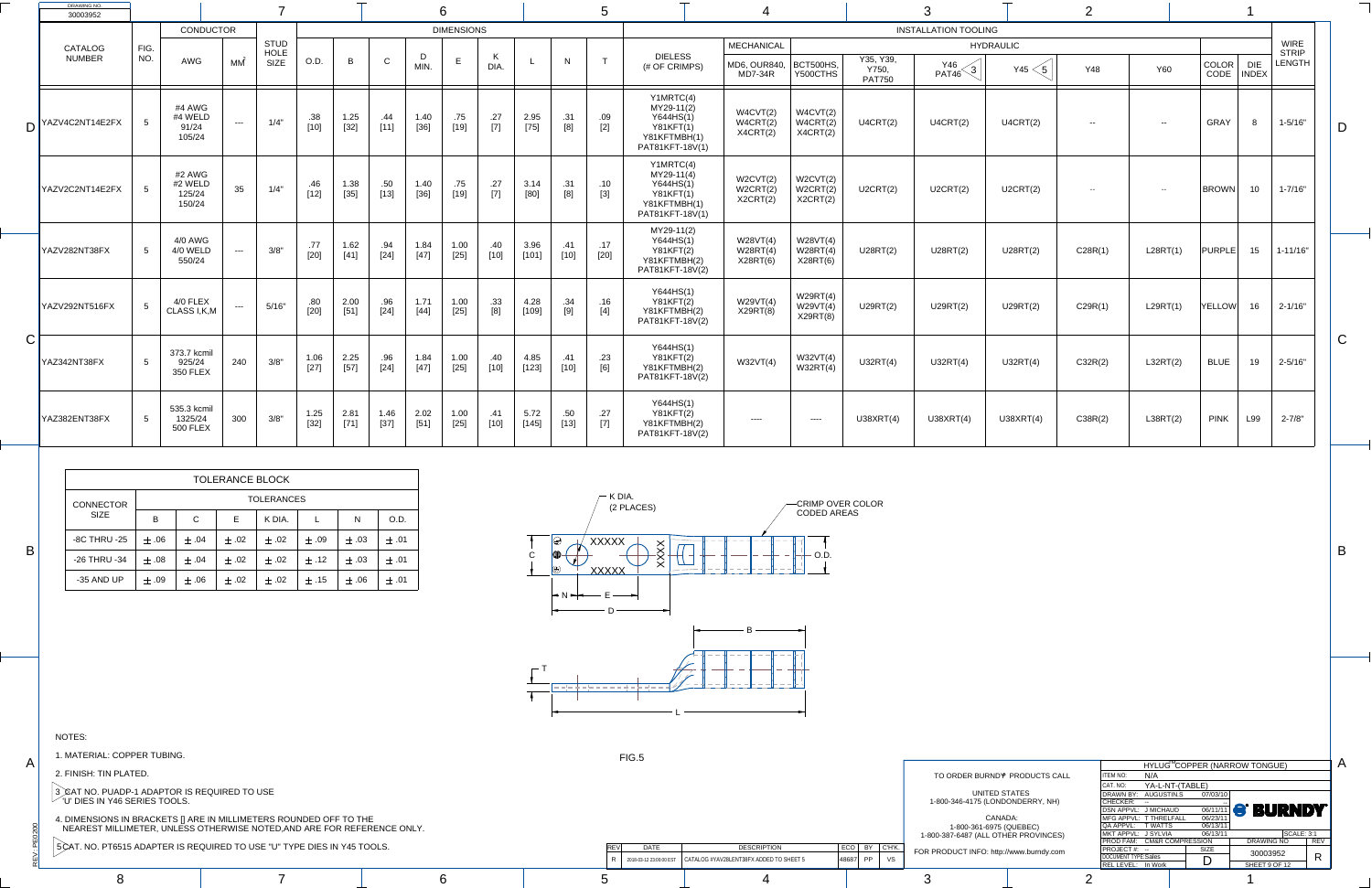$\dot{>}$ 

PEO

S

A

B

C

B

A



| OPPER TUBING.                                                                                                             | FIG.5       |                                                                                  |                     |                                                                 |                                                                                                        |                                                     |                |
|---------------------------------------------------------------------------------------------------------------------------|-------------|----------------------------------------------------------------------------------|---------------------|-----------------------------------------------------------------|--------------------------------------------------------------------------------------------------------|-----------------------------------------------------|----------------|
|                                                                                                                           |             |                                                                                  |                     |                                                                 |                                                                                                        | HYLUG <sup>M</sup> COPPER (NARROW                   |                |
| <b>PLATED.</b>                                                                                                            |             |                                                                                  |                     | TO ORDER BURND <sup>®</sup> PRODUCTS CALL                       | <b>ITEM NO:</b><br>N/A                                                                                 |                                                     |                |
| <b>ADP-1 ADAPTOR IS REQUIRED TO USE</b><br><b>6 SERIES TOOLS.</b><br>IN BRACKETS [] ARE IN MILLIMETERS ROUNDED OFF TO THE |             |                                                                                  |                     | UNITED STATES<br>1-800-346-4175 (LONDONDERRY, NH)<br>CANADA:    | CAT. NO:<br>DRAWN BY: AUGUSTIN.S<br>$ $ CHECKER: $-$<br>DSN APPVL: J MICHAUD<br>MFG APPVL: T THRELFALL | YA-L-NT-(TABLE)<br>07/03/10<br>06/11/11<br>06/23/11 | $\blacksquare$ |
| LIMETER, UNLESS OTHERWISE NOTED,AND ARE FOR REFERENCE ONLY.                                                               |             |                                                                                  |                     | 1-800-361-6975 (QUEBEC)<br>1-800-387-6487 (ALL OTHER PROVINCES) | QA APPVL: T WATTS<br>MKT APPVL: J SYLVIA                                                               | 06/13/11<br>06/13/11                                |                |
| 515 ADAPTER IS REQUIRED TO USE "U" TYPE DIES IN Y45 TOOLS.                                                                | <b>DATE</b> | <b>DESCRIPTION</b>                                                               | $ ECO $ BY $ C'HK.$ | FOR PRODUCT INFO: http://www.burndy.com                         | <b>PROD FAM: CM&amp;R COMPRESSION</b><br>$ $ PROJECT #: $-$                                            | SIZE                                                |                |
|                                                                                                                           |             | $^{+}$ 2018-03-12 23:00:00 EST $\,$ $\,$ CATALOG #YAV28LENT38FX ADDED TO SHEET 5 | $ 48687 $ PP $ $ VS |                                                                 | DOCUMENT TYPE:Sales<br>REL LEVEL: In Work                                                              | <u>n</u><br>◡                                       | <b>SH</b>      |
|                                                                                                                           |             |                                                                                  |                     |                                                                 |                                                                                                        |                                                     |                |

|                 | DRAWING NO.<br>30003952         |             |                                           |                                                                                                                                                                                                                                                                                                                                                                                              |                                    |                |                |               |                |                   |                      |                 |               |               |                                                                                               |                                                     |                                  |                                     |                             |                         |            |                |                          |                            |                                              |
|-----------------|---------------------------------|-------------|-------------------------------------------|----------------------------------------------------------------------------------------------------------------------------------------------------------------------------------------------------------------------------------------------------------------------------------------------------------------------------------------------------------------------------------------------|------------------------------------|----------------|----------------|---------------|----------------|-------------------|----------------------|-----------------|---------------|---------------|-----------------------------------------------------------------------------------------------|-----------------------------------------------------|----------------------------------|-------------------------------------|-----------------------------|-------------------------|------------|----------------|--------------------------|----------------------------|----------------------------------------------|
|                 |                                 |             | <b>CONDUCTOR</b>                          |                                                                                                                                                                                                                                                                                                                                                                                              |                                    |                |                |               |                | <b>DIMENSIONS</b> |                      |                 |               |               |                                                                                               |                                                     |                                  |                                     | <b>INSTALLATION TOOLING</b> |                         |            |                |                          |                            |                                              |
|                 | <b>CATALOG</b><br><b>NUMBER</b> | FIG.<br>NO. | <b>AWG</b>                                | МM                                                                                                                                                                                                                                                                                                                                                                                           | <b>STUD</b><br>HOLE<br><b>SIZE</b> | O.D.           | $\mathsf B$    | $\mathsf{C}$  | MIN.           | E                 | $\mathbf{r}$<br>DIA. |                 | N             |               | <b>DIELESS</b><br>(# OF CRIMPS)                                                               | <b>MECHANICAL</b><br>MD6, OUR840,<br><b>MD7-34R</b> | <b>BCT500HS,</b><br>Y500CTHS     | Y35, Y39,<br>Y750,<br><b>PAT750</b> | Y46<br>ົດ<br>PAT46          | <b>HYDRAULIC</b><br>Y45 | <b>Y48</b> | <b>Y60</b>     | COLOR<br>CODE            | <b>DIE</b><br><b>INDEX</b> | <b>WIRE</b><br><b>STRIP</b><br><b>LENGTH</b> |
|                 | $D$ <sup>YAZV4C2NT14E2FX</sup>  |             | #4 AWG<br>#4 WELD<br>91/24<br>105/24      | $\frac{1}{2} \frac{1}{2} \frac{1}{2} \frac{1}{2} \frac{1}{2} \frac{1}{2} \frac{1}{2} \frac{1}{2} \frac{1}{2} \frac{1}{2} \frac{1}{2} \frac{1}{2} \frac{1}{2} \frac{1}{2} \frac{1}{2} \frac{1}{2} \frac{1}{2} \frac{1}{2} \frac{1}{2} \frac{1}{2} \frac{1}{2} \frac{1}{2} \frac{1}{2} \frac{1}{2} \frac{1}{2} \frac{1}{2} \frac{1}{2} \frac{1}{2} \frac{1}{2} \frac{1}{2} \frac{1}{2} \frac{$ | 1/4"                               | .38<br>[10]    | 1.25<br>[32]   | .44<br>[11]   | 1.40<br>$[36]$ | .75<br>$[19]$     | .27<br>$[7]$         | 2.95<br>$[75]$  | .31<br>[8]    | .09<br>$[2]$  | Y1MRTC(4)<br>MY29-11(2)<br>Y644HS(1)<br><b>Y81KFT(1)</b><br>Y81KFTMBH(1)<br>PAT81KFT-18V(1)   | W4CVT(2)<br>W4CRT(2)<br>X4CRT(2)                    | W4CVT(2)<br>W4CRT(2)<br>X4CRT(2) | U4CRT(2)                            | U4CRT(2)                    | U4CRT(2)                | $-  \,$    | $\sim$ $ \sim$ | <b>GRAY</b>              |                            | $1 - 5/16"$                                  |
|                 | YAZV2C2NT14E2FX                 |             | #2 AWG<br>#2 WELD<br>125/24<br>150/24     | 35                                                                                                                                                                                                                                                                                                                                                                                           | 1/4"                               | .46<br>[12]    | 1.38<br>[35]   | .50<br>[13]   | 1.40<br>[36]   | .75<br>$[19]$     | .27<br>$[7]$         | 3.14<br>$[80]$  | .31<br>[8]    | .10<br>$[3]$  | Y1MRTC(4)<br>$MY29-11(4)$<br>Y644HS(1)<br><b>Y81KFT(1)</b><br>Y81KFTMBH(1)<br>PAT81KFT-18V(1) | W2CVT(2)<br>W2CRT(2)<br>X2CRT(2)                    | W2CVT(2)<br>W2CRT(2)<br>X2CRT(2) | U2CRT(2)                            | U2CRT(2)                    | U2CRT(2)                | $--$       | $- -$          | <b>BROWN</b>             | 10                         | $1 - 7/16"$                                  |
|                 | YAZV282NT38FX                   |             | 4/0 AWG<br>4/0 WELD<br>550/24             | $---$                                                                                                                                                                                                                                                                                                                                                                                        | 3/8"                               | .77<br>$[20]$  | 1.62<br>$[41]$ | .94<br>$[24]$ | 1.84           | 1.00<br>$[25]$    | .40<br>[10]          | 3.96<br>$[101]$ | .41<br>$[10]$ | .17<br>$[20]$ | MY29-11(2)<br>Y644HS(1)<br><b>Y81KFT(2)</b><br>Y81KFTMBH(2)<br>PAT81KFT-18V(2)                | W28VT(4)<br>W28RT(4)<br>X28RT(6)                    | W28VT(4)<br>W28RT(4)<br>X28RT(6) | U28RT(2)                            | U28RT(2)                    | U28RT(2)                | C28R(1)    | L28RT(1)       | $ PURPLE $ 15   1-11/16" |                            |                                              |
|                 | YAZV292NT516FX                  |             | 4/0 FLEX<br>CLASS I, K, M                 | $\qquad \qquad - -$                                                                                                                                                                                                                                                                                                                                                                          | 5/16"                              | .80<br>$[20]$  | 2.00<br>[51]   | .96<br>$[24]$ | 1.71<br>$[44]$ | 1.00<br>$[25]$    | .33                  | 4.28<br>$[109]$ | .34<br>[9]    | .16<br>$[4]$  | Y644HS(1)<br>Y81KFT(2)<br>Y81KFTMBH(2)<br>PAT81KFT-18V(2)                                     | W29VT(4)<br>X29RT(8)                                | W29RT(4)<br>W29VT(4)<br>X29RT(8) | U29RT(2)                            | U29RT(2)                    | <b>U29RT(2)</b>         | C29R(1)    | L29RT(1)       | YELLOW                   | 16                         | $2 - 1/16"$                                  |
| $\bigcap$<br>しー | YAZ342NT38FX                    |             | 373.7 kcmil<br>925/24<br><b>350 FLEX</b>  | 240                                                                                                                                                                                                                                                                                                                                                                                          | 3/8"                               | $1.06$<br>[27] | 2.25<br>[57]   | .96<br>$[24]$ | 1.84<br>$[47]$ | 1.00<br>$[25]$    | .40<br>$[10]$        | 4.85<br>$[123]$ | .41<br>$[10]$ | .23<br>[6]    | Y644HS(1)<br>Y81KFT(2)<br>Y81KFTMBH(2)<br>PAT81KFT-18V(2)                                     | W32VT(4)                                            | W32VT(4)<br>W32RT(4)             | U32RT(4)                            | U32RT(4)                    | U32RT(4)                | C32R(2)    | L32RT(2)       | <b>BLUE</b>              | 19                         | $2 - 5/16"$                                  |
|                 | YAZ382ENT38FX                   |             | 535.3 kcmil<br>1325/24<br><b>500 FLEX</b> | 300                                                                                                                                                                                                                                                                                                                                                                                          | 3/8"                               | 1.25<br>[32]   | 2.81<br>[71]   | 1.46<br>[37]  | 2.02<br>$[51]$ | 1.00<br>$[25]$    | .41<br>$[10]$        | 5.72<br>$[145]$ | .50<br>[13]   | .27<br>$[7]$  | Y644HS(1)<br><b>Y81KFT(2)</b><br>Y81KFTMBH(2)<br>PAT81KFT-18V(2)                              |                                                     | -----                            | U38XRT(4)                           | U38XRT(4)                   | U38XRT(4)               | C38R(2)    | L38RT(2)       | <b>PINK</b>              | L99                        | $2 - 7/8"$                                   |

|                      |                            |                             |             | HYLUG <sup>™</sup> COPPER (NARROW TONGUE) |                   |            |
|----------------------|----------------------------|-----------------------------|-------------|-------------------------------------------|-------------------|------------|
| <b>PRODUCTS CALL</b> | <b>ITEM NO:</b>            | N/A                         |             |                                           |                   |            |
|                      | CAT. NO:                   | YA-L-NT-(TABLE)             |             |                                           |                   |            |
| ATES                 | DRAWN BY:                  | AUGUSTIN.S                  | 07/03/10    |                                           |                   |            |
| NDERRY, NH)          | <b>CHECKER:</b>            | $\mathbf{u}$                |             |                                           |                   |            |
|                      | <b>DSN APPVL:</b>          | J MICHAUD                   | 06/11/11    | <b>S BURNDY</b>                           |                   |            |
| A:                   | MFG APPVL: T THRELFALL     |                             | 06/23/11    |                                           |                   |            |
| UEBEC)               | QA APPVL:                  | T WATTS                     | 06/13/11    |                                           |                   |            |
| R PROVINCES)         | MKT APPVL: J SYLVIA        |                             | 06/13/11    |                                           | <b>SCALE: 3:1</b> |            |
|                      | PROD FAM:                  | <b>CM&amp;R COMPRESSION</b> |             | <b>DRAWING NO</b>                         |                   | <b>REV</b> |
| www.burndy.com       | PROJECT#: --               |                             | <b>SIZE</b> | 30003952                                  |                   |            |
|                      | <b>DOCUMENT TYPE:Sales</b> |                             |             |                                           |                   | R          |
|                      | <b>REL LEVEL:</b>          | In Work                     |             | SHEET 9 OF 12                             |                   |            |
|                      |                            |                             |             |                                           |                   |            |

|                     |           |              | <b>TOLERANCE BLOCK</b> |                   |           |           |           |
|---------------------|-----------|--------------|------------------------|-------------------|-----------|-----------|-----------|
| <b>CONNECTOR</b>    |           |              |                        | <b>TOLERANCES</b> |           |           |           |
| <b>SIZE</b>         | B         | $\mathsf{C}$ | E                      | K DIA.            |           | N         | O.D.      |
| <b>-8C THRU -25</b> | $\pm$ .06 | $\pm$ .04    | $\pm$ .02              | $\pm .02$         | $\pm .09$ | $\pm .03$ | $\pm$ .01 |
| -26 THRU -34        | $+ .08$   | $\pm$ .04    | $+ .02$                | $\pm .02$         | $\pm$ .12 | $\pm .03$ | $+ .01$   |
| -35 AND UP          | $+ .09$   | $\pm$ .06    | $\pm .02$              | $\pm .02$         | $+$ .15   | $\pm .06$ | $\pm$ .01 |

NOTES:

1. MATERIAL: COPPER TUBING.

2. FINISH: TIN PLATED.

3 CAT NO. PUADP-1 ADAPTOR IS REQUIRED TO USE  $\degree$  'U' DIES IN Y46 SERIES TOOLS.

4. DIMENSIONS IN BRACKETS [] ARE IN MILLIMETERS ROUNDED OFF TO THE NEAREST MILLIMETER, UNLESS OTHERWISE NOTED,AND ARE FOR REFERENCE ONLY.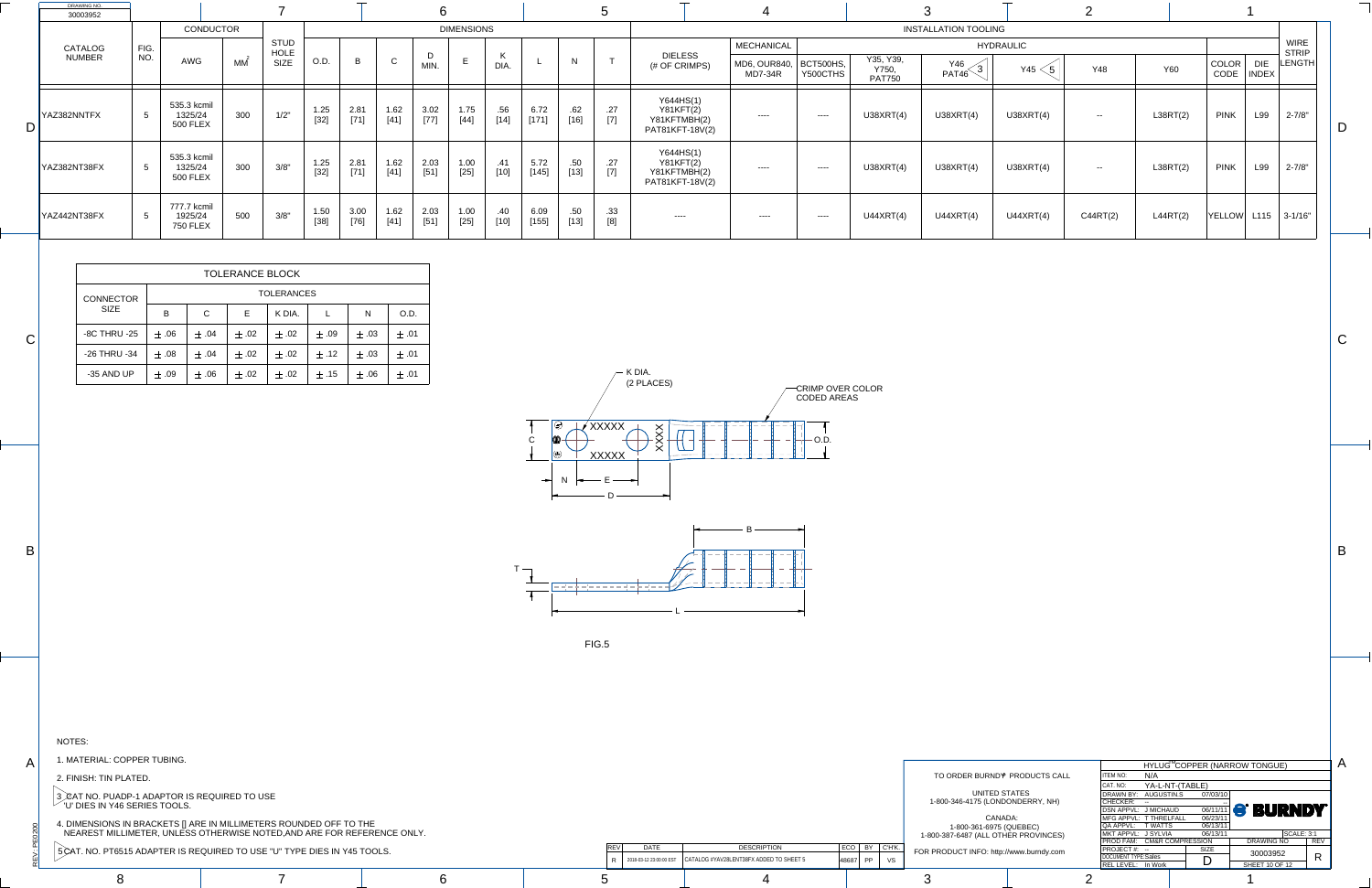$\sum_{i=1}^{n}$ 

PE0200

A

B

C

C

B

A



| COPPER TUBING.                                               |                         |                                         |                           |                                                                 |                                           | HYLUG <sup>M</sup> COPPER (NARROW |     |
|--------------------------------------------------------------|-------------------------|-----------------------------------------|---------------------------|-----------------------------------------------------------------|-------------------------------------------|-----------------------------------|-----|
| <b>PLATED.</b>                                               |                         |                                         |                           | TO ORDER BURND <sup>®</sup> PRODUCTS CALL                       | <b>ITEM NO:</b><br>N/A                    |                                   |     |
|                                                              |                         |                                         |                           |                                                                 | CAT. NO:                                  | YA-L-NT-(TABLE)                   |     |
| ADP-1 ADAPTOR IS REQUIRED TO USE                             |                         |                                         |                           | UNITED STATES<br>1-800-346-4175 (LONDONDERRY, NH)               | DRAWN BY: AUGUSTIN.S<br> CHECKER: --      | 07/03/10                          |     |
| <b>16 SERIES TOOLS.</b>                                      |                         |                                         |                           |                                                                 | DSN APPVL: J MICHAUD                      | $\frac{1}{06/11/11}$              |     |
| S IN BRACKETS [] ARE IN MILLIMETERS ROUNDED OFF TO THE       |                         |                                         |                           | CANADA:                                                         | MFG APPVL: T THRELFALL                    | 06/23/11                          |     |
| LLIMETER, UNLESS OTHERWISE NOTED,AND ARE FOR REFERENCE ONLY. |                         |                                         |                           | 1-800-361-6975 (QUEBEC)<br>1-800-387-6487 (ALL OTHER PROVINCES) | QA APPVL: T WATTS<br>MKT APPVL: J SYLVIA  | 06/13/11<br>06/13/11              |     |
|                                                              |                         |                                         |                           |                                                                 | PROD FAM: CM&R COMPRESSION                |                                   |     |
| 515 ADAPTER IS REQUIRED TO USE "U" TYPE DIES IN Y45 TOOLS.   | <b>DATE</b>             | <b>DESCRIPTION</b>                      | $ $ ECO $ $ BY $ $ C'H'K. | FOR PRODUCT INFO: http://www.burndy.com                         | $ $ PROJECT #: --                         | SIZE                              |     |
|                                                              | 2018-03-12 23:00:00 EST | CATALOG #YAV28LENT38FX ADDED TO SHEET 5 | $ 48687 $ PP $ $<br>VS    |                                                                 | DOCUMENT TYPE:Sales<br>REL LEVEL: In Work | r.                                | SHI |
|                                                              |                         |                                         |                           |                                                                 |                                           |                                   |     |
|                                                              |                         |                                         |                           |                                                                 |                                           |                                   |     |

| <b>DRAWING NO.</b><br>30003952 |                 |                                           |                  |                     |                |                |                | 6              |                   |                      |                 |                            |              |                                                                  |                                |                       |                                     |                                  |                  | $\bigcap$      |            |                      |                     |                             |  |
|--------------------------------|-----------------|-------------------------------------------|------------------|---------------------|----------------|----------------|----------------|----------------|-------------------|----------------------|-----------------|----------------------------|--------------|------------------------------------------------------------------|--------------------------------|-----------------------|-------------------------------------|----------------------------------|------------------|----------------|------------|----------------------|---------------------|-----------------------------|--|
|                                |                 |                                           | <b>CONDUCTOR</b> |                     |                |                |                |                | <b>DIMENSIONS</b> |                      |                 |                            |              |                                                                  |                                |                       |                                     | <b>INSTALLATION TOOLING</b>      |                  |                |            |                      |                     |                             |  |
| CATALOG                        | FIG.            |                                           |                  | <b>STUD</b><br>HOLE |                |                |                |                |                   |                      |                 |                            |              |                                                                  | <b>MECHANICAL</b>              |                       |                                     |                                  | <b>HYDRAULIC</b> |                |            |                      |                     | <b>WIRE</b><br><b>STRIP</b> |  |
| <b>NUMBER</b>                  | NO.             | <b>AWG</b>                                | МM               | <b>SIZE</b>         | O.D.           | $\overline{B}$ | $\sim$         | MIN.           | E                 | <sub>N</sub><br>DIA. |                 | N                          | $\mathbf{r}$ | <b>DIELESS</b><br>(# OF CRIMPS)                                  | MD6, OUR840,<br><b>MD7-34R</b> | BCT500HS,<br>Y500CTHS | Y35, Y39,<br>Y750,<br><b>PAT750</b> | Y46<br>$\left(3\right)$<br>PAT46 | Y45              | <b>Y48</b>     | <b>Y60</b> | COLOR<br><b>CODE</b> | <b>DIE</b><br>INDEX | $ $ LENGTH $ $              |  |
| YAZ382NNTFX                    | -5              | 535.3 kcmil<br>1325/24<br><b>500 FLEX</b> | 300              | $1/2$ "             | 1.25<br>$[32]$ | 2.81<br>$[71]$ | 1.62<br>$[41]$ | 3.02<br>$[77]$ | 1.75<br>$[44]$    | .56<br>$[14]$        | 6.72<br>$[171]$ | .62<br>$[16]$              | .27<br>$[7]$ | Y644HS(1)<br><b>Y81KFT(2)</b><br>Y81KFTMBH(2)<br>PAT81KFT-18V(2) | $---$                          | $\qquad \qquad - - -$ | U38XRT(4)                           | U38XRT(4)                        | U38XRT(4)        | $\sim$ $ \sim$ | L38RT(2)   | <b>PINK</b>          | L99                 | $2 - 7/8"$                  |  |
| YAZ382NT38FX                   | $5\overline{5}$ | 535.3 kcmil<br>1325/24<br><b>500 FLEX</b> | 300              | 3/8"                | 1.25<br>$[32]$ | 2.81<br>$[71]$ | 1.62<br>$[41]$ | 2.03<br>$[51]$ | 1.00<br>$[25]$    | .41<br>$[10]$        | 5.72<br>[145]   | .50 <sub>1</sub><br>$[13]$ | .27<br>$[7]$ | Y644HS(1)<br><b>Y81KFT(2)</b><br>Y81KFTMBH(2)<br>PAT81KFT-18V(2) | $---$                          | $\qquad \qquad - - -$ | U38XRT(4)                           | U38XRT(4)                        | U38XRT(4)        | $\sim$ $ \sim$ | L38RT(2)   | <b>PINK</b>          | L99                 | $2 - 7/8"$                  |  |
| YAZ442NT38FX                   | -5              | 777.7 kcmil<br>1925/24<br><b>750 FLEX</b> | 500              | 3/8"                | 1.50<br>$[38]$ | 3.00<br>$[76]$ | 1.62<br>[41]   | 2.03<br>$[51]$ | 1.00<br>$[25]$    | .40<br>$[10]$        | 6.09<br>[155]   | .50 <sub>1</sub><br>$[13]$ | .33          | $----$                                                           |                                | $\qquad \qquad - - -$ | U44XRT(4)                           | U44XRT(4)                        | U44XRT(4)        | C44RT(2)       | L44RT(2)   | <b>YELLOW</b>        |                     | $L115$ 3-1/16"              |  |

|                      |                            |                 |             | HYLUG <sup>M</sup> COPPER (NARROW TONGUE) |                   |            |
|----------------------|----------------------------|-----------------|-------------|-------------------------------------------|-------------------|------------|
| <b>PRODUCTS CALL</b> | <b>ITEM NO:</b>            | N/A             |             |                                           |                   |            |
|                      | CAT. NO:                   | YA-L-NT-(TABLE) |             |                                           |                   |            |
| ATES                 | DRAWN BY:                  | AUGUSTIN.S      | 07/03/10    |                                           |                   |            |
| NDERRY, NH)          | <b>CHECKER:</b>            |                 |             |                                           |                   |            |
|                      | <b>DSN APPVL:</b>          | J MICHAUD       |             | <b>OG/11/11 S' BURNDY</b>                 |                   |            |
| А:                   | MFG APPVL: T THRELFALL     |                 | 06/23/11    |                                           |                   |            |
| UEBEC)               | QA APPVL:                  | T WATTS         | 06/13/11    |                                           |                   |            |
| R PROVINCES)         | MKT APPVL: J SYLVIA        |                 | 06/13/11    |                                           | <b>SCALE: 3:1</b> |            |
|                      | PROD FAM: CM&R COMPRESSION |                 |             | <b>DRAWING NO</b>                         |                   | <b>REV</b> |
| vww.burndy.com       | PROJECT#: --               |                 | <b>SIZE</b> | 30003952                                  |                   |            |
|                      | <b>DOCUMENT TYPE:Sales</b> |                 |             |                                           |                   | R          |
|                      | REL LEVEL: In Work         |                 |             | <b>SHEET 10 OF 12</b>                     |                   |            |
|                      |                            |                 |             |                                           |                   |            |

|                     |           |             | <b>TOLERANCE BLOCK</b> |                   |           |           |           |
|---------------------|-----------|-------------|------------------------|-------------------|-----------|-----------|-----------|
| <b>CONNECTOR</b>    |           |             |                        | <b>TOLERANCES</b> |           |           |           |
| <b>SIZE</b>         | B         | $\mathsf C$ | Е                      | K DIA.            |           | N         | O.D.      |
| <b>-8C THRU -25</b> | $\pm .06$ | $\pm .04$   | $\pm$ .02              | $\pm .02$         | $\pm$ .09 | $\pm .03$ | $\pm$ .01 |
| -26 THRU -34        | $\pm .08$ | $\pm$ .04   | $\pm$ .02              | $\pm .02$         | $\pm$ .12 | $\pm .03$ | $\pm$ .01 |
| -35 AND UP          | $\pm$ .09 | $\pm .06$   | $\pm$ .02              | $\pm .02$         | $\pm .15$ | $\pm .06$ | $\pm$ .01 |

NOTES:

1. MATERIAL: COPPER TUBING.

2. FINISH: TIN PLATED.

3 *,* CAT NO. PUADP-1 ADAPTOR IS REQUIRED TO USE  $\degree$  'U' DIES IN Y46 SERIES TOOLS.

4. DIMENSIONS IN BRACKETS [] ARE IN MILLIMETERS ROUNDED OFF TO THE NEAREST MILLIMETER, UNLESS OTHERWISE NOTED,AND ARE FOR REFERENCE ONLY.

5 CAT. NO. PT6515 ADAPTER IS REQUIRED TO USE "U" TYPE DIES IN Y45 TOOLS.

FIG.5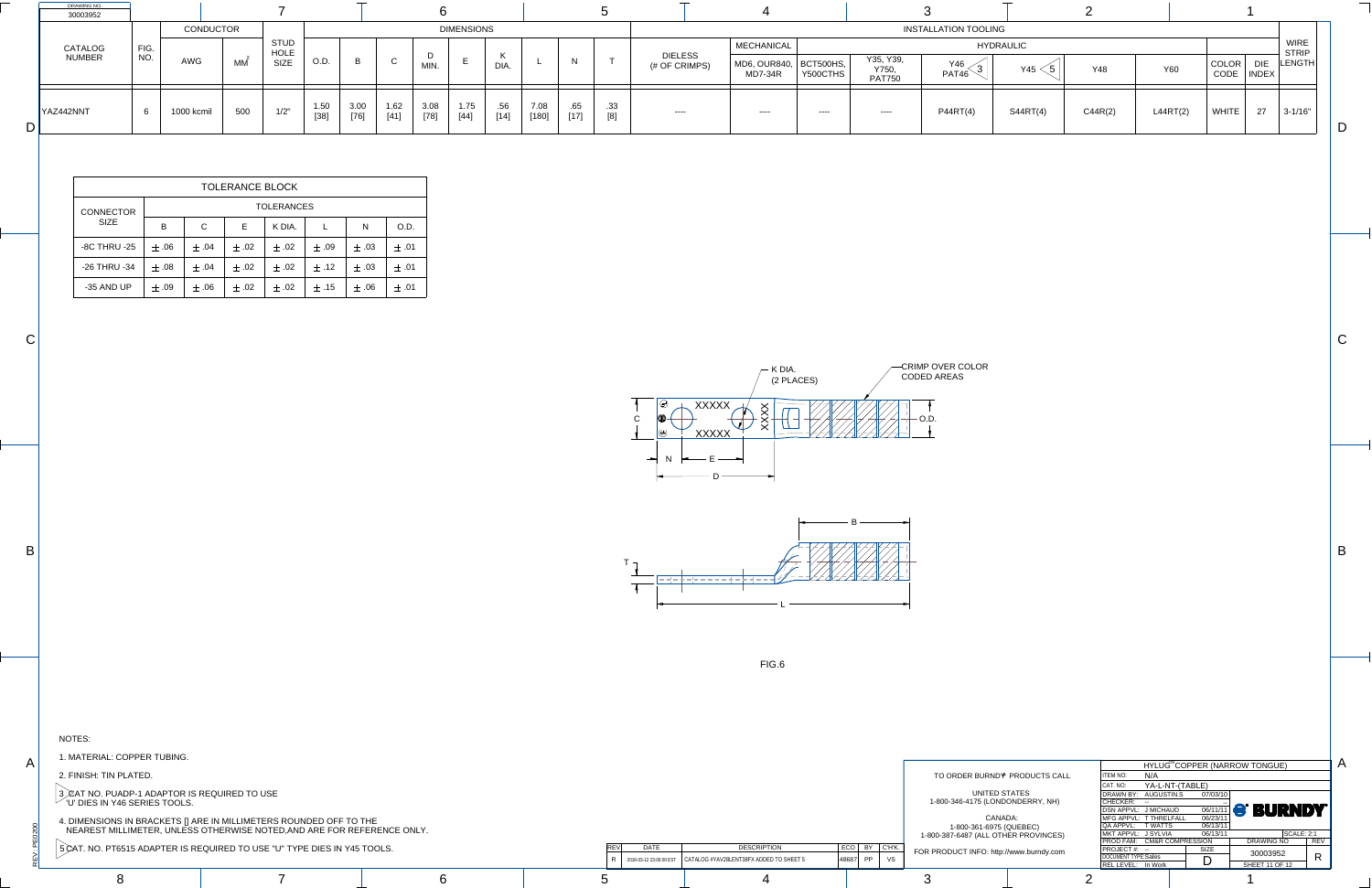$\sum_{i=1}^{n}$ 

PE0200

A

B

C

C

B

L



| COPPER TUBING.                   |                                                               |                         |                                         |                        |                                           |                                                   |                                        |                |
|----------------------------------|---------------------------------------------------------------|-------------------------|-----------------------------------------|------------------------|-------------------------------------------|---------------------------------------------------|----------------------------------------|----------------|
|                                  |                                                               |                         |                                         |                        |                                           |                                                   | <b>HYLUG<sup>™</sup>COPPER (NARROW</b> |                |
| PLATED.                          |                                                               |                         |                                         |                        | TO ORDER BURND <sup>®</sup> PRODUCTS CALL | <b>ITEM NO:</b><br>N/A                            |                                        |                |
|                                  |                                                               |                         |                                         |                        |                                           | CAT. NO:                                          | YA-L-NT-(TABLE)                        |                |
| ADP-1 ADAPTOR IS REQUIRED TO USE |                                                               |                         |                                         |                        | UNITED STATES                             | DRAWN BY: AUGUSTIN.S                              | 07/03/10                               |                |
| 46 SERIES TOOLS.                 |                                                               |                         |                                         |                        | 1-800-346-4175 (LONDONDERRY, NH)          | CHECKER: --                                       |                                        | $\blacksquare$ |
|                                  |                                                               |                         |                                         |                        |                                           | DSN APPVL: J MICHAUD                              | 06/11/11                               |                |
|                                  | S IN BRACKETS [] ARE IN MILLIMETERS ROUNDED OFF TO THE        |                         |                                         |                        | CANADA:                                   | MFG APPVL: T THRELFALL                            | 06/23/11                               |                |
|                                  | ILLIMETER, UNLESS OTHERWISE NOTED,AND ARE FOR REFERENCE ONLY. |                         |                                         |                        | 1-800-361-6975 (QUEBEC)                   | QA APPVL: T WATTS                                 | 06/13/11                               |                |
|                                  |                                                               |                         |                                         |                        | 1-800-387-6487 (ALL OTHER PROVINCES)      | MKT APPVL: J SYLVIA<br>PROD FAM: CM&R COMPRESSION | 06/13/11                               |                |
|                                  | 6515 ADAPTER IS REQUIRED TO USE "U" TYPE DIES IN Y45 TOOLS.   | <b>DATE</b>             | <b>DESCRIPTION</b>                      | $ ECO $ BY $ C'HK $ .  |                                           | $ $ PROJECT #: --                                 | SIZE                                   |                |
|                                  |                                                               |                         | CATALOG #YAV28LENT38FX ADDED TO SHEET 5 |                        | FOR PRODUCT INFO: http://www.burndy.com   | DOCUMENT TYPE:Sales                               | $\blacksquare$                         |                |
|                                  |                                                               | 2018-03-12 23:00:00 EST |                                         | $ 48687 $ PP $ $<br>VS |                                           | REL LEVEL: In Work                                | ◡                                      | -SHI           |
|                                  |                                                               |                         |                                         |                        |                                           |                                                   |                                        |                |
|                                  |                                                               |                         |                                         |                        |                                           |                                                   |                                        |                |
|                                  |                                                               |                         |                                         |                        |                                           |                                                   |                                        |                |

| DRAWING NO.<br>30003952 |      |                   |     |                            |                |                |              |                |                             |               |               |               |            |  |                   |                                 |                         |                               |                                     |                          |          |              |                             |                                           |  |
|-------------------------|------|-------------------|-----|----------------------------|----------------|----------------|--------------|----------------|-----------------------------|---------------|---------------|---------------|------------|--|-------------------|---------------------------------|-------------------------|-------------------------------|-------------------------------------|--------------------------|----------|--------------|-----------------------------|-------------------------------------------|--|
|                         |      | <b>DIMENSIONS</b> |     |                            |                |                |              |                | <b>INSTALLATION TOOLING</b> |               |               |               |            |  |                   |                                 |                         |                               |                                     |                          |          |              |                             |                                           |  |
| CATALOG                 | FIG. |                   |     | <b>STUD</b><br><b>HOLE</b> |                |                |              |                |                             |               |               |               |            |  | <b>MECHANICAL</b> |                                 |                         |                               | <b>HYDRAULIC</b>                    |                          |          |              | <b>WIRE</b><br><b>STRIP</b> |                                           |  |
| <b>NUMBER</b>           | NO.  |                   |     | <b>AWG</b>                 | MM             | <b>SIZE</b>    | O.D.         | B              |                             | <b>MIN</b>    |               | DIA.          |            |  | $\sim$            | <b>DIELESS</b><br>(# OF CRIMPS) | MD6, OUR840,<br>MD7-34R | $\vert$ BCT500HS,<br>Y500CTHS | Y35, Y39,<br>Y750,<br><b>PAT750</b> | Y46<br>◠<br><b>PAT46</b> | Y45 <    | Y48          | <b>Y60</b>                  | LENGTH<br><b>COLOR</b><br>  INDEX<br>CODE |  |
| YAZ442NNT               | 6    | 1000 kcmil        | 500 | 1/2"                       | 1.50<br>$[38]$ | 3.00<br>$[76]$ | 1.62<br>[41] | 3.08<br>$[78]$ | 1.75<br>[44]                | .56<br>$[14]$ | 7.08<br>[180] | .65<br>$[17]$ | .33<br>[8] |  | $- - - -$         |                                 | $---$                   | P44RT(4)                      | S44RT(4)                            | C44R(2)                  | L44RT(2) | <b>WHITE</b> | $3 - 1/16"$<br>$\sim$       |                                           |  |

|                      |                                           |                             |  |             |                           |                   |            | A |  |  |  |  |  |  |
|----------------------|-------------------------------------------|-----------------------------|--|-------------|---------------------------|-------------------|------------|---|--|--|--|--|--|--|
|                      | HYLUG <sup>™</sup> COPPER (NARROW TONGUE) |                             |  |             |                           |                   |            |   |  |  |  |  |  |  |
| <b>PRODUCTS CALL</b> | <b>ITEM NO:</b>                           | N/A                         |  |             |                           |                   |            |   |  |  |  |  |  |  |
|                      | CAT. NO:                                  | YA-L-NT-(TABLE)             |  |             |                           |                   |            |   |  |  |  |  |  |  |
| <b>TATES</b>         | DRAWN BY:                                 | AUGUSTIN.S                  |  | 07/03/10    |                           |                   |            |   |  |  |  |  |  |  |
| ONDERRY, NH)         | <b>CHECKER:</b>                           |                             |  |             |                           |                   |            |   |  |  |  |  |  |  |
|                      | DSN APPVL: J MICHAUD                      |                             |  |             | <b>OG/11/11 S' BURNDY</b> |                   |            |   |  |  |  |  |  |  |
| DA:                  | MFG APPVL: T THRELFALL                    |                             |  | 06/23/11    |                           |                   |            |   |  |  |  |  |  |  |
| <b>QUEBEC)</b>       | QA APPVL:                                 | <b>T WATTS</b>              |  | 06/13/11    |                           |                   |            |   |  |  |  |  |  |  |
| ER PROVINCES)        | MKT APPVL: J SYLVIA                       |                             |  | 06/13/11    |                           | <b>SCALE: 2:1</b> |            |   |  |  |  |  |  |  |
|                      | <b>PROD FAM:</b>                          | <b>CM&amp;R COMPRESSION</b> |  |             | <b>DRAWING NO</b>         |                   | <b>REV</b> |   |  |  |  |  |  |  |
| www.burndy.com/      | PROJECT#: --                              |                             |  | <b>SIZE</b> | 30003952                  |                   |            |   |  |  |  |  |  |  |
|                      | <b>DOCUMENT TYPE:Sales</b>                |                             |  | $\Box$      |                           |                   | R          |   |  |  |  |  |  |  |
|                      | REL LEVEL: In Work                        |                             |  |             | <b>SHEET 11 OF 12</b>     |                   |            |   |  |  |  |  |  |  |
| $\sim$               |                                           |                             |  |             |                           |                   |            |   |  |  |  |  |  |  |

|                                 | <b>TOLERANCE BLOCK</b> |              |           |           |           |           |           |  |  |  |  |  |  |  |  |
|---------------------------------|------------------------|--------------|-----------|-----------|-----------|-----------|-----------|--|--|--|--|--|--|--|--|
| <b>CONNECTOR</b><br><b>SIZE</b> | <b>TOLERANCES</b>      |              |           |           |           |           |           |  |  |  |  |  |  |  |  |
|                                 | B                      | $\mathsf{C}$ | Е         | K DIA.    |           | N         | O.D.      |  |  |  |  |  |  |  |  |
| <b>-8C THRU -25</b>             | $\pm .06$              | $\pm .04$    | $\pm$ .02 | $\pm .02$ | $\pm .09$ | $\pm .03$ | $\pm .01$ |  |  |  |  |  |  |  |  |
| -26 THRU -34                    | $\pm .08$              | $\pm .04$    | $\pm$ .02 | $\pm .02$ | $\pm .12$ | $\pm .03$ | $\pm$ .01 |  |  |  |  |  |  |  |  |
| -35 AND UP                      | $\pm .09$              | $\pm .06$    | $\pm$ .02 | $\pm .02$ | $\pm .15$ | $\pm .06$ | $\pm$ .01 |  |  |  |  |  |  |  |  |

NOTES:

1. MATERIAL: COPPER TUBING.

2. FINISH: TIN PLATED.

3 *)*CAT NO. PUADP-1 ADAPTOR IS REQUIRED TO USE  $\degree$  'U' DIES IN Y46 SERIES TOOLS.

4. DIMENSIONS IN BRACKETS [] ARE IN MILLIMETERS ROUNDED OFF TO THE NEAREST MILLIMETER, UNLESS OTHERWISE NOTED,AND ARE FOR REFERENCE ONLY.

FIG.6